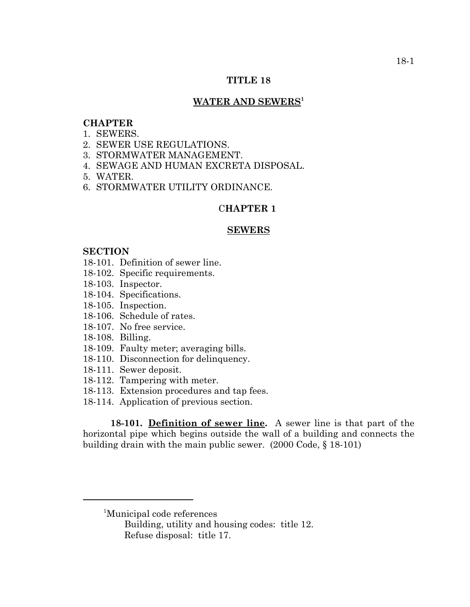# **TITLE 18**

# WATER AND SEWERS<sup>1</sup>

# **CHAPTER**

- 1. SEWERS.
- 2. SEWER USE REGULATIONS.
- 3. STORMWATER MANAGEMENT.
- 4. SEWAGE AND HUMAN EXCRETA DISPOSAL.
- 5. WATER.
- 6. STORMWATER UTILITY ORDINANCE.

#### C**HAPTER 1**

#### **SEWERS**

### **SECTION**

- 18-101. Definition of sewer line.
- 18-102. Specific requirements.
- 18-103. Inspector.
- 18-104. Specifications.
- 18-105. Inspection.
- 18-106. Schedule of rates.
- 18-107. No free service.
- 18-108. Billing.
- 18-109. Faulty meter; averaging bills.
- 18-110. Disconnection for delinquency.
- 18-111. Sewer deposit.
- 18-112. Tampering with meter.
- 18-113. Extension procedures and tap fees.
- 18-114. Application of previous section.

**18-101. Definition of sewer line.** A sewer line is that part of the horizontal pipe which begins outside the wall of a building and connects the building drain with the main public sewer. (2000 Code, § 18-101)

<sup>1</sup> Municipal code references

Building, utility and housing codes: title 12. Refuse disposal: title 17.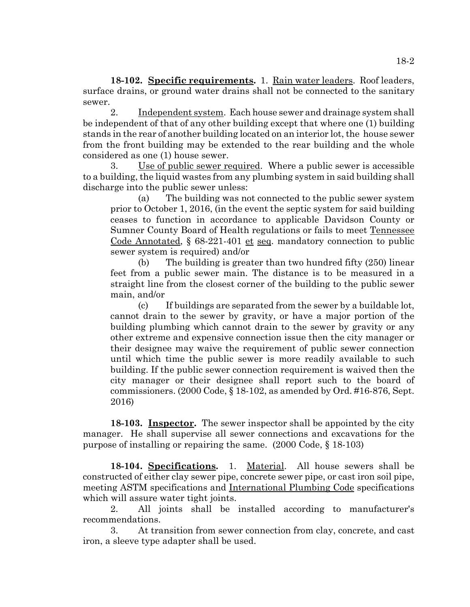**18-102. Specific requirements.** 1. Rain water leaders. Roof leaders, surface drains, or ground water drains shall not be connected to the sanitary sewer.

2. Independent system. Each house sewer and drainage system shall be independent of that of any other building except that where one (1) building stands in the rear of another building located on an interior lot, the house sewer from the front building may be extended to the rear building and the whole considered as one (1) house sewer.

3. Use of public sewer required. Where a public sewer is accessible to a building, the liquid wastes from any plumbing system in said building shall discharge into the public sewer unless:

(a) The building was not connected to the public sewer system prior to October 1, 2016, (in the event the septic system for said building ceases to function in accordance to applicable Davidson County or Sumner County Board of Health regulations or fails to meet Tennessee Code Annotated, § 68-221-401 et seq. mandatory connection to public sewer system is required) and/or

(b) The building is greater than two hundred fifty (250) linear feet from a public sewer main. The distance is to be measured in a straight line from the closest corner of the building to the public sewer main, and/or

(c) If buildings are separated from the sewer by a buildable lot, cannot drain to the sewer by gravity, or have a major portion of the building plumbing which cannot drain to the sewer by gravity or any other extreme and expensive connection issue then the city manager or their designee may waive the requirement of public sewer connection until which time the public sewer is more readily available to such building. If the public sewer connection requirement is waived then the city manager or their designee shall report such to the board of commissioners. (2000 Code, § 18-102, as amended by Ord. #16-876, Sept. 2016)

**18-103. Inspector.** The sewer inspector shall be appointed by the city manager. He shall supervise all sewer connections and excavations for the purpose of installing or repairing the same. (2000 Code, § 18-103)

**18-104. Specifications.** 1. Material. All house sewers shall be constructed of either clay sewer pipe, concrete sewer pipe, or cast iron soil pipe, meeting ASTM specifications and International Plumbing Code specifications which will assure water tight joints.

2. All joints shall be installed according to manufacturer's recommendations.

3. At transition from sewer connection from clay, concrete, and cast iron, a sleeve type adapter shall be used.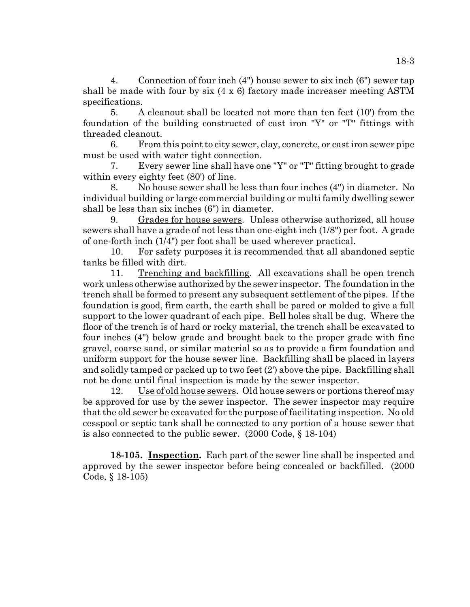4. Connection of four inch (4") house sewer to six inch (6") sewer tap shall be made with four by six (4 x 6) factory made increaser meeting ASTM specifications.

5. A cleanout shall be located not more than ten feet (10') from the foundation of the building constructed of cast iron "Y" or "T" fittings with threaded cleanout.

6. From this point to city sewer, clay, concrete, or cast iron sewer pipe must be used with water tight connection.

7. Every sewer line shall have one "Y" or "T" fitting brought to grade within every eighty feet  $(80')$  of line.

8. No house sewer shall be less than four inches (4") in diameter. No individual building or large commercial building or multi family dwelling sewer shall be less than six inches (6") in diameter.

9. Grades for house sewers. Unless otherwise authorized, all house sewers shall have a grade of not less than one-eight inch (1/8") per foot. A grade of one-forth inch (1/4") per foot shall be used wherever practical.

10. For safety purposes it is recommended that all abandoned septic tanks be filled with dirt.

11. Trenching and backfilling. All excavations shall be open trench work unless otherwise authorized by the sewer inspector. The foundation in the trench shall be formed to present any subsequent settlement of the pipes. If the foundation is good, firm earth, the earth shall be pared or molded to give a full support to the lower quadrant of each pipe. Bell holes shall be dug. Where the floor of the trench is of hard or rocky material, the trench shall be excavated to four inches (4") below grade and brought back to the proper grade with fine gravel, coarse sand, or similar material so as to provide a firm foundation and uniform support for the house sewer line. Backfilling shall be placed in layers and solidly tamped or packed up to two feet (2') above the pipe. Backfilling shall not be done until final inspection is made by the sewer inspector.

12. Use of old house sewers. Old house sewers or portions thereof may be approved for use by the sewer inspector. The sewer inspector may require that the old sewer be excavated for the purpose of facilitating inspection. No old cesspool or septic tank shall be connected to any portion of a house sewer that is also connected to the public sewer. (2000 Code, § 18-104)

**18-105. Inspection.** Each part of the sewer line shall be inspected and approved by the sewer inspector before being concealed or backfilled. (2000 Code, § 18-105)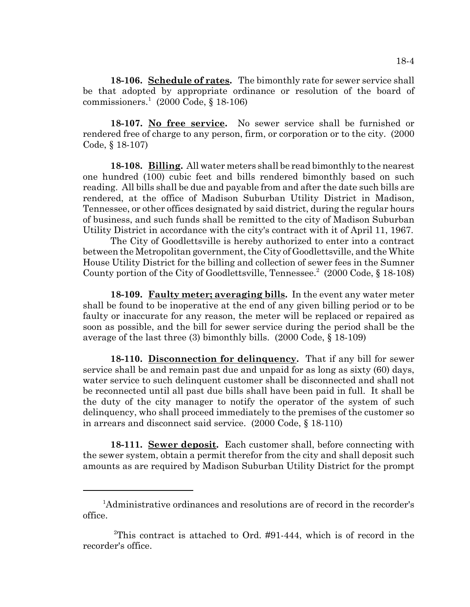**18-106. Schedule of rates.** The bimonthly rate for sewer service shall be that adopted by appropriate ordinance or resolution of the board of commissioners.<sup>1</sup> (2000 Code, § 18-106)

**18-107. No free service.** No sewer service shall be furnished or rendered free of charge to any person, firm, or corporation or to the city. (2000 Code, § 18-107)

**18-108. Billing.** All water meters shall be read bimonthly to the nearest one hundred (100) cubic feet and bills rendered bimonthly based on such reading. All bills shall be due and payable from and after the date such bills are rendered, at the office of Madison Suburban Utility District in Madison, Tennessee, or other offices designated by said district, during the regular hours of business, and such funds shall be remitted to the city of Madison Suburban Utility District in accordance with the city's contract with it of April 11, 1967.

The City of Goodlettsville is hereby authorized to enter into a contract between the Metropolitan government, the City of Goodlettsville, and the White House Utility District for the billing and collection of sewer fees in the Sumner County portion of the City of Goodlettsville, Tennessee.<sup>2</sup> (2000 Code, § 18-108)

**18-109. Faulty meter; averaging bills.** In the event any water meter shall be found to be inoperative at the end of any given billing period or to be faulty or inaccurate for any reason, the meter will be replaced or repaired as soon as possible, and the bill for sewer service during the period shall be the average of the last three (3) bimonthly bills. (2000 Code, § 18-109)

**18-110. Disconnection for delinquency.** That if any bill for sewer service shall be and remain past due and unpaid for as long as sixty (60) days, water service to such delinquent customer shall be disconnected and shall not be reconnected until all past due bills shall have been paid in full. It shall be the duty of the city manager to notify the operator of the system of such delinquency, who shall proceed immediately to the premises of the customer so in arrears and disconnect said service. (2000 Code, § 18-110)

**18-111. Sewer deposit.** Each customer shall, before connecting with the sewer system, obtain a permit therefor from the city and shall deposit such amounts as are required by Madison Suburban Utility District for the prompt

<sup>&</sup>lt;sup>1</sup>Administrative ordinances and resolutions are of record in the recorder's office.

<sup>2</sup> This contract is attached to Ord. #91-444, which is of record in the recorder's office.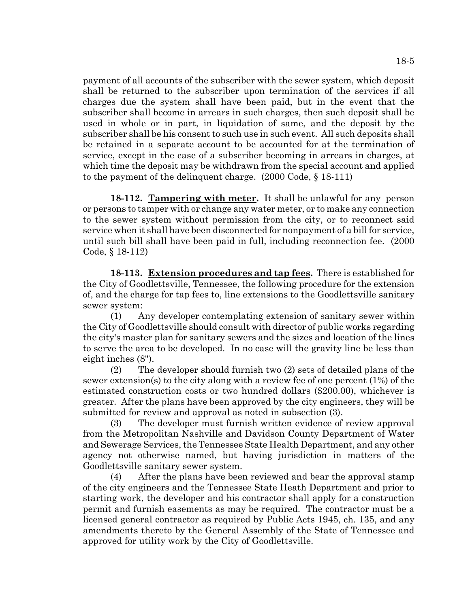payment of all accounts of the subscriber with the sewer system, which deposit shall be returned to the subscriber upon termination of the services if all charges due the system shall have been paid, but in the event that the subscriber shall become in arrears in such charges, then such deposit shall be used in whole or in part, in liquidation of same, and the deposit by the subscriber shall be his consent to such use in such event. All such deposits shall be retained in a separate account to be accounted for at the termination of service, except in the case of a subscriber becoming in arrears in charges, at which time the deposit may be withdrawn from the special account and applied to the payment of the delinquent charge. (2000 Code, § 18-111)

**18-112. Tampering with meter.** It shall be unlawful for any person or persons to tamper with or change any water meter, or to make any connection to the sewer system without permission from the city, or to reconnect said service when it shall have been disconnected for nonpayment of a bill for service, until such bill shall have been paid in full, including reconnection fee. (2000 Code, § 18-112)

**18-113. Extension procedures and tap fees.** There is established for the City of Goodlettsville, Tennessee, the following procedure for the extension of, and the charge for tap fees to, line extensions to the Goodlettsville sanitary sewer system:

(1) Any developer contemplating extension of sanitary sewer within the City of Goodlettsville should consult with director of public works regarding the city's master plan for sanitary sewers and the sizes and location of the lines to serve the area to be developed. In no case will the gravity line be less than eight inches (8").

(2) The developer should furnish two (2) sets of detailed plans of the sewer extension(s) to the city along with a review fee of one percent (1%) of the estimated construction costs or two hundred dollars (\$200.00), whichever is greater. After the plans have been approved by the city engineers, they will be submitted for review and approval as noted in subsection (3).

(3) The developer must furnish written evidence of review approval from the Metropolitan Nashville and Davidson County Department of Water and Sewerage Services, the Tennessee State Health Department, and any other agency not otherwise named, but having jurisdiction in matters of the Goodlettsville sanitary sewer system.

(4) After the plans have been reviewed and bear the approval stamp of the city engineers and the Tennessee State Heath Department and prior to starting work, the developer and his contractor shall apply for a construction permit and furnish easements as may be required. The contractor must be a licensed general contractor as required by Public Acts 1945, ch. 135, and any amendments thereto by the General Assembly of the State of Tennessee and approved for utility work by the City of Goodlettsville.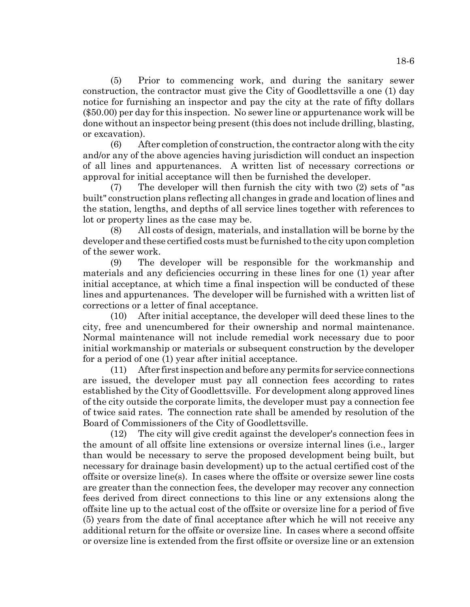(5) Prior to commencing work, and during the sanitary sewer construction, the contractor must give the City of Goodlettsville a one (1) day notice for furnishing an inspector and pay the city at the rate of fifty dollars (\$50.00) per day for this inspection. No sewer line or appurtenance work will be done without an inspector being present (this does not include drilling, blasting, or excavation).

(6) After completion of construction, the contractor along with the city and/or any of the above agencies having jurisdiction will conduct an inspection of all lines and appurtenances. A written list of necessary corrections or approval for initial acceptance will then be furnished the developer.

(7) The developer will then furnish the city with two (2) sets of "as built" construction plans reflecting all changes in grade and location of lines and the station, lengths, and depths of all service lines together with references to lot or property lines as the case may be.

(8) All costs of design, materials, and installation will be borne by the developer and these certified costs must be furnished to the city upon completion of the sewer work.

(9) The developer will be responsible for the workmanship and materials and any deficiencies occurring in these lines for one (1) year after initial acceptance, at which time a final inspection will be conducted of these lines and appurtenances. The developer will be furnished with a written list of corrections or a letter of final acceptance.

(10) After initial acceptance, the developer will deed these lines to the city, free and unencumbered for their ownership and normal maintenance. Normal maintenance will not include remedial work necessary due to poor initial workmanship or materials or subsequent construction by the developer for a period of one (1) year after initial acceptance.

(11) After first inspection and before any permits for service connections are issued, the developer must pay all connection fees according to rates established by the City of Goodlettsville. For development along approved lines of the city outside the corporate limits, the developer must pay a connection fee of twice said rates. The connection rate shall be amended by resolution of the Board of Commissioners of the City of Goodlettsville.

(12) The city will give credit against the developer's connection fees in the amount of all offsite line extensions or oversize internal lines (i.e., larger than would be necessary to serve the proposed development being built, but necessary for drainage basin development) up to the actual certified cost of the offsite or oversize line(s). In cases where the offsite or oversize sewer line costs are greater than the connection fees, the developer may recover any connection fees derived from direct connections to this line or any extensions along the offsite line up to the actual cost of the offsite or oversize line for a period of five (5) years from the date of final acceptance after which he will not receive any additional return for the offsite or oversize line. In cases where a second offsite or oversize line is extended from the first offsite or oversize line or an extension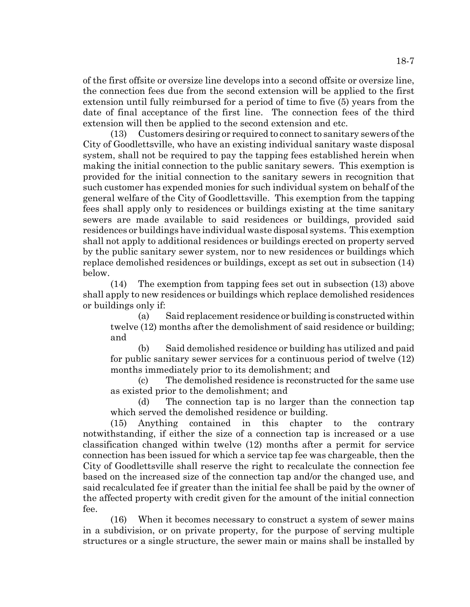of the first offsite or oversize line develops into a second offsite or oversize line, the connection fees due from the second extension will be applied to the first extension until fully reimbursed for a period of time to five (5) years from the date of final acceptance of the first line. The connection fees of the third extension will then be applied to the second extension and etc.

(13) Customers desiring or required to connect to sanitary sewers of the City of Goodlettsville, who have an existing individual sanitary waste disposal system, shall not be required to pay the tapping fees established herein when making the initial connection to the public sanitary sewers. This exemption is provided for the initial connection to the sanitary sewers in recognition that such customer has expended monies for such individual system on behalf of the general welfare of the City of Goodlettsville. This exemption from the tapping fees shall apply only to residences or buildings existing at the time sanitary sewers are made available to said residences or buildings, provided said residences or buildings have individual waste disposal systems. This exemption shall not apply to additional residences or buildings erected on property served by the public sanitary sewer system, nor to new residences or buildings which replace demolished residences or buildings, except as set out in subsection (14) below.

(14) The exemption from tapping fees set out in subsection (13) above shall apply to new residences or buildings which replace demolished residences or buildings only if:

(a) Said replacement residence or building is constructed within twelve (12) months after the demolishment of said residence or building; and

(b) Said demolished residence or building has utilized and paid for public sanitary sewer services for a continuous period of twelve (12) months immediately prior to its demolishment; and

(c) The demolished residence is reconstructed for the same use as existed prior to the demolishment; and

(d) The connection tap is no larger than the connection tap which served the demolished residence or building.

(15) Anything contained in this chapter to the contrary notwithstanding, if either the size of a connection tap is increased or a use classification changed within twelve (12) months after a permit for service connection has been issued for which a service tap fee was chargeable, then the City of Goodlettsville shall reserve the right to recalculate the connection fee based on the increased size of the connection tap and/or the changed use, and said recalculated fee if greater than the initial fee shall be paid by the owner of the affected property with credit given for the amount of the initial connection fee.

(16) When it becomes necessary to construct a system of sewer mains in a subdivision, or on private property, for the purpose of serving multiple structures or a single structure, the sewer main or mains shall be installed by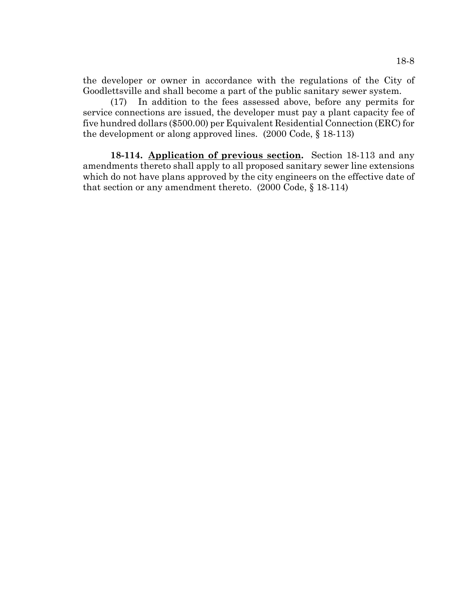the developer or owner in accordance with the regulations of the City of Goodlettsville and shall become a part of the public sanitary sewer system.

(17) In addition to the fees assessed above, before any permits for service connections are issued, the developer must pay a plant capacity fee of five hundred dollars (\$500.00) per Equivalent Residential Connection (ERC) for the development or along approved lines. (2000 Code, § 18-113)

**18-114. Application of previous section.** Section 18-113 and any amendments thereto shall apply to all proposed sanitary sewer line extensions which do not have plans approved by the city engineers on the effective date of that section or any amendment thereto. (2000 Code, § 18-114)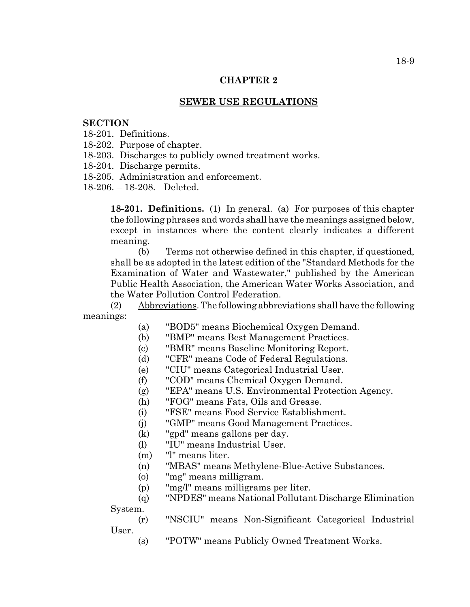## **CHAPTER 2**

## **SEWER USE REGULATIONS**

### **SECTION**

- 18-201. Definitions.
- 18-202. Purpose of chapter.
- 18-203. Discharges to publicly owned treatment works.
- 18-204. Discharge permits.
- 18-205. Administration and enforcement.

18-206. – 18-208. Deleted.

**18-201. Definitions.** (1) In general. (a) For purposes of this chapter the following phrases and words shall have the meanings assigned below, except in instances where the content clearly indicates a different meaning.

(b) Terms not otherwise defined in this chapter, if questioned, shall be as adopted in the latest edition of the "Standard Methods for the Examination of Water and Wastewater," published by the American Public Health Association, the American Water Works Association, and the Water Pollution Control Federation.

(2) Abbreviations. The following abbreviations shall have the following meanings:

- (a) "BOD5" means Biochemical Oxygen Demand.
- (b) "BMP" means Best Management Practices.
- (c) "BMR" means Baseline Monitoring Report.
- (d) "CFR" means Code of Federal Regulations.
- (e) "CIU" means Categorical Industrial User.
- (f) "COD" means Chemical Oxygen Demand.
- (g) "EPA" means U.S. Environmental Protection Agency.
- (h) "FOG" means Fats, Oils and Grease.
- (i) "FSE" means Food Service Establishment.
- (j) "GMP" means Good Management Practices.
- (k) "gpd" means gallons per day.
- (l) "IU" means Industrial User.
- (m) "l" means liter.
- (n) "MBAS" means Methylene-Blue-Active Substances.
- (o) "mg" means milligram.
- (p) "mg/l" means milligrams per liter.

(q) "NPDES" means National Pollutant Discharge Elimination System.

(r) "NSCIU" means Non-Significant Categorical Industrial User.

(s) "POTW" means Publicly Owned Treatment Works.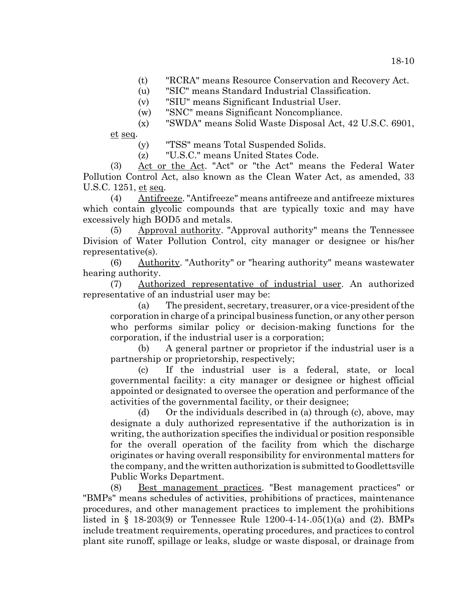- (t) "RCRA" means Resource Conservation and Recovery Act.
- (u) "SIC" means Standard Industrial Classification.
- (v) "SIU" means Significant Industrial User.
- (w) "SNC" means Significant Noncompliance.
- (x) "SWDA" means Solid Waste Disposal Act, 42 U.S.C. 6901,

et seq.

- (y) "TSS" means Total Suspended Solids.
- (z) "U.S.C." means United States Code.

(3) Act or the Act. "Act" or "the Act" means the Federal Water Pollution Control Act, also known as the Clean Water Act, as amended, 33 U.S.C. 1251, et seq.

(4) Antifreeze. "Antifreeze" means antifreeze and antifreeze mixtures which contain glycolic compounds that are typically toxic and may have excessively high BOD5 and metals.

(5) Approval authority. "Approval authority" means the Tennessee Division of Water Pollution Control, city manager or designee or his/her representative(s).

(6) Authority. "Authority" or "hearing authority" means wastewater hearing authority.

(7) Authorized representative of industrial user. An authorized representative of an industrial user may be:

(a) The president, secretary, treasurer, or a vice-president of the corporation in charge of a principal business function, or any other person who performs similar policy or decision-making functions for the corporation, if the industrial user is a corporation;

(b) A general partner or proprietor if the industrial user is a partnership or proprietorship, respectively;

(c) If the industrial user is a federal, state, or local governmental facility: a city manager or designee or highest official appointed or designated to oversee the operation and performance of the activities of the governmental facility, or their designee;

(d) Or the individuals described in (a) through (c), above, may designate a duly authorized representative if the authorization is in writing, the authorization specifies the individual or position responsible for the overall operation of the facility from which the discharge originates or having overall responsibility for environmental matters for the company, and the written authorization is submitted to Goodlettsville Public Works Department.

(8) Best management practices. "Best management practices" or "BMPs" means schedules of activities, prohibitions of practices, maintenance procedures, and other management practices to implement the prohibitions listed in § 18-203(9) or Tennessee Rule 1200-4-14-.05(1)(a) and (2). BMPs include treatment requirements, operating procedures, and practices to control plant site runoff, spillage or leaks, sludge or waste disposal, or drainage from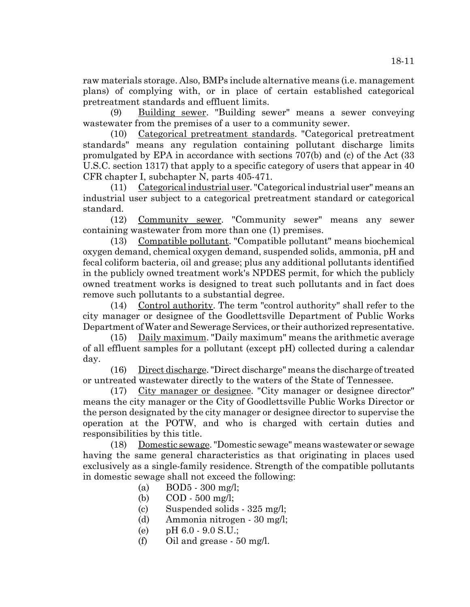raw materials storage. Also, BMPs include alternative means (i.e. management plans) of complying with, or in place of certain established categorical pretreatment standards and effluent limits.

(9) Building sewer. "Building sewer" means a sewer conveying wastewater from the premises of a user to a community sewer.

(10) Categorical pretreatment standards. "Categorical pretreatment standards" means any regulation containing pollutant discharge limits promulgated by EPA in accordance with sections 707(b) and (c) of the Act (33 U.S.C. section 1317) that apply to a specific category of users that appear in 40 CFR chapter I, subchapter N, parts 405-471.

(11) Categorical industrial user. "Categorical industrial user" means an industrial user subject to a categorical pretreatment standard or categorical standard.

(12) Community sewer. "Community sewer" means any sewer containing wastewater from more than one (1) premises.

(13) Compatible pollutant. "Compatible pollutant" means biochemical oxygen demand, chemical oxygen demand, suspended solids, ammonia, pH and fecal coliform bacteria, oil and grease; plus any additional pollutants identified in the publicly owned treatment work's NPDES permit, for which the publicly owned treatment works is designed to treat such pollutants and in fact does remove such pollutants to a substantial degree.

(14) Control authority. The term "control authority" shall refer to the city manager or designee of the Goodlettsville Department of Public Works Department of Water and Sewerage Services, or their authorized representative.

(15) Daily maximum. "Daily maximum" means the arithmetic average of all effluent samples for a pollutant (except pH) collected during a calendar day.

(16) Direct discharge. "Direct discharge" means the discharge of treated or untreated wastewater directly to the waters of the State of Tennessee.

(17) City manager or designee. "City manager or designee director" means the city manager or the City of Goodlettsville Public Works Director or the person designated by the city manager or designee director to supervise the operation at the POTW, and who is charged with certain duties and responsibilities by this title.

(18) Domestic sewage. "Domestic sewage" means wastewater or sewage having the same general characteristics as that originating in places used exclusively as a single-family residence. Strength of the compatible pollutants in domestic sewage shall not exceed the following:

- (a)  $BOD5 300$  mg/l;
- (b) COD 500 mg/l;
- (c) Suspended solids 325 mg/l;
- (d) Ammonia nitrogen 30 mg/l;
- (e) pH 6.0 9.0 S.U.;
- (f) Oil and grease 50 mg/l.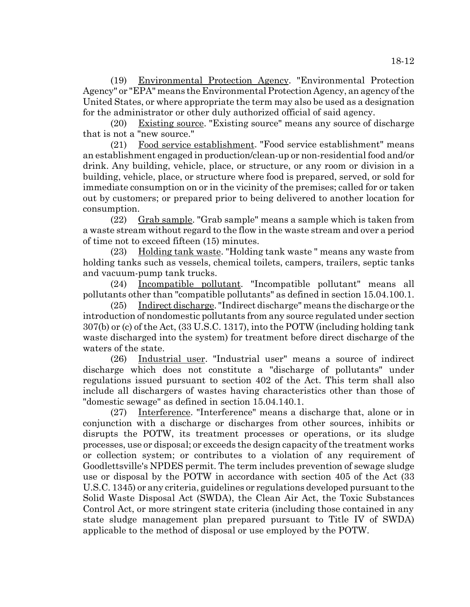(19) Environmental Protection Agency. "Environmental Protection Agency" or "EPA" means the Environmental Protection Agency, an agency of the United States, or where appropriate the term may also be used as a designation for the administrator or other duly authorized official of said agency.

(20) Existing source. "Existing source" means any source of discharge that is not a "new source."

(21) Food service establishment. "Food service establishment" means an establishment engaged in production/clean-up or non-residential food and/or drink. Any building, vehicle, place, or structure, or any room or division in a building, vehicle, place, or structure where food is prepared, served, or sold for immediate consumption on or in the vicinity of the premises; called for or taken out by customers; or prepared prior to being delivered to another location for consumption.

(22) Grab sample. "Grab sample" means a sample which is taken from a waste stream without regard to the flow in the waste stream and over a period of time not to exceed fifteen (15) minutes.

(23) Holding tank waste. "Holding tank waste " means any waste from holding tanks such as vessels, chemical toilets, campers, trailers, septic tanks and vacuum-pump tank trucks.

(24) Incompatible pollutant. "Incompatible pollutant" means all pollutants other than "compatible pollutants" as defined in section 15.04.100.1.

(25) Indirect discharge. "Indirect discharge" means the discharge or the introduction of nondomestic pollutants from any source regulated under section 307(b) or (c) of the Act, (33 U.S.C. 1317), into the POTW (including holding tank waste discharged into the system) for treatment before direct discharge of the waters of the state.

(26) Industrial user. "Industrial user" means a source of indirect discharge which does not constitute a "discharge of pollutants" under regulations issued pursuant to section 402 of the Act. This term shall also include all dischargers of wastes having characteristics other than those of "domestic sewage" as defined in section 15.04.140.1.

(27) Interference. "Interference" means a discharge that, alone or in conjunction with a discharge or discharges from other sources, inhibits or disrupts the POTW, its treatment processes or operations, or its sludge processes, use or disposal; or exceeds the design capacity of the treatment works or collection system; or contributes to a violation of any requirement of Goodlettsville's NPDES permit. The term includes prevention of sewage sludge use or disposal by the POTW in accordance with section 405 of the Act (33 U.S.C. 1345) or any criteria, guidelines or regulations developed pursuant to the Solid Waste Disposal Act (SWDA), the Clean Air Act, the Toxic Substances Control Act, or more stringent state criteria (including those contained in any state sludge management plan prepared pursuant to Title IV of SWDA) applicable to the method of disposal or use employed by the POTW.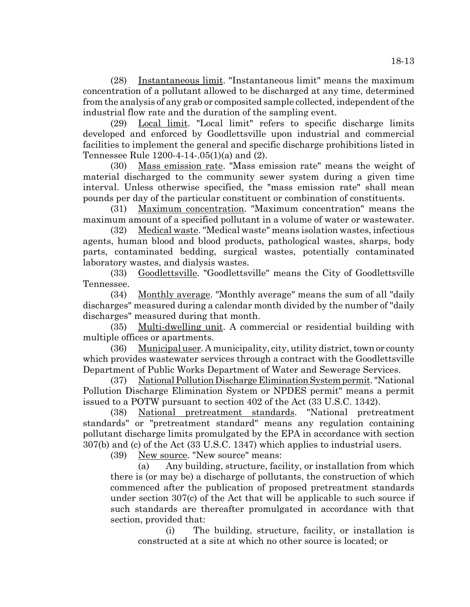(28) Instantaneous limit. "Instantaneous limit" means the maximum concentration of a pollutant allowed to be discharged at any time, determined from the analysis of any grab or composited sample collected, independent of the industrial flow rate and the duration of the sampling event.

(29) Local limit. "Local limit" refers to specific discharge limits developed and enforced by Goodlettsville upon industrial and commercial facilities to implement the general and specific discharge prohibitions listed in Tennessee Rule 1200-4-14-.05(1)(a) and (2).

(30) Mass emission rate. "Mass emission rate" means the weight of material discharged to the community sewer system during a given time interval. Unless otherwise specified, the "mass emission rate" shall mean pounds per day of the particular constituent or combination of constituents.

(31) Maximum concentration. "Maximum concentration" means the maximum amount of a specified pollutant in a volume of water or wastewater.

(32) Medical waste. "Medical waste" means isolation wastes, infectious agents, human blood and blood products, pathological wastes, sharps, body parts, contaminated bedding, surgical wastes, potentially contaminated laboratory wastes, and dialysis wastes.

(33) Goodlettsville. "Goodlettsville" means the City of Goodlettsville Tennessee.

(34) Monthly average. "Monthly average" means the sum of all "daily discharges" measured during a calendar month divided by the number of "daily discharges" measured during that month.

(35) Multi-dwelling unit. A commercial or residential building with multiple offices or apartments.

(36) Municipal user. A municipality, city, utility district, town or county which provides wastewater services through a contract with the Goodlettsville Department of Public Works Department of Water and Sewerage Services.

(37) National Pollution Discharge Elimination System permit. "National Pollution Discharge Elimination System or NPDES permit" means a permit issued to a POTW pursuant to section 402 of the Act (33 U.S.C. 1342).

(38) National pretreatment standards. "National pretreatment standards" or "pretreatment standard" means any regulation containing pollutant discharge limits promulgated by the EPA in accordance with section 307(b) and (c) of the Act (33 U.S.C. 1347) which applies to industrial users.

(39) New source. "New source" means:

(a) Any building, structure, facility, or installation from which there is (or may be) a discharge of pollutants, the construction of which commenced after the publication of proposed pretreatment standards under section 307(c) of the Act that will be applicable to such source if such standards are thereafter promulgated in accordance with that section, provided that:

(i) The building, structure, facility, or installation is constructed at a site at which no other source is located; or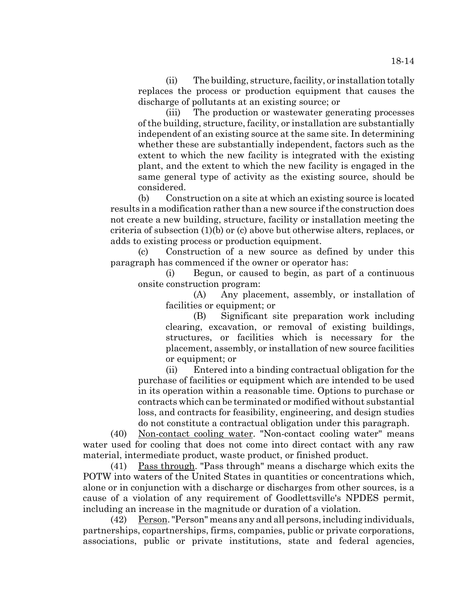(ii) The building, structure, facility, or installation totally replaces the process or production equipment that causes the discharge of pollutants at an existing source; or

(iii) The production or wastewater generating processes of the building, structure, facility, or installation are substantially independent of an existing source at the same site. In determining whether these are substantially independent, factors such as the extent to which the new facility is integrated with the existing plant, and the extent to which the new facility is engaged in the same general type of activity as the existing source, should be considered.

(b) Construction on a site at which an existing source is located results in a modification rather than a new source if the construction does not create a new building, structure, facility or installation meeting the criteria of subsection (1)(b) or (c) above but otherwise alters, replaces, or adds to existing process or production equipment.

(c) Construction of a new source as defined by under this paragraph has commenced if the owner or operator has:

(i) Begun, or caused to begin, as part of a continuous onsite construction program:

(A) Any placement, assembly, or installation of facilities or equipment; or

(B) Significant site preparation work including clearing, excavation, or removal of existing buildings, structures, or facilities which is necessary for the placement, assembly, or installation of new source facilities or equipment; or

(ii) Entered into a binding contractual obligation for the purchase of facilities or equipment which are intended to be used in its operation within a reasonable time. Options to purchase or contracts which can be terminated or modified without substantial loss, and contracts for feasibility, engineering, and design studies do not constitute a contractual obligation under this paragraph.

(40) Non-contact cooling water. "Non-contact cooling water" means water used for cooling that does not come into direct contact with any raw material, intermediate product, waste product, or finished product.

(41) Pass through. "Pass through" means a discharge which exits the POTW into waters of the United States in quantities or concentrations which, alone or in conjunction with a discharge or discharges from other sources, is a cause of a violation of any requirement of Goodlettsville's NPDES permit, including an increase in the magnitude or duration of a violation.

 $(42)$  Person. "Person" means any and all persons, including individuals, partnerships, copartnerships, firms, companies, public or private corporations, associations, public or private institutions, state and federal agencies,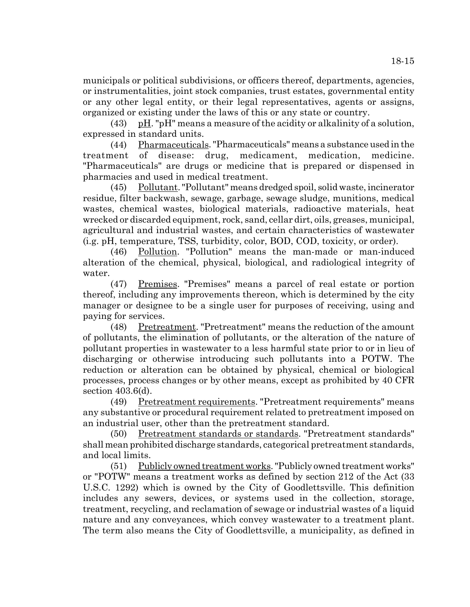municipals or political subdivisions, or officers thereof, departments, agencies, or instrumentalities, joint stock companies, trust estates, governmental entity or any other legal entity, or their legal representatives, agents or assigns, organized or existing under the laws of this or any state or country.

(43) pH. "pH" means a measure of the acidity or alkalinity of a solution, expressed in standard units.

(44) Pharmaceuticals. "Pharmaceuticals" means a substance used in the treatment of disease: drug, medicament, medication, medicine. "Pharmaceuticals" are drugs or medicine that is prepared or dispensed in pharmacies and used in medical treatment.

(45) Pollutant. "Pollutant" means dredged spoil, solid waste, incinerator residue, filter backwash, sewage, garbage, sewage sludge, munitions, medical wastes, chemical wastes, biological materials, radioactive materials, heat wrecked or discarded equipment, rock, sand, cellar dirt, oils, greases, municipal, agricultural and industrial wastes, and certain characteristics of wastewater (i.g. pH, temperature, TSS, turbidity, color, BOD, COD, toxicity, or order).

(46) Pollution. "Pollution" means the man-made or man-induced alteration of the chemical, physical, biological, and radiological integrity of water.

(47) Premises. "Premises" means a parcel of real estate or portion thereof, including any improvements thereon, which is determined by the city manager or designee to be a single user for purposes of receiving, using and paying for services.

(48) Pretreatment. "Pretreatment" means the reduction of the amount of pollutants, the elimination of pollutants, or the alteration of the nature of pollutant properties in wastewater to a less harmful state prior to or in lieu of discharging or otherwise introducing such pollutants into a POTW. The reduction or alteration can be obtained by physical, chemical or biological processes, process changes or by other means, except as prohibited by 40 CFR section 403.6(d).

(49) Pretreatment requirements. "Pretreatment requirements" means any substantive or procedural requirement related to pretreatment imposed on an industrial user, other than the pretreatment standard.

(50) Pretreatment standards or standards. "Pretreatment standards" shall mean prohibited discharge standards, categorical pretreatment standards, and local limits.

(51) Publicly owned treatment works. "Publicly owned treatment works" or "POTW" means a treatment works as defined by section 212 of the Act (33 U.S.C. 1292) which is owned by the City of Goodlettsville. This definition includes any sewers, devices, or systems used in the collection, storage, treatment, recycling, and reclamation of sewage or industrial wastes of a liquid nature and any conveyances, which convey wastewater to a treatment plant. The term also means the City of Goodlettsville, a municipality, as defined in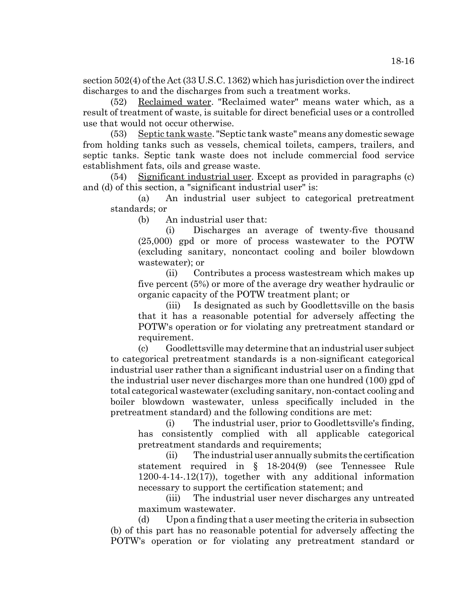section 502(4) of the Act (33 U.S.C. 1362) which has jurisdiction over the indirect discharges to and the discharges from such a treatment works.

(52) Reclaimed water. "Reclaimed water" means water which, as a result of treatment of waste, is suitable for direct beneficial uses or a controlled use that would not occur otherwise.

(53) Septic tank waste. "Septic tank waste" means any domestic sewage from holding tanks such as vessels, chemical toilets, campers, trailers, and septic tanks. Septic tank waste does not include commercial food service establishment fats, oils and grease waste.

(54) Significant industrial user. Except as provided in paragraphs (c) and (d) of this section, a "significant industrial user" is:

(a) An industrial user subject to categorical pretreatment standards; or

(b) An industrial user that:

(i) Discharges an average of twenty-five thousand (25,000) gpd or more of process wastewater to the POTW (excluding sanitary, noncontact cooling and boiler blowdown wastewater); or

(ii) Contributes a process wastestream which makes up five percent (5%) or more of the average dry weather hydraulic or organic capacity of the POTW treatment plant; or

(iii) Is designated as such by Goodlettsville on the basis that it has a reasonable potential for adversely affecting the POTW's operation or for violating any pretreatment standard or requirement.

(c) Goodlettsville may determine that an industrial user subject to categorical pretreatment standards is a non-significant categorical industrial user rather than a significant industrial user on a finding that the industrial user never discharges more than one hundred (100) gpd of total categorical wastewater (excluding sanitary, non-contact cooling and boiler blowdown wastewater, unless specifically included in the pretreatment standard) and the following conditions are met:

(i) The industrial user, prior to Goodlettsville's finding, has consistently complied with all applicable categorical pretreatment standards and requirements;

(ii) The industrial user annually submits the certification statement required in § 18-204(9) (see Tennessee Rule 1200-4-14-.12(17)), together with any additional information necessary to support the certification statement; and

(iii) The industrial user never discharges any untreated maximum wastewater.

(d) Upon a finding that a user meeting the criteria in subsection (b) of this part has no reasonable potential for adversely affecting the POTW's operation or for violating any pretreatment standard or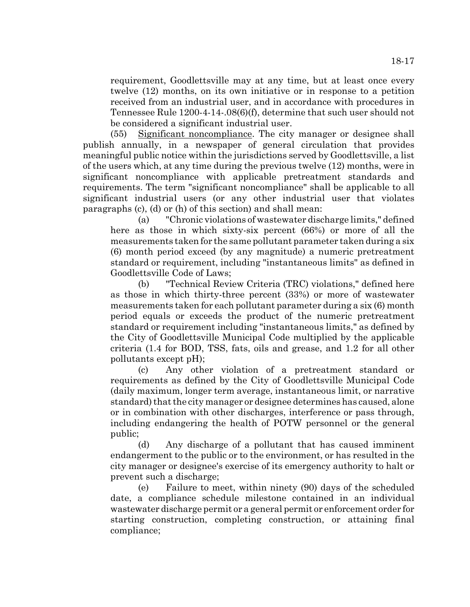requirement, Goodlettsville may at any time, but at least once every twelve (12) months, on its own initiative or in response to a petition received from an industrial user, and in accordance with procedures in Tennessee Rule 1200-4-14-.08(6)(f), determine that such user should not be considered a significant industrial user.

(55) Significant noncompliance. The city manager or designee shall publish annually, in a newspaper of general circulation that provides meaningful public notice within the jurisdictions served by Goodlettsville, a list of the users which, at any time during the previous twelve (12) months, were in significant noncompliance with applicable pretreatment standards and requirements. The term "significant noncompliance" shall be applicable to all significant industrial users (or any other industrial user that violates paragraphs (c), (d) or (h) of this section) and shall mean:

(a) "Chronic violations of wastewater discharge limits," defined here as those in which sixty-six percent (66%) or more of all the measurements taken for the same pollutant parameter taken during a six (6) month period exceed (by any magnitude) a numeric pretreatment standard or requirement, including "instantaneous limits" as defined in Goodlettsville Code of Laws;

(b) "Technical Review Criteria (TRC) violations," defined here as those in which thirty-three percent (33%) or more of wastewater measurements taken for each pollutant parameter during a six (6) month period equals or exceeds the product of the numeric pretreatment standard or requirement including "instantaneous limits," as defined by the City of Goodlettsville Municipal Code multiplied by the applicable criteria (1.4 for BOD, TSS, fats, oils and grease, and 1.2 for all other pollutants except pH);

(c) Any other violation of a pretreatment standard or requirements as defined by the City of Goodlettsville Municipal Code (daily maximum, longer term average, instantaneous limit, or narrative standard) that the city manager or designee determines has caused, alone or in combination with other discharges, interference or pass through, including endangering the health of POTW personnel or the general public;

(d) Any discharge of a pollutant that has caused imminent endangerment to the public or to the environment, or has resulted in the city manager or designee's exercise of its emergency authority to halt or prevent such a discharge;

(e) Failure to meet, within ninety (90) days of the scheduled date, a compliance schedule milestone contained in an individual wastewater discharge permit or a general permit or enforcement order for starting construction, completing construction, or attaining final compliance;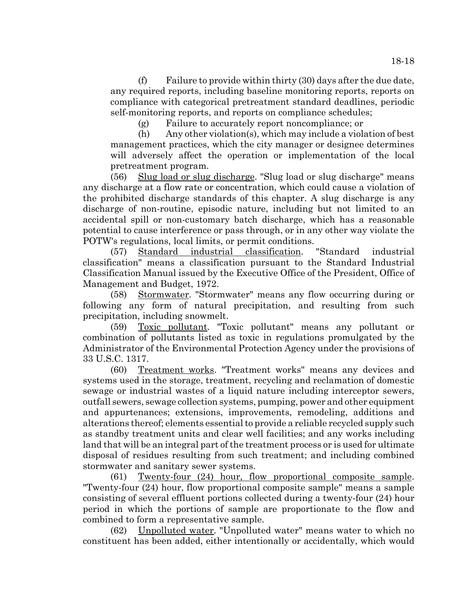(f) Failure to provide within thirty  $(30)$  days after the due date, any required reports, including baseline monitoring reports, reports on compliance with categorical pretreatment standard deadlines, periodic self-monitoring reports, and reports on compliance schedules;

(g) Failure to accurately report noncompliance; or

(h) Any other violation(s), which may include a violation of best management practices, which the city manager or designee determines will adversely affect the operation or implementation of the local pretreatment program.

(56) Slug load or slug discharge. "Slug load or slug discharge" means any discharge at a flow rate or concentration, which could cause a violation of the prohibited discharge standards of this chapter. A slug discharge is any discharge of non-routine, episodic nature, including but not limited to an accidental spill or non-customary batch discharge, which has a reasonable potential to cause interference or pass through, or in any other way violate the POTW's regulations, local limits, or permit conditions.

(57) Standard industrial classification. "Standard industrial classification" means a classification pursuant to the Standard Industrial Classification Manual issued by the Executive Office of the President, Office of Management and Budget, 1972.

(58) Stormwater. "Stormwater" means any flow occurring during or following any form of natural precipitation, and resulting from such precipitation, including snowmelt.

(59) Toxic pollutant. "Toxic pollutant" means any pollutant or combination of pollutants listed as toxic in regulations promulgated by the Administrator of the Environmental Protection Agency under the provisions of 33 U.S.C. 1317.

(60) Treatment works. "Treatment works" means any devices and systems used in the storage, treatment, recycling and reclamation of domestic sewage or industrial wastes of a liquid nature including interceptor sewers, outfall sewers, sewage collection systems, pumping, power and other equipment and appurtenances; extensions, improvements, remodeling, additions and alterations thereof; elements essential to provide a reliable recycled supply such as standby treatment units and clear well facilities; and any works including land that will be an integral part of the treatment process or is used for ultimate disposal of residues resulting from such treatment; and including combined stormwater and sanitary sewer systems.

(61) Twenty-four (24) hour, flow proportional composite sample. "Twenty-four (24) hour, flow proportional composite sample" means a sample consisting of several effluent portions collected during a twenty-four (24) hour period in which the portions of sample are proportionate to the flow and combined to form a representative sample.

(62) Unpolluted water. "Unpolluted water" means water to which no constituent has been added, either intentionally or accidentally, which would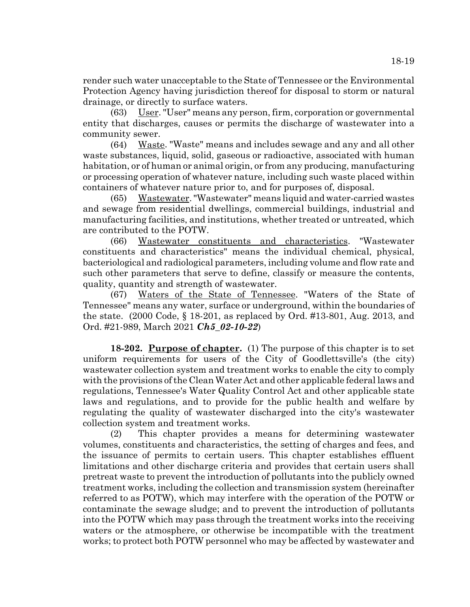render such water unacceptable to the State of Tennessee or the Environmental Protection Agency having jurisdiction thereof for disposal to storm or natural drainage, or directly to surface waters.

(63) User. "User" means any person, firm, corporation or governmental entity that discharges, causes or permits the discharge of wastewater into a community sewer.

(64) Waste. "Waste" means and includes sewage and any and all other waste substances, liquid, solid, gaseous or radioactive, associated with human habitation, or of human or animal origin, or from any producing, manufacturing or processing operation of whatever nature, including such waste placed within containers of whatever nature prior to, and for purposes of, disposal.

(65) Wastewater. "Wastewater" means liquid and water-carried wastes and sewage from residential dwellings, commercial buildings, industrial and manufacturing facilities, and institutions, whether treated or untreated, which are contributed to the POTW.

(66) Wastewater constituents and characteristics. "Wastewater constituents and characteristics" means the individual chemical, physical, bacteriological and radiological parameters, including volume and flow rate and such other parameters that serve to define, classify or measure the contents, quality, quantity and strength of wastewater.

(67) Waters of the State of Tennessee. "Waters of the State of Tennessee" means any water, surface or underground, within the boundaries of the state. (2000 Code, § 18-201, as replaced by Ord. #13-801, Aug. 2013, and Ord. #21-989, March 2021 *Ch5\_02-10-22*)

**18-202. Purpose of chapter.** (1) The purpose of this chapter is to set uniform requirements for users of the City of Goodlettsville's (the city) wastewater collection system and treatment works to enable the city to comply with the provisions of the Clean Water Act and other applicable federal laws and regulations, Tennessee's Water Quality Control Act and other applicable state laws and regulations, and to provide for the public health and welfare by regulating the quality of wastewater discharged into the city's wastewater collection system and treatment works.

(2) This chapter provides a means for determining wastewater volumes, constituents and characteristics, the setting of charges and fees, and the issuance of permits to certain users. This chapter establishes effluent limitations and other discharge criteria and provides that certain users shall pretreat waste to prevent the introduction of pollutants into the publicly owned treatment works, including the collection and transmission system (hereinafter referred to as POTW), which may interfere with the operation of the POTW or contaminate the sewage sludge; and to prevent the introduction of pollutants into the POTW which may pass through the treatment works into the receiving waters or the atmosphere, or otherwise be incompatible with the treatment works; to protect both POTW personnel who may be affected by wastewater and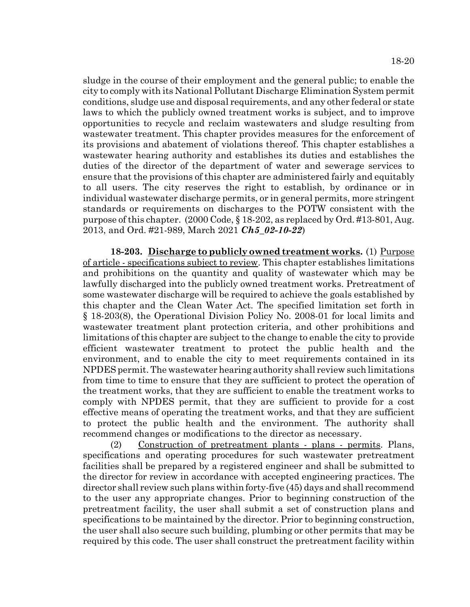sludge in the course of their employment and the general public; to enable the city to comply with its National Pollutant Discharge Elimination System permit conditions, sludge use and disposal requirements, and any other federal or state laws to which the publicly owned treatment works is subject, and to improve opportunities to recycle and reclaim wastewaters and sludge resulting from wastewater treatment. This chapter provides measures for the enforcement of its provisions and abatement of violations thereof. This chapter establishes a wastewater hearing authority and establishes its duties and establishes the duties of the director of the department of water and sewerage services to ensure that the provisions of this chapter are administered fairly and equitably to all users. The city reserves the right to establish, by ordinance or in individual wastewater discharge permits, or in general permits, more stringent standards or requirements on discharges to the POTW consistent with the purpose of this chapter. (2000 Code, § 18-202, as replaced by Ord. #13-801, Aug. 2013, and Ord. #21-989, March 2021 *Ch5\_02-10-22*)

**18-203. Discharge to publicly owned treatment works.** (1) Purpose of article - specifications subject to review. This chapter establishes limitations and prohibitions on the quantity and quality of wastewater which may be lawfully discharged into the publicly owned treatment works. Pretreatment of some wastewater discharge will be required to achieve the goals established by this chapter and the Clean Water Act. The specified limitation set forth in § 18-203(8), the Operational Division Policy No. 2008-01 for local limits and wastewater treatment plant protection criteria, and other prohibitions and limitations of this chapter are subject to the change to enable the city to provide efficient wastewater treatment to protect the public health and the environment, and to enable the city to meet requirements contained in its NPDES permit. The wastewater hearing authority shall review such limitations from time to time to ensure that they are sufficient to protect the operation of the treatment works, that they are sufficient to enable the treatment works to comply with NPDES permit, that they are sufficient to provide for a cost effective means of operating the treatment works, and that they are sufficient to protect the public health and the environment. The authority shall recommend changes or modifications to the director as necessary.

(2) Construction of pretreatment plants - plans - permits. Plans, specifications and operating procedures for such wastewater pretreatment facilities shall be prepared by a registered engineer and shall be submitted to the director for review in accordance with accepted engineering practices. The director shall review such plans within forty-five (45) days and shall recommend to the user any appropriate changes. Prior to beginning construction of the pretreatment facility, the user shall submit a set of construction plans and specifications to be maintained by the director. Prior to beginning construction, the user shall also secure such building, plumbing or other permits that may be required by this code. The user shall construct the pretreatment facility within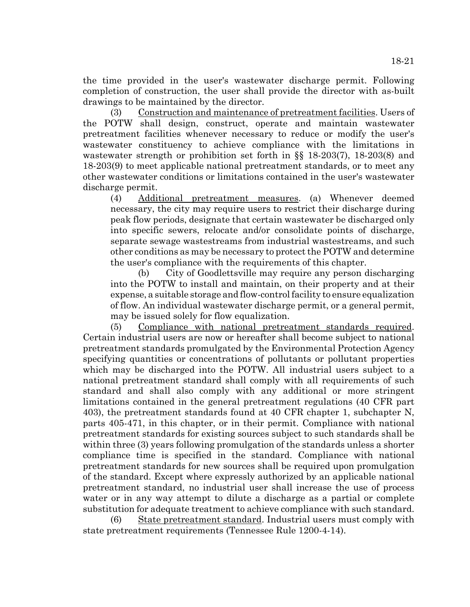the time provided in the user's wastewater discharge permit. Following completion of construction, the user shall provide the director with as-built drawings to be maintained by the director.

(3) Construction and maintenance of pretreatment facilities. Users of the POTW shall design, construct, operate and maintain wastewater pretreatment facilities whenever necessary to reduce or modify the user's wastewater constituency to achieve compliance with the limitations in wastewater strength or prohibition set forth in §§ 18-203(7), 18-203(8) and 18-203(9) to meet applicable national pretreatment standards, or to meet any other wastewater conditions or limitations contained in the user's wastewater discharge permit.

(4) Additional pretreatment measures. (a) Whenever deemed necessary, the city may require users to restrict their discharge during peak flow periods, designate that certain wastewater be discharged only into specific sewers, relocate and/or consolidate points of discharge, separate sewage wastestreams from industrial wastestreams, and such other conditions as may be necessary to protect the POTW and determine the user's compliance with the requirements of this chapter.

(b) City of Goodlettsville may require any person discharging into the POTW to install and maintain, on their property and at their expense, a suitable storage and flow-control facility to ensure equalization of flow. An individual wastewater discharge permit, or a general permit, may be issued solely for flow equalization.

(5) Compliance with national pretreatment standards required. Certain industrial users are now or hereafter shall become subject to national pretreatment standards promulgated by the Environmental Protection Agency specifying quantities or concentrations of pollutants or pollutant properties which may be discharged into the POTW. All industrial users subject to a national pretreatment standard shall comply with all requirements of such standard and shall also comply with any additional or more stringent limitations contained in the general pretreatment regulations (40 CFR part 403), the pretreatment standards found at 40 CFR chapter 1, subchapter N, parts 405-471, in this chapter, or in their permit. Compliance with national pretreatment standards for existing sources subject to such standards shall be within three (3) years following promulgation of the standards unless a shorter compliance time is specified in the standard. Compliance with national pretreatment standards for new sources shall be required upon promulgation of the standard. Except where expressly authorized by an applicable national pretreatment standard, no industrial user shall increase the use of process water or in any way attempt to dilute a discharge as a partial or complete substitution for adequate treatment to achieve compliance with such standard.

(6) State pretreatment standard. Industrial users must comply with state pretreatment requirements (Tennessee Rule 1200-4-14).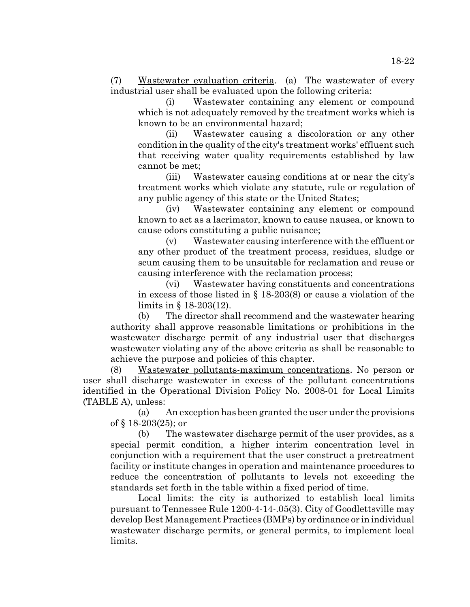(7) Wastewater evaluation criteria. (a) The wastewater of every industrial user shall be evaluated upon the following criteria:

(i) Wastewater containing any element or compound which is not adequately removed by the treatment works which is known to be an environmental hazard;

(ii) Wastewater causing a discoloration or any other condition in the quality of the city's treatment works' effluent such that receiving water quality requirements established by law cannot be met;

(iii) Wastewater causing conditions at or near the city's treatment works which violate any statute, rule or regulation of any public agency of this state or the United States;

(iv) Wastewater containing any element or compound known to act as a lacrimator, known to cause nausea, or known to cause odors constituting a public nuisance;

(v) Wastewater causing interference with the effluent or any other product of the treatment process, residues, sludge or scum causing them to be unsuitable for reclamation and reuse or causing interference with the reclamation process;

(vi) Wastewater having constituents and concentrations in excess of those listed in § 18-203(8) or cause a violation of the limits in § 18-203(12).

(b) The director shall recommend and the wastewater hearing authority shall approve reasonable limitations or prohibitions in the wastewater discharge permit of any industrial user that discharges wastewater violating any of the above criteria as shall be reasonable to achieve the purpose and policies of this chapter.

(8) Wastewater pollutants-maximum concentrations. No person or user shall discharge wastewater in excess of the pollutant concentrations identified in the Operational Division Policy No. 2008-01 for Local Limits (TABLE A), unless:

(a) An exception has been granted the user under the provisions of § 18-203(25); or

(b) The wastewater discharge permit of the user provides, as a special permit condition, a higher interim concentration level in conjunction with a requirement that the user construct a pretreatment facility or institute changes in operation and maintenance procedures to reduce the concentration of pollutants to levels not exceeding the standards set forth in the table within a fixed period of time.

Local limits: the city is authorized to establish local limits pursuant to Tennessee Rule 1200-4-14-.05(3). City of Goodlettsville may develop Best Management Practices (BMPs) by ordinance or in individual wastewater discharge permits, or general permits, to implement local limits.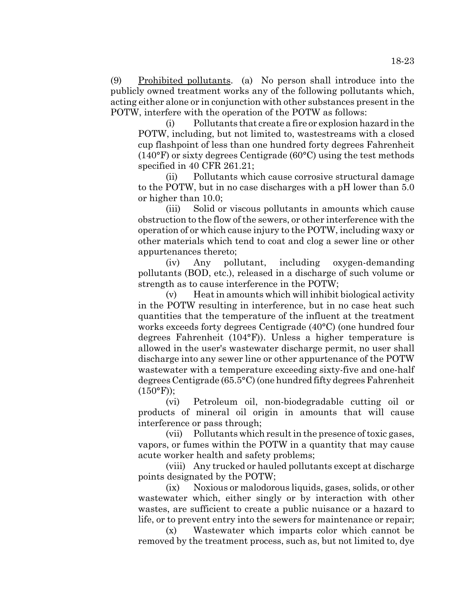(9) Prohibited pollutants. (a) No person shall introduce into the publicly owned treatment works any of the following pollutants which, acting either alone or in conjunction with other substances present in the POTW, interfere with the operation of the POTW as follows:

(i) Pollutants that create a fire or explosion hazard in the POTW, including, but not limited to, wastestreams with a closed cup flashpoint of less than one hundred forty degrees Fahrenheit (140°F) or sixty degrees Centigrade (60°C) using the test methods specified in 40 CFR 261.21;

(ii) Pollutants which cause corrosive structural damage to the POTW, but in no case discharges with a pH lower than 5.0 or higher than 10.0;

(iii) Solid or viscous pollutants in amounts which cause obstruction to the flow of the sewers, or other interference with the operation of or which cause injury to the POTW, including waxy or other materials which tend to coat and clog a sewer line or other appurtenances thereto;

(iv) Any pollutant, including oxygen-demanding pollutants (BOD, etc.), released in a discharge of such volume or strength as to cause interference in the POTW;

(v) Heat in amounts which will inhibit biological activity in the POTW resulting in interference, but in no case heat such quantities that the temperature of the influent at the treatment works exceeds forty degrees Centigrade (40°C) (one hundred four degrees Fahrenheit (104°F)). Unless a higher temperature is allowed in the user's wastewater discharge permit, no user shall discharge into any sewer line or other appurtenance of the POTW wastewater with a temperature exceeding sixty-five and one-half degrees Centigrade (65.5°C) (one hundred fifty degrees Fahrenheit  $(150^{\circ}F))$ ;

(vi) Petroleum oil, non-biodegradable cutting oil or products of mineral oil origin in amounts that will cause interference or pass through;

(vii) Pollutants which result in the presence of toxic gases, vapors, or fumes within the POTW in a quantity that may cause acute worker health and safety problems;

(viii) Any trucked or hauled pollutants except at discharge points designated by the POTW;

(ix) Noxious or malodorous liquids, gases, solids, or other wastewater which, either singly or by interaction with other wastes, are sufficient to create a public nuisance or a hazard to life, or to prevent entry into the sewers for maintenance or repair;

(x) Wastewater which imparts color which cannot be removed by the treatment process, such as, but not limited to, dye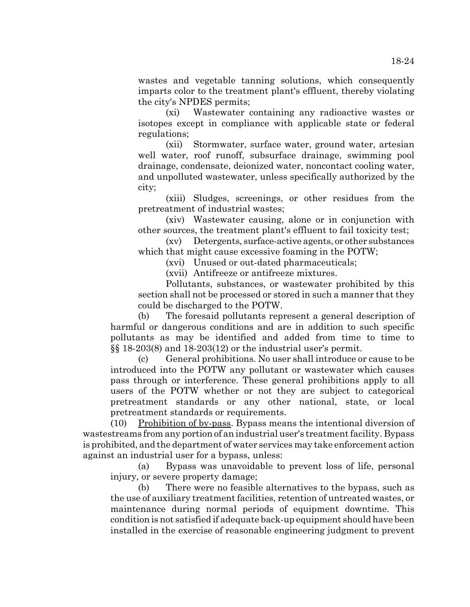wastes and vegetable tanning solutions, which consequently imparts color to the treatment plant's effluent, thereby violating the city's NPDES permits;

(xi) Wastewater containing any radioactive wastes or isotopes except in compliance with applicable state or federal regulations;

(xii) Stormwater, surface water, ground water, artesian well water, roof runoff, subsurface drainage, swimming pool drainage, condensate, deionized water, noncontact cooling water, and unpolluted wastewater, unless specifically authorized by the city;

(xiii) Sludges, screenings, or other residues from the pretreatment of industrial wastes;

(xiv) Wastewater causing, alone or in conjunction with other sources, the treatment plant's effluent to fail toxicity test;

(xv) Detergents, surface-active agents, or other substances which that might cause excessive foaming in the POTW;

(xvi) Unused or out-dated pharmaceuticals;

(xvii) Antifreeze or antifreeze mixtures.

Pollutants, substances, or wastewater prohibited by this section shall not be processed or stored in such a manner that they could be discharged to the POTW.

(b) The foresaid pollutants represent a general description of harmful or dangerous conditions and are in addition to such specific pollutants as may be identified and added from time to time to §§ 18-203(8) and 18-203(12) or the industrial user's permit.

(c) General prohibitions. No user shall introduce or cause to be introduced into the POTW any pollutant or wastewater which causes pass through or interference. These general prohibitions apply to all users of the POTW whether or not they are subject to categorical pretreatment standards or any other national, state, or local pretreatment standards or requirements.

(10) Prohibition of by-pass. Bypass means the intentional diversion of wastestreams from any portion of an industrial user's treatment facility. Bypass is prohibited, and the department of water services may take enforcement action against an industrial user for a bypass, unless:

(a) Bypass was unavoidable to prevent loss of life, personal injury, or severe property damage;

(b) There were no feasible alternatives to the bypass, such as the use of auxiliary treatment facilities, retention of untreated wastes, or maintenance during normal periods of equipment downtime. This condition is not satisfied if adequate back-up equipment should have been installed in the exercise of reasonable engineering judgment to prevent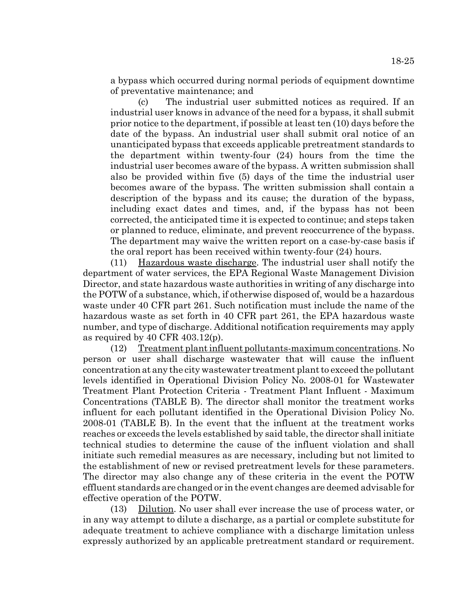a bypass which occurred during normal periods of equipment downtime of preventative maintenance; and

(c) The industrial user submitted notices as required. If an industrial user knows in advance of the need for a bypass, it shall submit prior notice to the department, if possible at least ten (10) days before the date of the bypass. An industrial user shall submit oral notice of an unanticipated bypass that exceeds applicable pretreatment standards to the department within twenty-four (24) hours from the time the industrial user becomes aware of the bypass. A written submission shall also be provided within five (5) days of the time the industrial user becomes aware of the bypass. The written submission shall contain a description of the bypass and its cause; the duration of the bypass, including exact dates and times, and, if the bypass has not been corrected, the anticipated time it is expected to continue; and steps taken or planned to reduce, eliminate, and prevent reoccurrence of the bypass. The department may waive the written report on a case-by-case basis if the oral report has been received within twenty-four (24) hours.

(11) Hazardous waste discharge. The industrial user shall notify the department of water services, the EPA Regional Waste Management Division Director, and state hazardous waste authorities in writing of any discharge into the POTW of a substance, which, if otherwise disposed of, would be a hazardous waste under 40 CFR part 261. Such notification must include the name of the hazardous waste as set forth in 40 CFR part 261, the EPA hazardous waste number, and type of discharge. Additional notification requirements may apply as required by 40 CFR 403.12(p).

(12) Treatment plant influent pollutants-maximum concentrations. No person or user shall discharge wastewater that will cause the influent concentration at any the city wastewater treatment plant to exceed the pollutant levels identified in Operational Division Policy No. 2008-01 for Wastewater Treatment Plant Protection Criteria - Treatment Plant Influent - Maximum Concentrations (TABLE B). The director shall monitor the treatment works influent for each pollutant identified in the Operational Division Policy No. 2008-01 (TABLE B). In the event that the influent at the treatment works reaches or exceeds the levels established by said table, the director shall initiate technical studies to determine the cause of the influent violation and shall initiate such remedial measures as are necessary, including but not limited to the establishment of new or revised pretreatment levels for these parameters. The director may also change any of these criteria in the event the POTW effluent standards are changed or in the event changes are deemed advisable for effective operation of the POTW.

(13) Dilution. No user shall ever increase the use of process water, or in any way attempt to dilute a discharge, as a partial or complete substitute for adequate treatment to achieve compliance with a discharge limitation unless expressly authorized by an applicable pretreatment standard or requirement.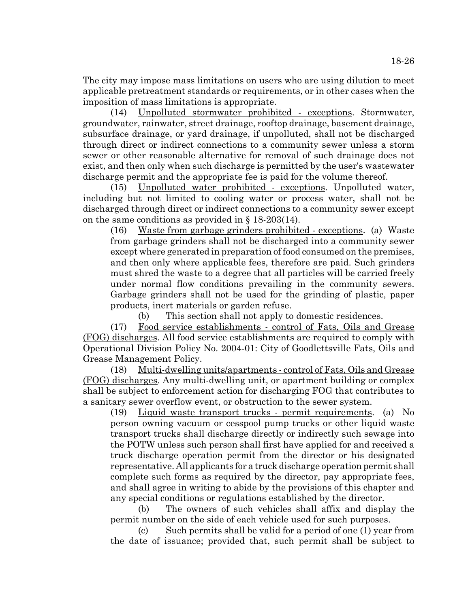The city may impose mass limitations on users who are using dilution to meet applicable pretreatment standards or requirements, or in other cases when the imposition of mass limitations is appropriate.

(14) Unpolluted stormwater prohibited - exceptions. Stormwater, groundwater, rainwater, street drainage, rooftop drainage, basement drainage, subsurface drainage, or yard drainage, if unpolluted, shall not be discharged through direct or indirect connections to a community sewer unless a storm sewer or other reasonable alternative for removal of such drainage does not exist, and then only when such discharge is permitted by the user's wastewater discharge permit and the appropriate fee is paid for the volume thereof.

(15) Unpolluted water prohibited - exceptions. Unpolluted water, including but not limited to cooling water or process water, shall not be discharged through direct or indirect connections to a community sewer except on the same conditions as provided in  $\S$  18-203(14).

(16) Waste from garbage grinders prohibited - exceptions. (a) Waste from garbage grinders shall not be discharged into a community sewer except where generated in preparation of food consumed on the premises, and then only where applicable fees, therefore are paid. Such grinders must shred the waste to a degree that all particles will be carried freely under normal flow conditions prevailing in the community sewers. Garbage grinders shall not be used for the grinding of plastic, paper products, inert materials or garden refuse.

(b) This section shall not apply to domestic residences.

(17) Food service establishments - control of Fats, Oils and Grease (FOG) discharges. All food service establishments are required to comply with Operational Division Policy No. 2004-01: City of Goodlettsville Fats, Oils and Grease Management Policy.

(18) Multi-dwelling units/apartments - control of Fats, Oils and Grease (FOG) discharges. Any multi-dwelling unit, or apartment building or complex shall be subject to enforcement action for discharging FOG that contributes to a sanitary sewer overflow event, or obstruction to the sewer system.

(19) Liquid waste transport trucks - permit requirements. (a) No person owning vacuum or cesspool pump trucks or other liquid waste transport trucks shall discharge directly or indirectly such sewage into the POTW unless such person shall first have applied for and received a truck discharge operation permit from the director or his designated representative. All applicants for a truck discharge operation permit shall complete such forms as required by the director, pay appropriate fees, and shall agree in writing to abide by the provisions of this chapter and any special conditions or regulations established by the director.

(b) The owners of such vehicles shall affix and display the permit number on the side of each vehicle used for such purposes.

(c) Such permits shall be valid for a period of one (1) year from the date of issuance; provided that, such permit shall be subject to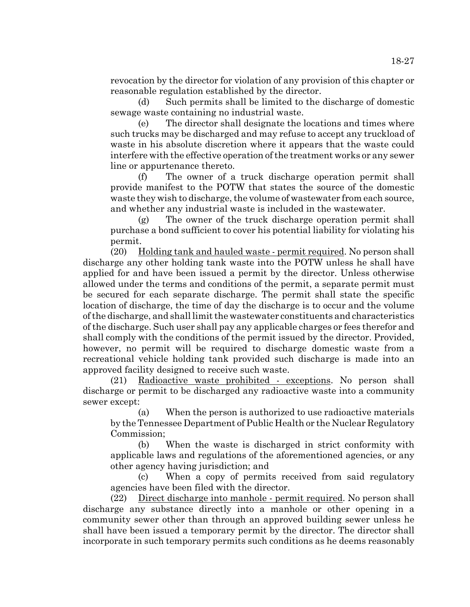revocation by the director for violation of any provision of this chapter or reasonable regulation established by the director.

(d) Such permits shall be limited to the discharge of domestic sewage waste containing no industrial waste.

(e) The director shall designate the locations and times where such trucks may be discharged and may refuse to accept any truckload of waste in his absolute discretion where it appears that the waste could interfere with the effective operation of the treatment works or any sewer line or appurtenance thereto.

(f) The owner of a truck discharge operation permit shall provide manifest to the POTW that states the source of the domestic waste they wish to discharge, the volume of wastewater from each source, and whether any industrial waste is included in the wastewater.

(g) The owner of the truck discharge operation permit shall purchase a bond sufficient to cover his potential liability for violating his permit.

(20) Holding tank and hauled waste - permit required. No person shall discharge any other holding tank waste into the POTW unless he shall have applied for and have been issued a permit by the director. Unless otherwise allowed under the terms and conditions of the permit, a separate permit must be secured for each separate discharge. The permit shall state the specific location of discharge, the time of day the discharge is to occur and the volume of the discharge, and shall limit the wastewater constituents and characteristics of the discharge. Such user shall pay any applicable charges or fees therefor and shall comply with the conditions of the permit issued by the director. Provided, however, no permit will be required to discharge domestic waste from a recreational vehicle holding tank provided such discharge is made into an approved facility designed to receive such waste.

(21) Radioactive waste prohibited - exceptions. No person shall discharge or permit to be discharged any radioactive waste into a community sewer except:

(a) When the person is authorized to use radioactive materials by the Tennessee Department of Public Health or the Nuclear Regulatory Commission;

(b) When the waste is discharged in strict conformity with applicable laws and regulations of the aforementioned agencies, or any other agency having jurisdiction; and

(c) When a copy of permits received from said regulatory agencies have been filed with the director.

(22) Direct discharge into manhole - permit required. No person shall discharge any substance directly into a manhole or other opening in a community sewer other than through an approved building sewer unless he shall have been issued a temporary permit by the director. The director shall incorporate in such temporary permits such conditions as he deems reasonably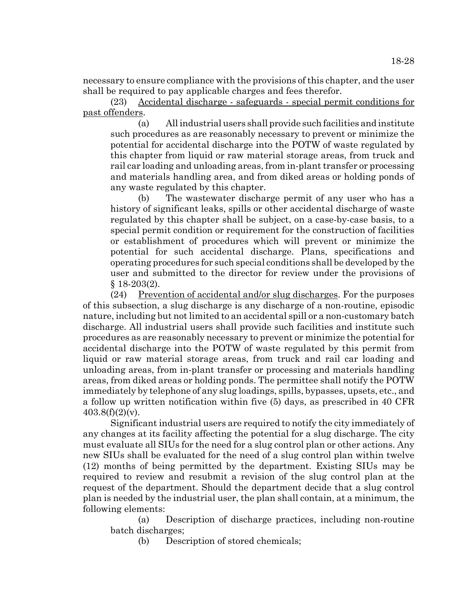necessary to ensure compliance with the provisions of this chapter, and the user shall be required to pay applicable charges and fees therefor.

(23) Accidental discharge - safeguards - special permit conditions for past offenders.

(a) All industrial users shall provide such facilities and institute such procedures as are reasonably necessary to prevent or minimize the potential for accidental discharge into the POTW of waste regulated by this chapter from liquid or raw material storage areas, from truck and rail car loading and unloading areas, from in-plant transfer or processing and materials handling area, and from diked areas or holding ponds of any waste regulated by this chapter.

(b) The wastewater discharge permit of any user who has a history of significant leaks, spills or other accidental discharge of waste regulated by this chapter shall be subject, on a case-by-case basis, to a special permit condition or requirement for the construction of facilities or establishment of procedures which will prevent or minimize the potential for such accidental discharge. Plans, specifications and operating procedures for such special conditions shall be developed by the user and submitted to the director for review under the provisions of § 18-203(2).

(24) Prevention of accidental and/or slug discharges. For the purposes of this subsection, a slug discharge is any discharge of a non-routine, episodic nature, including but not limited to an accidental spill or a non-customary batch discharge. All industrial users shall provide such facilities and institute such procedures as are reasonably necessary to prevent or minimize the potential for accidental discharge into the POTW of waste regulated by this permit from liquid or raw material storage areas, from truck and rail car loading and unloading areas, from in-plant transfer or processing and materials handling areas, from diked areas or holding ponds. The permittee shall notify the POTW immediately by telephone of any slug loadings, spills, bypasses, upsets, etc., and a follow up written notification within five (5) days, as prescribed in 40 CFR  $403.8(f)(2)(v)$ .

Significant industrial users are required to notify the city immediately of any changes at its facility affecting the potential for a slug discharge. The city must evaluate all SIUs for the need for a slug control plan or other actions. Any new SIUs shall be evaluated for the need of a slug control plan within twelve (12) months of being permitted by the department. Existing SIUs may be required to review and resubmit a revision of the slug control plan at the request of the department. Should the department decide that a slug control plan is needed by the industrial user, the plan shall contain, at a minimum, the following elements:

(a) Description of discharge practices, including non-routine batch discharges;

(b) Description of stored chemicals;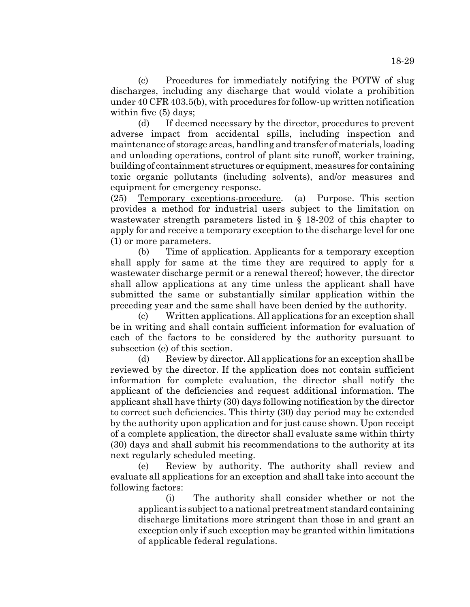(c) Procedures for immediately notifying the POTW of slug discharges, including any discharge that would violate a prohibition under 40 CFR 403.5(b), with procedures for follow-up written notification within five (5) days;

(d) If deemed necessary by the director, procedures to prevent adverse impact from accidental spills, including inspection and maintenance of storage areas, handling and transfer of materials, loading and unloading operations, control of plant site runoff, worker training, building of containment structures or equipment, measures for containing toxic organic pollutants (including solvents), and/or measures and equipment for emergency response.

(25) Temporary exceptions-procedure. (a) Purpose. This section provides a method for industrial users subject to the limitation on wastewater strength parameters listed in § 18-202 of this chapter to apply for and receive a temporary exception to the discharge level for one (1) or more parameters.

(b) Time of application. Applicants for a temporary exception shall apply for same at the time they are required to apply for a wastewater discharge permit or a renewal thereof; however, the director shall allow applications at any time unless the applicant shall have submitted the same or substantially similar application within the preceding year and the same shall have been denied by the authority.

(c) Written applications. All applications for an exception shall be in writing and shall contain sufficient information for evaluation of each of the factors to be considered by the authority pursuant to subsection (e) of this section.

(d) Review by director. All applications for an exception shall be reviewed by the director. If the application does not contain sufficient information for complete evaluation, the director shall notify the applicant of the deficiencies and request additional information. The applicant shall have thirty (30) days following notification by the director to correct such deficiencies. This thirty (30) day period may be extended by the authority upon application and for just cause shown. Upon receipt of a complete application, the director shall evaluate same within thirty (30) days and shall submit his recommendations to the authority at its next regularly scheduled meeting.

(e) Review by authority. The authority shall review and evaluate all applications for an exception and shall take into account the following factors:

(i) The authority shall consider whether or not the applicant is subject to a national pretreatment standard containing discharge limitations more stringent than those in and grant an exception only if such exception may be granted within limitations of applicable federal regulations.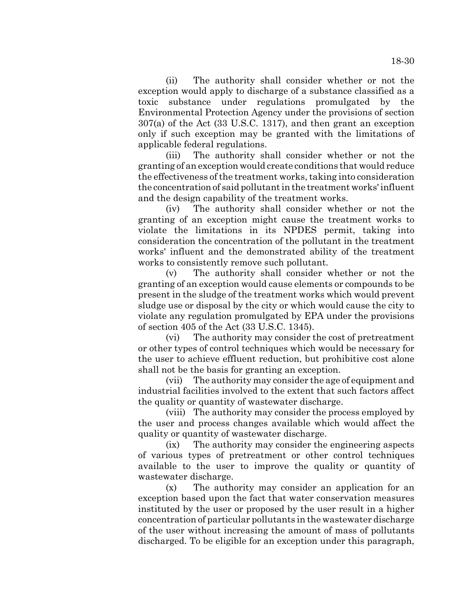(ii) The authority shall consider whether or not the exception would apply to discharge of a substance classified as a toxic substance under regulations promulgated by the Environmental Protection Agency under the provisions of section 307(a) of the Act (33 U.S.C. 1317), and then grant an exception only if such exception may be granted with the limitations of applicable federal regulations.

(iii) The authority shall consider whether or not the granting of an exception would create conditions that would reduce the effectiveness of the treatment works, taking into consideration the concentration of said pollutant in the treatment works' influent and the design capability of the treatment works.

(iv) The authority shall consider whether or not the granting of an exception might cause the treatment works to violate the limitations in its NPDES permit, taking into consideration the concentration of the pollutant in the treatment works' influent and the demonstrated ability of the treatment works to consistently remove such pollutant.

(v) The authority shall consider whether or not the granting of an exception would cause elements or compounds to be present in the sludge of the treatment works which would prevent sludge use or disposal by the city or which would cause the city to violate any regulation promulgated by EPA under the provisions of section 405 of the Act (33 U.S.C. 1345).

(vi) The authority may consider the cost of pretreatment or other types of control techniques which would be necessary for the user to achieve effluent reduction, but prohibitive cost alone shall not be the basis for granting an exception.

(vii) The authority may consider the age of equipment and industrial facilities involved to the extent that such factors affect the quality or quantity of wastewater discharge.

(viii) The authority may consider the process employed by the user and process changes available which would affect the quality or quantity of wastewater discharge.

(ix) The authority may consider the engineering aspects of various types of pretreatment or other control techniques available to the user to improve the quality or quantity of wastewater discharge.

(x) The authority may consider an application for an exception based upon the fact that water conservation measures instituted by the user or proposed by the user result in a higher concentration of particular pollutants in the wastewater discharge of the user without increasing the amount of mass of pollutants discharged. To be eligible for an exception under this paragraph,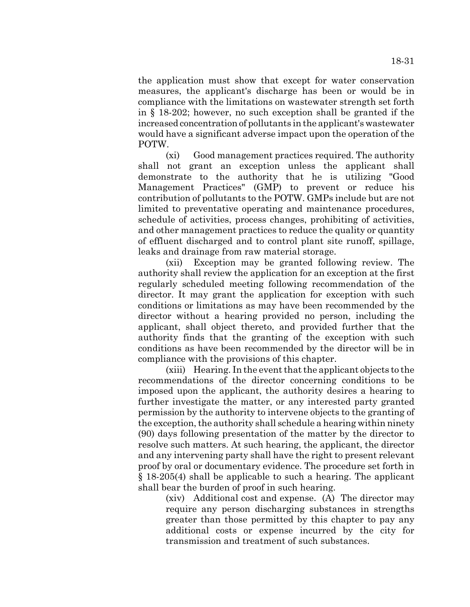the application must show that except for water conservation measures, the applicant's discharge has been or would be in compliance with the limitations on wastewater strength set forth in § 18-202; however, no such exception shall be granted if the increased concentration of pollutants in the applicant's wastewater would have a significant adverse impact upon the operation of the POTW.

(xi) Good management practices required. The authority shall not grant an exception unless the applicant shall demonstrate to the authority that he is utilizing "Good Management Practices" (GMP) to prevent or reduce his contribution of pollutants to the POTW. GMPs include but are not limited to preventative operating and maintenance procedures, schedule of activities, process changes, prohibiting of activities, and other management practices to reduce the quality or quantity of effluent discharged and to control plant site runoff, spillage, leaks and drainage from raw material storage.

(xii) Exception may be granted following review. The authority shall review the application for an exception at the first regularly scheduled meeting following recommendation of the director. It may grant the application for exception with such conditions or limitations as may have been recommended by the director without a hearing provided no person, including the applicant, shall object thereto, and provided further that the authority finds that the granting of the exception with such conditions as have been recommended by the director will be in compliance with the provisions of this chapter.

(xiii) Hearing. In the event that the applicant objects to the recommendations of the director concerning conditions to be imposed upon the applicant, the authority desires a hearing to further investigate the matter, or any interested party granted permission by the authority to intervene objects to the granting of the exception, the authority shall schedule a hearing within ninety (90) days following presentation of the matter by the director to resolve such matters. At such hearing, the applicant, the director and any intervening party shall have the right to present relevant proof by oral or documentary evidence. The procedure set forth in § 18-205(4) shall be applicable to such a hearing. The applicant shall bear the burden of proof in such hearing.

(xiv) Additional cost and expense. (A) The director may require any person discharging substances in strengths greater than those permitted by this chapter to pay any additional costs or expense incurred by the city for transmission and treatment of such substances.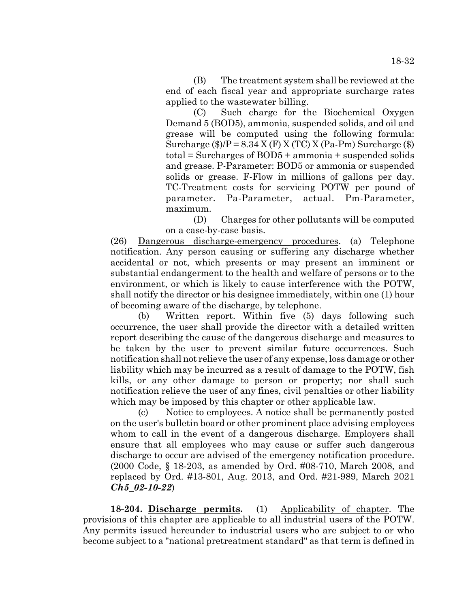(B) The treatment system shall be reviewed at the end of each fiscal year and appropriate surcharge rates applied to the wastewater billing.

(C) Such charge for the Biochemical Oxygen Demand 5 (BOD5), ammonia, suspended solids, and oil and grease will be computed using the following formula: Surcharge  $(\frac{1}{2})/P = 8.34$  X (F) X (TC) X (Pa-Pm) Surcharge  $(\frac{1}{2})$ total = Surcharges of BOD5 + ammonia + suspended solids and grease. P-Parameter: BOD5 or ammonia or suspended solids or grease. F-Flow in millions of gallons per day. TC-Treatment costs for servicing POTW per pound of parameter. Pa-Parameter, actual. Pm-Parameter, maximum.

(D) Charges for other pollutants will be computed on a case-by-case basis.

(26) Dangerous discharge-emergency procedures. (a) Telephone notification. Any person causing or suffering any discharge whether accidental or not, which presents or may present an imminent or substantial endangerment to the health and welfare of persons or to the environment, or which is likely to cause interference with the POTW, shall notify the director or his designee immediately, within one (1) hour of becoming aware of the discharge, by telephone.

(b) Written report. Within five (5) days following such occurrence, the user shall provide the director with a detailed written report describing the cause of the dangerous discharge and measures to be taken by the user to prevent similar future occurrences. Such notification shall not relieve the user of any expense, loss damage or other liability which may be incurred as a result of damage to the POTW, fish kills, or any other damage to person or property; nor shall such notification relieve the user of any fines, civil penalties or other liability which may be imposed by this chapter or other applicable law.

(c) Notice to employees. A notice shall be permanently posted on the user's bulletin board or other prominent place advising employees whom to call in the event of a dangerous discharge. Employers shall ensure that all employees who may cause or suffer such dangerous discharge to occur are advised of the emergency notification procedure. (2000 Code, § 18-203, as amended by Ord. #08-710, March 2008, and replaced by Ord. #13-801, Aug. 2013, and Ord. #21-989, March 2021 *Ch5\_02-10-22*)

**18-204. Discharge permits.** (1) Applicability of chapter. The provisions of this chapter are applicable to all industrial users of the POTW. Any permits issued hereunder to industrial users who are subject to or who become subject to a "national pretreatment standard" as that term is defined in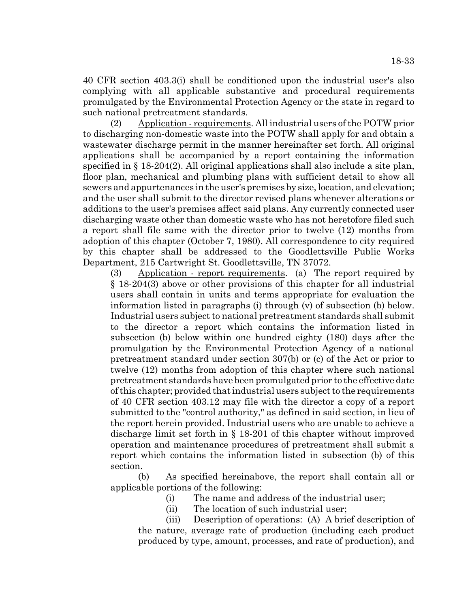40 CFR section 403.3(i) shall be conditioned upon the industrial user's also complying with all applicable substantive and procedural requirements promulgated by the Environmental Protection Agency or the state in regard to such national pretreatment standards.

(2) Application - requirements. All industrial users of the POTW prior to discharging non-domestic waste into the POTW shall apply for and obtain a wastewater discharge permit in the manner hereinafter set forth. All original applications shall be accompanied by a report containing the information specified in § 18-204(2). All original applications shall also include a site plan, floor plan, mechanical and plumbing plans with sufficient detail to show all sewers and appurtenances in the user's premises by size, location, and elevation; and the user shall submit to the director revised plans whenever alterations or additions to the user's premises affect said plans. Any currently connected user discharging waste other than domestic waste who has not heretofore filed such a report shall file same with the director prior to twelve (12) months from adoption of this chapter (October 7, 1980). All correspondence to city required by this chapter shall be addressed to the Goodlettsville Public Works Department, 215 Cartwright St. Goodlettsville, TN 37072.

 $(3)$  Application - report requirements. (a) The report required by § 18-204(3) above or other provisions of this chapter for all industrial users shall contain in units and terms appropriate for evaluation the information listed in paragraphs (i) through (v) of subsection (b) below. Industrial users subject to national pretreatment standards shall submit to the director a report which contains the information listed in subsection (b) below within one hundred eighty (180) days after the promulgation by the Environmental Protection Agency of a national pretreatment standard under section 307(b) or (c) of the Act or prior to twelve (12) months from adoption of this chapter where such national pretreatment standards have been promulgated prior to the effective date of this chapter; provided that industrial users subject to the requirements of 40 CFR section 403.12 may file with the director a copy of a report submitted to the "control authority," as defined in said section, in lieu of the report herein provided. Industrial users who are unable to achieve a discharge limit set forth in § 18-201 of this chapter without improved operation and maintenance procedures of pretreatment shall submit a report which contains the information listed in subsection (b) of this section.

(b) As specified hereinabove, the report shall contain all or applicable portions of the following:

- (i) The name and address of the industrial user;
- (ii) The location of such industrial user;

(iii) Description of operations: (A) A brief description of the nature, average rate of production (including each product produced by type, amount, processes, and rate of production), and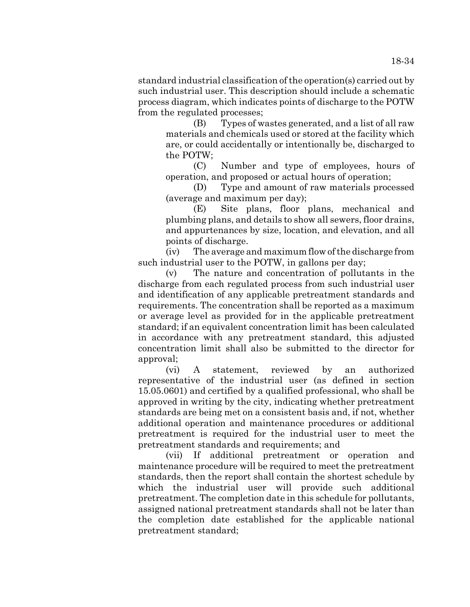standard industrial classification of the operation(s) carried out by such industrial user. This description should include a schematic process diagram, which indicates points of discharge to the POTW from the regulated processes;

> (B) Types of wastes generated, and a list of all raw materials and chemicals used or stored at the facility which are, or could accidentally or intentionally be, discharged to the POTW;

> (C) Number and type of employees, hours of operation, and proposed or actual hours of operation;

> (D) Type and amount of raw materials processed (average and maximum per day);

> (E) Site plans, floor plans, mechanical and plumbing plans, and details to show all sewers, floor drains, and appurtenances by size, location, and elevation, and all points of discharge.

(iv) The average and maximum flow of the discharge from such industrial user to the POTW, in gallons per day;

(v) The nature and concentration of pollutants in the discharge from each regulated process from such industrial user and identification of any applicable pretreatment standards and requirements. The concentration shall be reported as a maximum or average level as provided for in the applicable pretreatment standard; if an equivalent concentration limit has been calculated in accordance with any pretreatment standard, this adjusted concentration limit shall also be submitted to the director for approval;

(vi) A statement, reviewed by an authorized representative of the industrial user (as defined in section 15.05.0601) and certified by a qualified professional, who shall be approved in writing by the city, indicating whether pretreatment standards are being met on a consistent basis and, if not, whether additional operation and maintenance procedures or additional pretreatment is required for the industrial user to meet the pretreatment standards and requirements; and

(vii) If additional pretreatment or operation and maintenance procedure will be required to meet the pretreatment standards, then the report shall contain the shortest schedule by which the industrial user will provide such additional pretreatment. The completion date in this schedule for pollutants, assigned national pretreatment standards shall not be later than the completion date established for the applicable national pretreatment standard;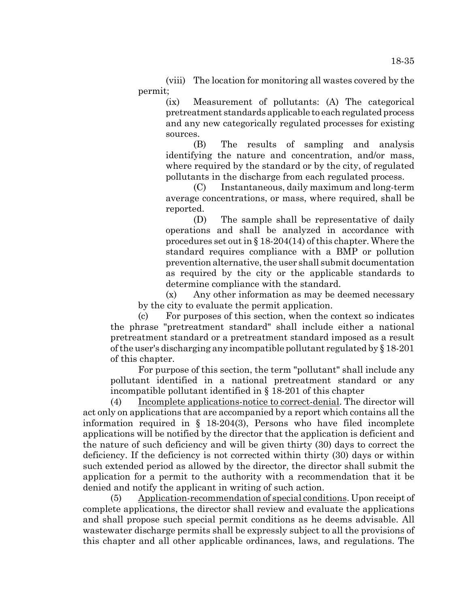(viii) The location for monitoring all wastes covered by the permit;

> (ix) Measurement of pollutants: (A) The categorical pretreatment standards applicable to each regulated process and any new categorically regulated processes for existing sources.

> (B) The results of sampling and analysis identifying the nature and concentration, and/or mass, where required by the standard or by the city, of regulated pollutants in the discharge from each regulated process.

> (C) Instantaneous, daily maximum and long-term average concentrations, or mass, where required, shall be reported.

> (D) The sample shall be representative of daily operations and shall be analyzed in accordance with procedures set out in § 18-204(14) of this chapter. Where the standard requires compliance with a BMP or pollution prevention alternative, the user shall submit documentation as required by the city or the applicable standards to determine compliance with the standard.

(x) Any other information as may be deemed necessary by the city to evaluate the permit application.

(c) For purposes of this section, when the context so indicates the phrase "pretreatment standard" shall include either a national pretreatment standard or a pretreatment standard imposed as a result of the user's discharging any incompatible pollutant regulated by § 18-201 of this chapter.

For purpose of this section, the term "pollutant" shall include any pollutant identified in a national pretreatment standard or any incompatible pollutant identified in § 18-201 of this chapter

(4) Incomplete applications-notice to correct-denial. The director will act only on applications that are accompanied by a report which contains all the information required in  $\S$  18-204(3), Persons who have filed incomplete applications will be notified by the director that the application is deficient and the nature of such deficiency and will be given thirty (30) days to correct the deficiency. If the deficiency is not corrected within thirty (30) days or within such extended period as allowed by the director, the director shall submit the application for a permit to the authority with a recommendation that it be denied and notify the applicant in writing of such action.

(5) Application-recommendation of special conditions. Upon receipt of complete applications, the director shall review and evaluate the applications and shall propose such special permit conditions as he deems advisable. All wastewater discharge permits shall be expressly subject to all the provisions of this chapter and all other applicable ordinances, laws, and regulations. The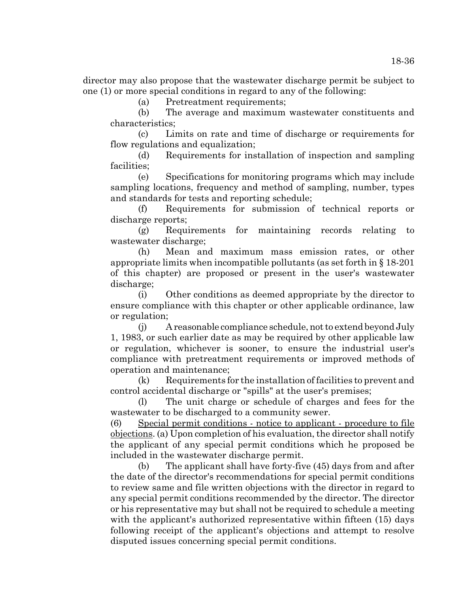director may also propose that the wastewater discharge permit be subject to one (1) or more special conditions in regard to any of the following:

(a) Pretreatment requirements;

(b) The average and maximum wastewater constituents and characteristics;

(c) Limits on rate and time of discharge or requirements for flow regulations and equalization;

(d) Requirements for installation of inspection and sampling facilities;

(e) Specifications for monitoring programs which may include sampling locations, frequency and method of sampling, number, types and standards for tests and reporting schedule;

(f) Requirements for submission of technical reports or discharge reports;

(g) Requirements for maintaining records relating to wastewater discharge;

(h) Mean and maximum mass emission rates, or other appropriate limits when incompatible pollutants (as set forth in  $\S 18-201$ ) of this chapter) are proposed or present in the user's wastewater discharge;

(i) Other conditions as deemed appropriate by the director to ensure compliance with this chapter or other applicable ordinance, law or regulation;

(j) A reasonable compliance schedule, not to extend beyond July 1, 1983, or such earlier date as may be required by other applicable law or regulation, whichever is sooner, to ensure the industrial user's compliance with pretreatment requirements or improved methods of operation and maintenance;

(k) Requirements for the installation of facilities to prevent and control accidental discharge or "spills" at the user's premises;

(l) The unit charge or schedule of charges and fees for the wastewater to be discharged to a community sewer.

(6) Special permit conditions - notice to applicant - procedure to file objections. (a) Upon completion of his evaluation, the director shall notify the applicant of any special permit conditions which he proposed be included in the wastewater discharge permit.

(b) The applicant shall have forty-five (45) days from and after the date of the director's recommendations for special permit conditions to review same and file written objections with the director in regard to any special permit conditions recommended by the director. The director or his representative may but shall not be required to schedule a meeting with the applicant's authorized representative within fifteen (15) days following receipt of the applicant's objections and attempt to resolve disputed issues concerning special permit conditions.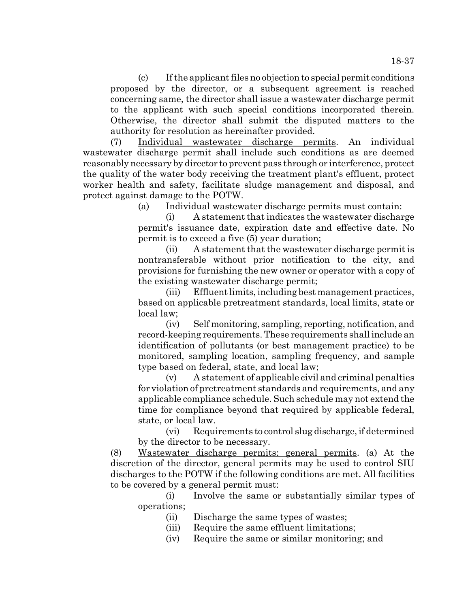(c) If the applicant files no objection to special permit conditions proposed by the director, or a subsequent agreement is reached concerning same, the director shall issue a wastewater discharge permit to the applicant with such special conditions incorporated therein. Otherwise, the director shall submit the disputed matters to the authority for resolution as hereinafter provided.

(7) Individual wastewater discharge permits. An individual wastewater discharge permit shall include such conditions as are deemed reasonably necessary by director to prevent pass through or interference, protect the quality of the water body receiving the treatment plant's effluent, protect worker health and safety, facilitate sludge management and disposal, and protect against damage to the POTW.

(a) Individual wastewater discharge permits must contain:

(i) A statement that indicates the wastewater discharge permit's issuance date, expiration date and effective date. No permit is to exceed a five (5) year duration;

(ii) A statement that the wastewater discharge permit is nontransferable without prior notification to the city, and provisions for furnishing the new owner or operator with a copy of the existing wastewater discharge permit;

(iii) Effluent limits, including best management practices, based on applicable pretreatment standards, local limits, state or local law;

(iv) Self monitoring, sampling, reporting, notification, and record-keeping requirements. These requirements shall include an identification of pollutants (or best management practice) to be monitored, sampling location, sampling frequency, and sample type based on federal, state, and local law;

(v) A statement of applicable civil and criminal penalties for violation of pretreatment standards and requirements, and any applicable compliance schedule. Such schedule may not extend the time for compliance beyond that required by applicable federal, state, or local law.

(vi) Requirements to control slug discharge, if determined by the director to be necessary.

(8) Wastewater discharge permits: general permits. (a) At the discretion of the director, general permits may be used to control SIU discharges to the POTW if the following conditions are met. All facilities to be covered by a general permit must:

(i) Involve the same or substantially similar types of operations;

(ii) Discharge the same types of wastes;

- (iii) Require the same effluent limitations;
- (iv) Require the same or similar monitoring; and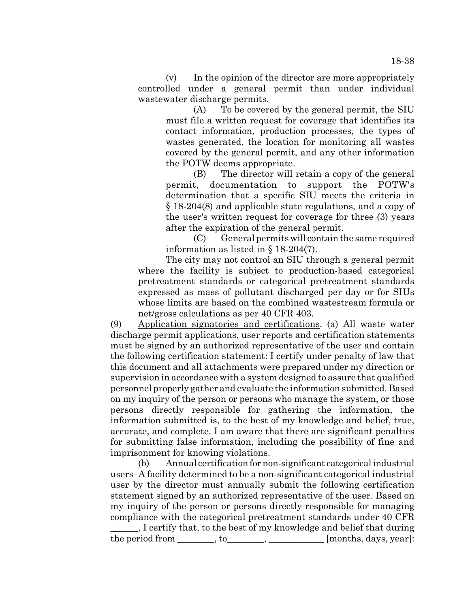(v) In the opinion of the director are more appropriately controlled under a general permit than under individual wastewater discharge permits.

(A) To be covered by the general permit, the SIU must file a written request for coverage that identifies its contact information, production processes, the types of wastes generated, the location for monitoring all wastes covered by the general permit, and any other information the POTW deems appropriate.

(B) The director will retain a copy of the general permit, documentation to support the POTW's determination that a specific SIU meets the criteria in § 18-204(8) and applicable state regulations, and a copy of the user's written request for coverage for three (3) years after the expiration of the general permit.

 $(C)$  General permits will contain the same required information as listed in § 18-204(7).

The city may not control an SIU through a general permit where the facility is subject to production-based categorical pretreatment standards or categorical pretreatment standards expressed as mass of pollutant discharged per day or for SIUs whose limits are based on the combined wastestream formula or net/gross calculations as per 40 CFR 403.

(9) Application signatories and certifications. (a) All waste water discharge permit applications, user reports and certification statements must be signed by an authorized representative of the user and contain the following certification statement: I certify under penalty of law that this document and all attachments were prepared under my direction or supervision in accordance with a system designed to assure that qualified personnel properly gather and evaluate the information submitted. Based on my inquiry of the person or persons who manage the system, or those persons directly responsible for gathering the information, the information submitted is, to the best of my knowledge and belief, true, accurate, and complete. I am aware that there are significant penalties for submitting false information, including the possibility of fine and imprisonment for knowing violations.

(b) Annual certification for non-significant categorical industrial users–A facility determined to be a non-significant categorical industrial user by the director must annually submit the following certification statement signed by an authorized representative of the user. Based on my inquiry of the person or persons directly responsible for managing compliance with the categorical pretreatment standards under 40 CFR

\_\_\_\_\_\_, I certify that, to the best of my knowledge and belief that during the period from \_\_\_\_\_\_\_, to\_\_\_\_\_\_\_, \_\_\_\_\_\_\_\_\_\_\_ [months, days, year]: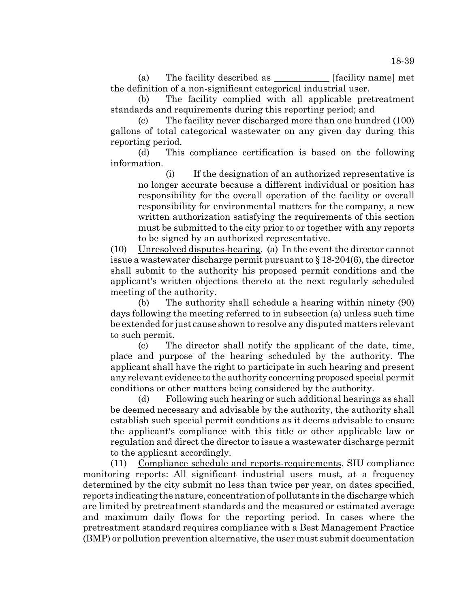(a) The facility described as [facility name] met the definition of a non-significant categorical industrial user.

(b) The facility complied with all applicable pretreatment standards and requirements during this reporting period; and

(c) The facility never discharged more than one hundred (100) gallons of total categorical wastewater on any given day during this reporting period.

(d) This compliance certification is based on the following information.

(i) If the designation of an authorized representative is no longer accurate because a different individual or position has responsibility for the overall operation of the facility or overall responsibility for environmental matters for the company, a new written authorization satisfying the requirements of this section must be submitted to the city prior to or together with any reports to be signed by an authorized representative.

(10) Unresolved disputes-hearing. (a) In the event the director cannot issue a wastewater discharge permit pursuant to  $\S 18-204(6)$ , the director shall submit to the authority his proposed permit conditions and the applicant's written objections thereto at the next regularly scheduled meeting of the authority.

(b) The authority shall schedule a hearing within ninety (90) days following the meeting referred to in subsection (a) unless such time be extended for just cause shown to resolve any disputed matters relevant to such permit.

(c) The director shall notify the applicant of the date, time, place and purpose of the hearing scheduled by the authority. The applicant shall have the right to participate in such hearing and present any relevant evidence to the authority concerning proposed special permit conditions or other matters being considered by the authority.

(d) Following such hearing or such additional hearings as shall be deemed necessary and advisable by the authority, the authority shall establish such special permit conditions as it deems advisable to ensure the applicant's compliance with this title or other applicable law or regulation and direct the director to issue a wastewater discharge permit to the applicant accordingly.

(11) Compliance schedule and reports-requirements. SIU compliance monitoring reports: All significant industrial users must, at a frequency determined by the city submit no less than twice per year, on dates specified, reports indicating the nature, concentration of pollutants in the discharge which are limited by pretreatment standards and the measured or estimated average and maximum daily flows for the reporting period. In cases where the pretreatment standard requires compliance with a Best Management Practice (BMP) or pollution prevention alternative, the user must submit documentation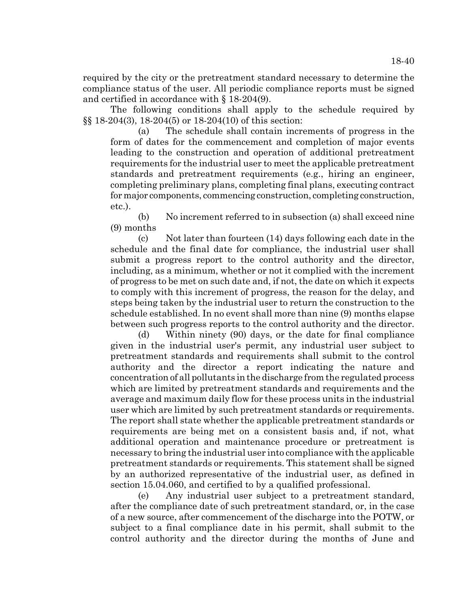required by the city or the pretreatment standard necessary to determine the compliance status of the user. All periodic compliance reports must be signed and certified in accordance with § 18-204(9).

The following conditions shall apply to the schedule required by §§ 18-204(3), 18-204(5) or 18-204(10) of this section:

(a) The schedule shall contain increments of progress in the form of dates for the commencement and completion of major events leading to the construction and operation of additional pretreatment requirements for the industrial user to meet the applicable pretreatment standards and pretreatment requirements (e.g., hiring an engineer, completing preliminary plans, completing final plans, executing contract for major components, commencing construction, completing construction, etc.).

(b) No increment referred to in subsection (a) shall exceed nine (9) months

(c) Not later than fourteen (14) days following each date in the schedule and the final date for compliance, the industrial user shall submit a progress report to the control authority and the director, including, as a minimum, whether or not it complied with the increment of progress to be met on such date and, if not, the date on which it expects to comply with this increment of progress, the reason for the delay, and steps being taken by the industrial user to return the construction to the schedule established. In no event shall more than nine (9) months elapse between such progress reports to the control authority and the director.

(d) Within ninety (90) days, or the date for final compliance given in the industrial user's permit, any industrial user subject to pretreatment standards and requirements shall submit to the control authority and the director a report indicating the nature and concentration of all pollutants in the discharge from the regulated process which are limited by pretreatment standards and requirements and the average and maximum daily flow for these process units in the industrial user which are limited by such pretreatment standards or requirements. The report shall state whether the applicable pretreatment standards or requirements are being met on a consistent basis and, if not, what additional operation and maintenance procedure or pretreatment is necessary to bring the industrial user into compliance with the applicable pretreatment standards or requirements. This statement shall be signed by an authorized representative of the industrial user, as defined in section 15.04.060, and certified to by a qualified professional.

(e) Any industrial user subject to a pretreatment standard, after the compliance date of such pretreatment standard, or, in the case of a new source, after commencement of the discharge into the POTW, or subject to a final compliance date in his permit, shall submit to the control authority and the director during the months of June and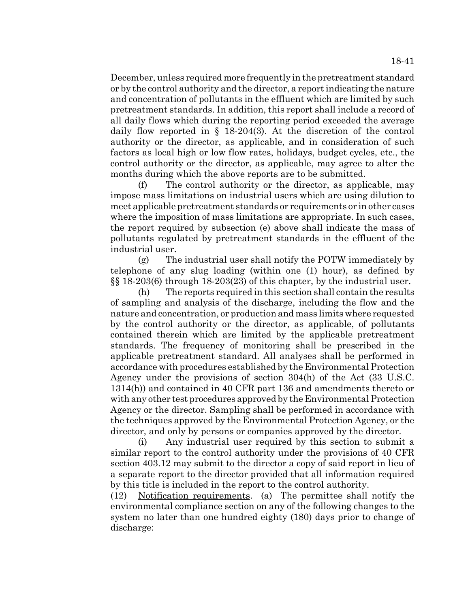December, unless required more frequently in the pretreatment standard or by the control authority and the director, a report indicating the nature and concentration of pollutants in the effluent which are limited by such pretreatment standards. In addition, this report shall include a record of all daily flows which during the reporting period exceeded the average daily flow reported in § 18-204(3). At the discretion of the control authority or the director, as applicable, and in consideration of such factors as local high or low flow rates, holidays, budget cycles, etc., the control authority or the director, as applicable, may agree to alter the months during which the above reports are to be submitted.

(f) The control authority or the director, as applicable, may impose mass limitations on industrial users which are using dilution to meet applicable pretreatment standards or requirements or in other cases where the imposition of mass limitations are appropriate. In such cases, the report required by subsection (e) above shall indicate the mass of pollutants regulated by pretreatment standards in the effluent of the industrial user.

(g) The industrial user shall notify the POTW immediately by telephone of any slug loading (within one (1) hour), as defined by §§ 18-203(6) through 18-203(23) of this chapter, by the industrial user.

(h) The reports required in this section shall contain the results of sampling and analysis of the discharge, including the flow and the nature and concentration, or production and mass limits where requested by the control authority or the director, as applicable, of pollutants contained therein which are limited by the applicable pretreatment standards. The frequency of monitoring shall be prescribed in the applicable pretreatment standard. All analyses shall be performed in accordance with procedures established by the Environmental Protection Agency under the provisions of section 304(h) of the Act (33 U.S.C. 1314(h)) and contained in 40 CFR part 136 and amendments thereto or with any other test procedures approved by the Environmental Protection Agency or the director. Sampling shall be performed in accordance with the techniques approved by the Environmental Protection Agency, or the director, and only by persons or companies approved by the director.

(i) Any industrial user required by this section to submit a similar report to the control authority under the provisions of 40 CFR section 403.12 may submit to the director a copy of said report in lieu of a separate report to the director provided that all information required by this title is included in the report to the control authority.

(12) Notification requirements. (a) The permittee shall notify the environmental compliance section on any of the following changes to the system no later than one hundred eighty (180) days prior to change of discharge: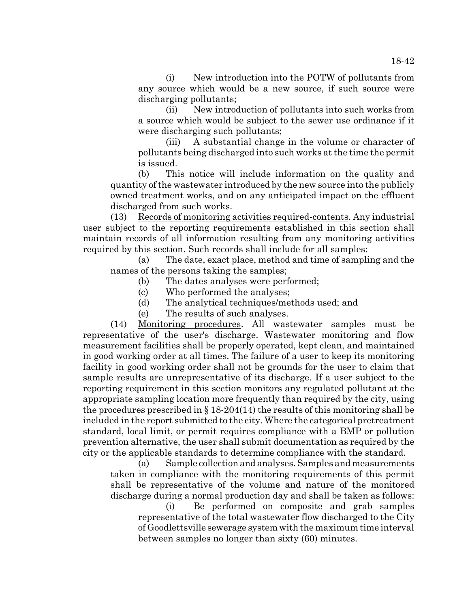(i) New introduction into the POTW of pollutants from any source which would be a new source, if such source were discharging pollutants;

(ii) New introduction of pollutants into such works from a source which would be subject to the sewer use ordinance if it were discharging such pollutants;

(iii) A substantial change in the volume or character of pollutants being discharged into such works at the time the permit is issued.

(b) This notice will include information on the quality and quantity of the wastewater introduced by the new source into the publicly owned treatment works, and on any anticipated impact on the effluent discharged from such works.

(13) Records of monitoring activities required-contents. Any industrial user subject to the reporting requirements established in this section shall maintain records of all information resulting from any monitoring activities required by this section. Such records shall include for all samples:

(a) The date, exact place, method and time of sampling and the names of the persons taking the samples;

- (b) The dates analyses were performed;
- (c) Who performed the analyses;
- (d) The analytical techniques/methods used; and
- (e) The results of such analyses.

(14) Monitoring procedures. All wastewater samples must be representative of the user's discharge. Wastewater monitoring and flow measurement facilities shall be properly operated, kept clean, and maintained in good working order at all times. The failure of a user to keep its monitoring facility in good working order shall not be grounds for the user to claim that sample results are unrepresentative of its discharge. If a user subject to the reporting requirement in this section monitors any regulated pollutant at the appropriate sampling location more frequently than required by the city, using the procedures prescribed in  $\S 18-204(14)$  the results of this monitoring shall be included in the report submitted to the city. Where the categorical pretreatment standard, local limit, or permit requires compliance with a BMP or pollution prevention alternative, the user shall submit documentation as required by the city or the applicable standards to determine compliance with the standard.

(a) Sample collection and analyses. Samples and measurements taken in compliance with the monitoring requirements of this permit shall be representative of the volume and nature of the monitored discharge during a normal production day and shall be taken as follows:

(i) Be performed on composite and grab samples representative of the total wastewater flow discharged to the City of Goodlettsville sewerage system with the maximum time interval between samples no longer than sixty (60) minutes.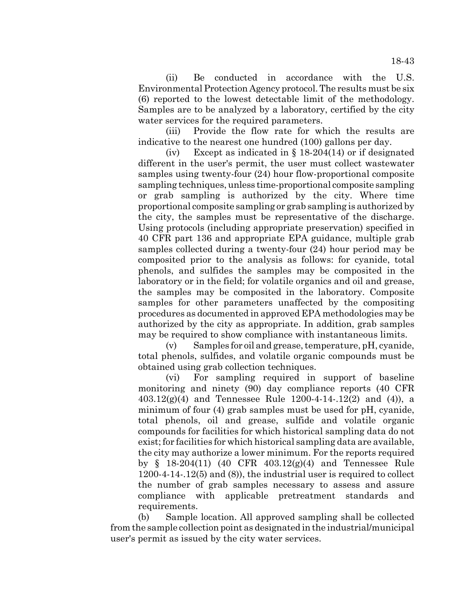(ii) Be conducted in accordance with the U.S. Environmental Protection Agency protocol. The results must be six (6) reported to the lowest detectable limit of the methodology. Samples are to be analyzed by a laboratory, certified by the city water services for the required parameters.

(iii) Provide the flow rate for which the results are indicative to the nearest one hundred (100) gallons per day.

(iv) Except as indicated in  $\S$  18-204(14) or if designated different in the user's permit, the user must collect wastewater samples using twenty-four (24) hour flow-proportional composite sampling techniques, unless time-proportional composite sampling or grab sampling is authorized by the city. Where time proportional composite sampling or grab sampling is authorized by the city, the samples must be representative of the discharge. Using protocols (including appropriate preservation) specified in 40 CFR part 136 and appropriate EPA guidance, multiple grab samples collected during a twenty-four (24) hour period may be composited prior to the analysis as follows: for cyanide, total phenols, and sulfides the samples may be composited in the laboratory or in the field; for volatile organics and oil and grease, the samples may be composited in the laboratory. Composite samples for other parameters unaffected by the compositing procedures as documented in approved EPA methodologies may be authorized by the city as appropriate. In addition, grab samples may be required to show compliance with instantaneous limits.

(v) Samples for oil and grease, temperature, pH, cyanide, total phenols, sulfides, and volatile organic compounds must be obtained using grab collection techniques.

(vi) For sampling required in support of baseline monitoring and ninety (90) day compliance reports (40 CFR 403.12(g)(4) and Tennessee Rule 1200-4-14-.12(2) and (4)), a minimum of four (4) grab samples must be used for pH, cyanide, total phenols, oil and grease, sulfide and volatile organic compounds for facilities for which historical sampling data do not exist; for facilities for which historical sampling data are available, the city may authorize a lower minimum. For the reports required by § 18-204(11) (40 CFR 403.12(g)(4) and Tennessee Rule 1200-4-14-.12(5) and (8)), the industrial user is required to collect the number of grab samples necessary to assess and assure compliance with applicable pretreatment standards and requirements.

(b) Sample location. All approved sampling shall be collected from the sample collection point as designated in the industrial/municipal user's permit as issued by the city water services.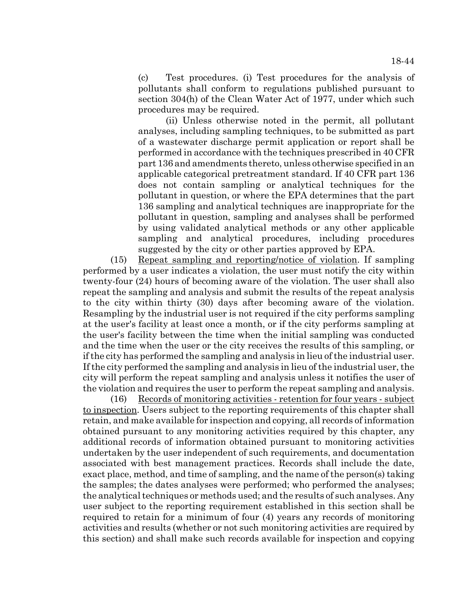(c) Test procedures. (i) Test procedures for the analysis of pollutants shall conform to regulations published pursuant to section 304(h) of the Clean Water Act of 1977, under which such procedures may be required.

(ii) Unless otherwise noted in the permit, all pollutant analyses, including sampling techniques, to be submitted as part of a wastewater discharge permit application or report shall be performed in accordance with the techniques prescribed in 40 CFR part 136 and amendments thereto, unless otherwise specified in an applicable categorical pretreatment standard. If 40 CFR part 136 does not contain sampling or analytical techniques for the pollutant in question, or where the EPA determines that the part 136 sampling and analytical techniques are inappropriate for the pollutant in question, sampling and analyses shall be performed by using validated analytical methods or any other applicable sampling and analytical procedures, including procedures suggested by the city or other parties approved by EPA.

(15) Repeat sampling and reporting/notice of violation. If sampling performed by a user indicates a violation, the user must notify the city within twenty-four (24) hours of becoming aware of the violation. The user shall also repeat the sampling and analysis and submit the results of the repeat analysis to the city within thirty (30) days after becoming aware of the violation. Resampling by the industrial user is not required if the city performs sampling at the user's facility at least once a month, or if the city performs sampling at the user's facility between the time when the initial sampling was conducted and the time when the user or the city receives the results of this sampling, or if the city has performed the sampling and analysis in lieu of the industrial user. If the city performed the sampling and analysis in lieu of the industrial user, the city will perform the repeat sampling and analysis unless it notifies the user of the violation and requires the user to perform the repeat sampling and analysis.

(16) Records of monitoring activities - retention for four years - subject to inspection. Users subject to the reporting requirements of this chapter shall retain, and make available for inspection and copying, all records of information obtained pursuant to any monitoring activities required by this chapter, any additional records of information obtained pursuant to monitoring activities undertaken by the user independent of such requirements, and documentation associated with best management practices. Records shall include the date, exact place, method, and time of sampling, and the name of the person(s) taking the samples; the dates analyses were performed; who performed the analyses; the analytical techniques or methods used; and the results of such analyses. Any user subject to the reporting requirement established in this section shall be required to retain for a minimum of four (4) years any records of monitoring activities and results (whether or not such monitoring activities are required by this section) and shall make such records available for inspection and copying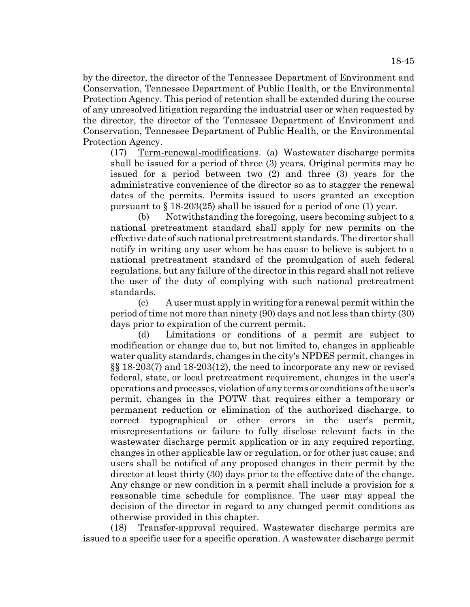by the director, the director of the Tennessee Department of Environment and Conservation, Tennessee Department of Public Health, or the Environmental Protection Agency. This period of retention shall be extended during the course of any unresolved litigation regarding the industrial user or when requested by the director, the director of the Tennessee Department of Environment and Conservation, Tennessee Department of Public Health, or the Environmental Protection Agency.

(17) Term-renewal-modifications. (a) Wastewater discharge permits shall be issued for a period of three (3) years. Original permits may be issued for a period between two (2) and three (3) years for the administrative convenience of the director so as to stagger the renewal dates of the permits. Permits issued to users granted an exception pursuant to  $\S$  18-203(25) shall be issued for a period of one (1) year.

(b) Notwithstanding the foregoing, users becoming subject to a national pretreatment standard shall apply for new permits on the effective date of such national pretreatment standards. The director shall notify in writing any user whom he has cause to believe is subject to a national pretreatment standard of the promulgation of such federal regulations, but any failure of the director in this regard shall not relieve the user of the duty of complying with such national pretreatment standards.

(c) A user must apply in writing for a renewal permit within the period of time not more than ninety (90) days and not less than thirty (30) days prior to expiration of the current permit.

(d) Limitations or conditions of a permit are subject to modification or change due to, but not limited to, changes in applicable water quality standards, changes in the city's NPDES permit, changes in §§ 18-203(7) and 18-203(12), the need to incorporate any new or revised federal, state, or local pretreatment requirement, changes in the user's operations and processes, violation of any terms or conditions of the user's permit, changes in the POTW that requires either a temporary or permanent reduction or elimination of the authorized discharge, to correct typographical or other errors in the user's permit, misrepresentations or failure to fully disclose relevant facts in the wastewater discharge permit application or in any required reporting, changes in other applicable law or regulation, or for other just cause; and users shall be notified of any proposed changes in their permit by the director at least thirty (30) days prior to the effective date of the change. Any change or new condition in a permit shall include a provision for a reasonable time schedule for compliance. The user may appeal the decision of the director in regard to any changed permit conditions as otherwise provided in this chapter.

(18) Transfer-approval required. Wastewater discharge permits are issued to a specific user for a specific operation. A wastewater discharge permit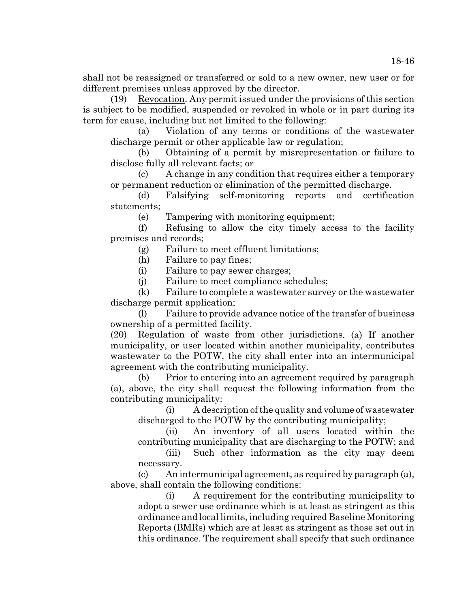shall not be reassigned or transferred or sold to a new owner, new user or for different premises unless approved by the director.

(19) Revocation. Any permit issued under the provisions of this section is subject to be modified, suspended or revoked in whole or in part during its term for cause, including but not limited to the following:

(a) Violation of any terms or conditions of the wastewater discharge permit or other applicable law or regulation;

(b) Obtaining of a permit by misrepresentation or failure to disclose fully all relevant facts; or

(c) A change in any condition that requires either a temporary or permanent reduction or elimination of the permitted discharge.

(d) Falsifying self-monitoring reports and certification statements;

(e) Tampering with monitoring equipment;

(f) Refusing to allow the city timely access to the facility premises and records;

(g) Failure to meet effluent limitations;

(h) Failure to pay fines;

(i) Failure to pay sewer charges;

(j) Failure to meet compliance schedules;

(k) Failure to complete a wastewater survey or the wastewater discharge permit application;

(l) Failure to provide advance notice of the transfer of business ownership of a permitted facility.

(20) Regulation of waste from other jurisdictions. (a) If another municipality, or user located within another municipality, contributes wastewater to the POTW, the city shall enter into an intermunicipal agreement with the contributing municipality.

(b) Prior to entering into an agreement required by paragraph (a), above, the city shall request the following information from the contributing municipality:

(i) A description of the quality and volume of wastewater discharged to the POTW by the contributing municipality;

(ii) An inventory of all users located within the contributing municipality that are discharging to the POTW; and

(iii) Such other information as the city may deem necessary.

(c) An intermunicipal agreement, as required by paragraph (a), above, shall contain the following conditions:

(i) A requirement for the contributing municipality to adopt a sewer use ordinance which is at least as stringent as this ordinance and local limits, including required Baseline Monitoring Reports (BMRs) which are at least as stringent as those set out in this ordinance. The requirement shall specify that such ordinance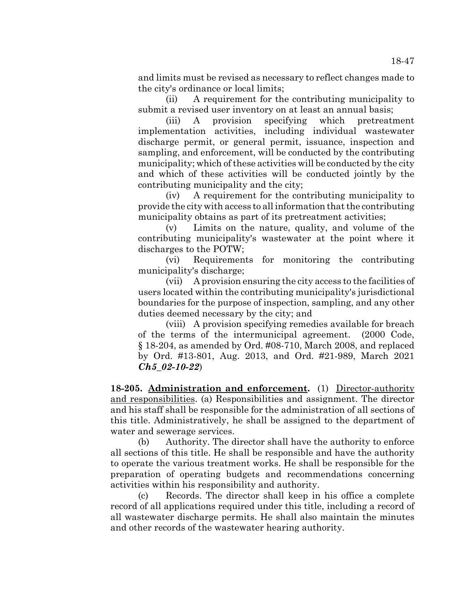and limits must be revised as necessary to reflect changes made to the city's ordinance or local limits;

(ii) A requirement for the contributing municipality to submit a revised user inventory on at least an annual basis;

(iii) A provision specifying which pretreatment implementation activities, including individual wastewater discharge permit, or general permit, issuance, inspection and sampling, and enforcement, will be conducted by the contributing municipality; which of these activities will be conducted by the city and which of these activities will be conducted jointly by the contributing municipality and the city;

(iv) A requirement for the contributing municipality to provide the city with access to all information that the contributing municipality obtains as part of its pretreatment activities;

(v) Limits on the nature, quality, and volume of the contributing municipality's wastewater at the point where it discharges to the POTW;

(vi) Requirements for monitoring the contributing municipality's discharge;

(vii) A provision ensuring the city access to the facilities of users located within the contributing municipality's jurisdictional boundaries for the purpose of inspection, sampling, and any other duties deemed necessary by the city; and

(viii) A provision specifying remedies available for breach of the terms of the intermunicipal agreement. (2000 Code, § 18-204, as amended by Ord. #08-710, March 2008, and replaced by Ord. #13-801, Aug. 2013, and Ord. #21-989, March 2021 *Ch5\_02-10-22*)

**18-205. Administration and enforcement.** (1) Director-authority and responsibilities. (a) Responsibilities and assignment. The director and his staff shall be responsible for the administration of all sections of this title. Administratively, he shall be assigned to the department of water and sewerage services.

(b) Authority. The director shall have the authority to enforce all sections of this title. He shall be responsible and have the authority to operate the various treatment works. He shall be responsible for the preparation of operating budgets and recommendations concerning activities within his responsibility and authority.

(c) Records. The director shall keep in his office a complete record of all applications required under this title, including a record of all wastewater discharge permits. He shall also maintain the minutes and other records of the wastewater hearing authority.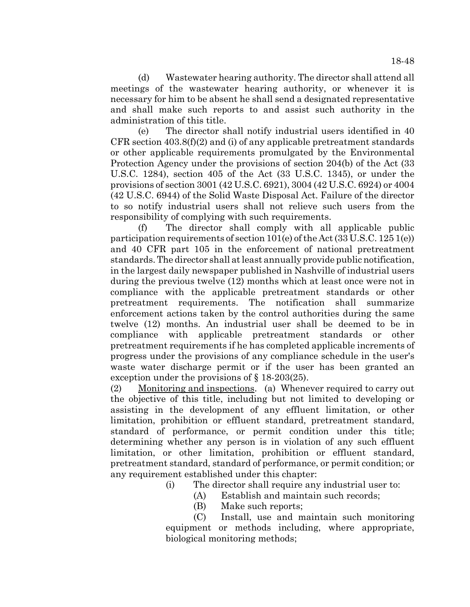(d) Wastewater hearing authority. The director shall attend all meetings of the wastewater hearing authority, or whenever it is necessary for him to be absent he shall send a designated representative and shall make such reports to and assist such authority in the administration of this title.

(e) The director shall notify industrial users identified in 40 CFR section  $403.8(f)(2)$  and (i) of any applicable pretreatment standards or other applicable requirements promulgated by the Environmental Protection Agency under the provisions of section 204(b) of the Act (33 U.S.C. 1284), section 405 of the Act (33 U.S.C. 1345), or under the provisions of section 3001 (42 U.S.C. 6921), 3004 (42 U.S.C. 6924) or 4004 (42 U.S.C. 6944) of the Solid Waste Disposal Act. Failure of the director to so notify industrial users shall not relieve such users from the responsibility of complying with such requirements.

(f) The director shall comply with all applicable public participation requirements of section 101(e) of the Act (33 U.S.C. 125 1(e)) and 40 CFR part 105 in the enforcement of national pretreatment standards. The director shall at least annually provide public notification, in the largest daily newspaper published in Nashville of industrial users during the previous twelve (12) months which at least once were not in compliance with the applicable pretreatment standards or other pretreatment requirements. The notification shall summarize enforcement actions taken by the control authorities during the same twelve (12) months. An industrial user shall be deemed to be in compliance with applicable pretreatment standards or other pretreatment requirements if he has completed applicable increments of progress under the provisions of any compliance schedule in the user's waste water discharge permit or if the user has been granted an exception under the provisions of § 18-203(25).

(2) Monitoring and inspections. (a) Whenever required to carry out the objective of this title, including but not limited to developing or assisting in the development of any effluent limitation, or other limitation, prohibition or effluent standard, pretreatment standard, standard of performance, or permit condition under this title; determining whether any person is in violation of any such effluent limitation, or other limitation, prohibition or effluent standard, pretreatment standard, standard of performance, or permit condition; or any requirement established under this chapter:

(i) The director shall require any industrial user to:

- (A) Establish and maintain such records;
- (B) Make such reports;

(C) Install, use and maintain such monitoring equipment or methods including, where appropriate, biological monitoring methods;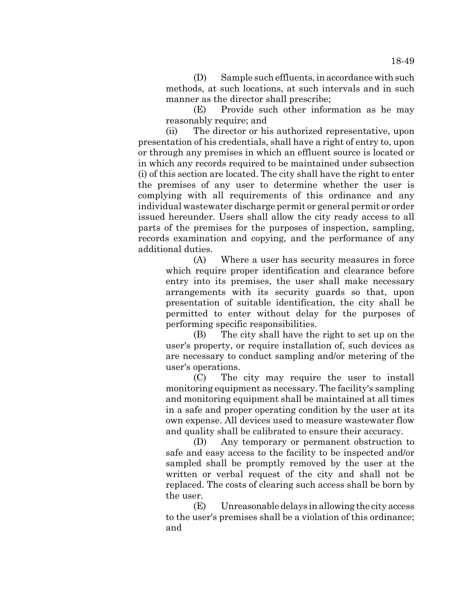(D) Sample such effluents, in accordance with such methods, at such locations, at such intervals and in such manner as the director shall prescribe;

(E) Provide such other information as he may reasonably require; and

(ii) The director or his authorized representative, upon presentation of his credentials, shall have a right of entry to, upon or through any premises in which an effluent source is located or in which any records required to be maintained under subsection (i) of this section are located. The city shall have the right to enter the premises of any user to determine whether the user is complying with all requirements of this ordinance and any individual wastewater discharge permit or general permit or order issued hereunder. Users shall allow the city ready access to all parts of the premises for the purposes of inspection, sampling, records examination and copying, and the performance of any additional duties.

(A) Where a user has security measures in force which require proper identification and clearance before entry into its premises, the user shall make necessary arrangements with its security guards so that, upon presentation of suitable identification, the city shall be permitted to enter without delay for the purposes of performing specific responsibilities.

(B) The city shall have the right to set up on the user's property, or require installation of, such devices as are necessary to conduct sampling and/or metering of the user's operations.

(C) The city may require the user to install monitoring equipment as necessary. The facility's sampling and monitoring equipment shall be maintained at all times in a safe and proper operating condition by the user at its own expense. All devices used to measure wastewater flow and quality shall be calibrated to ensure their accuracy.

(D) Any temporary or permanent obstruction to safe and easy access to the facility to be inspected and/or sampled shall be promptly removed by the user at the written or verbal request of the city and shall not be replaced. The costs of clearing such access shall be born by the user.

(E) Unreasonable delays in allowing the city access to the user's premises shall be a violation of this ordinance; and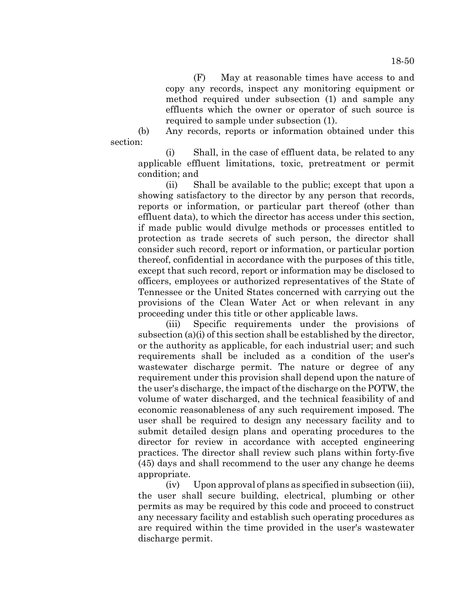(F) May at reasonable times have access to and copy any records, inspect any monitoring equipment or method required under subsection (1) and sample any effluents which the owner or operator of such source is required to sample under subsection (1).

(b) Any records, reports or information obtained under this section:

(i) Shall, in the case of effluent data, be related to any applicable effluent limitations, toxic, pretreatment or permit condition; and

(ii) Shall be available to the public; except that upon a showing satisfactory to the director by any person that records, reports or information, or particular part thereof (other than effluent data), to which the director has access under this section, if made public would divulge methods or processes entitled to protection as trade secrets of such person, the director shall consider such record, report or information, or particular portion thereof, confidential in accordance with the purposes of this title, except that such record, report or information may be disclosed to officers, employees or authorized representatives of the State of Tennessee or the United States concerned with carrying out the provisions of the Clean Water Act or when relevant in any proceeding under this title or other applicable laws.

(iii) Specific requirements under the provisions of subsection (a)(i) of this section shall be established by the director, or the authority as applicable, for each industrial user; and such requirements shall be included as a condition of the user's wastewater discharge permit. The nature or degree of any requirement under this provision shall depend upon the nature of the user's discharge, the impact of the discharge on the POTW, the volume of water discharged, and the technical feasibility of and economic reasonableness of any such requirement imposed. The user shall be required to design any necessary facility and to submit detailed design plans and operating procedures to the director for review in accordance with accepted engineering practices. The director shall review such plans within forty-five (45) days and shall recommend to the user any change he deems appropriate.

(iv) Upon approval of plans as specified in subsection (iii), the user shall secure building, electrical, plumbing or other permits as may be required by this code and proceed to construct any necessary facility and establish such operating procedures as are required within the time provided in the user's wastewater discharge permit.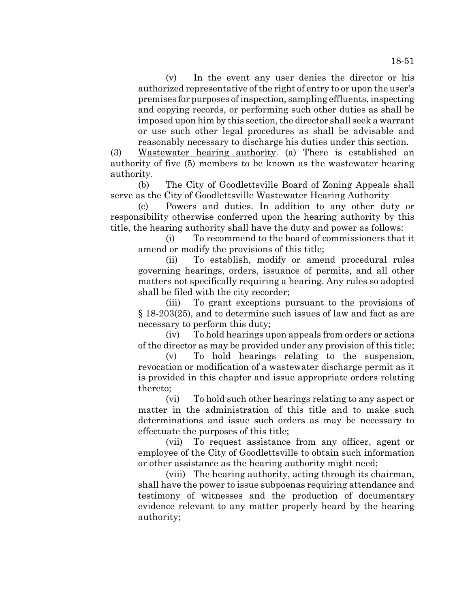(v) In the event any user denies the director or his authorized representative of the right of entry to or upon the user's premises for purposes of inspection, sampling effluents, inspecting and copying records, or performing such other duties as shall be imposed upon him by this section, the director shall seek a warrant or use such other legal procedures as shall be advisable and reasonably necessary to discharge his duties under this section.

(3) Wastewater hearing authority. (a) There is established an authority of five (5) members to be known as the wastewater hearing authority.

(b) The City of Goodlettsville Board of Zoning Appeals shall serve as the City of Goodlettsville Wastewater Hearing Authority

(c) Powers and duties. In addition to any other duty or responsibility otherwise conferred upon the hearing authority by this title, the hearing authority shall have the duty and power as follows:

(i) To recommend to the board of commissioners that it amend or modify the provisions of this title;

(ii) To establish, modify or amend procedural rules governing hearings, orders, issuance of permits, and all other matters not specifically requiring a hearing. Any rules so adopted shall be filed with the city recorder;

(iii) To grant exceptions pursuant to the provisions of § 18-203(25), and to determine such issues of law and fact as are necessary to perform this duty;

(iv) To hold hearings upon appeals from orders or actions of the director as may be provided under any provision of this title;

(v) To hold hearings relating to the suspension, revocation or modification of a wastewater discharge permit as it is provided in this chapter and issue appropriate orders relating thereto;

(vi) To hold such other hearings relating to any aspect or matter in the administration of this title and to make such determinations and issue such orders as may be necessary to effectuate the purposes of this title;

(vii) To request assistance from any officer, agent or employee of the City of Goodlettsville to obtain such information or other assistance as the hearing authority might need;

(viii) The hearing authority, acting through its chairman, shall have the power to issue subpoenas requiring attendance and testimony of witnesses and the production of documentary evidence relevant to any matter properly heard by the hearing authority;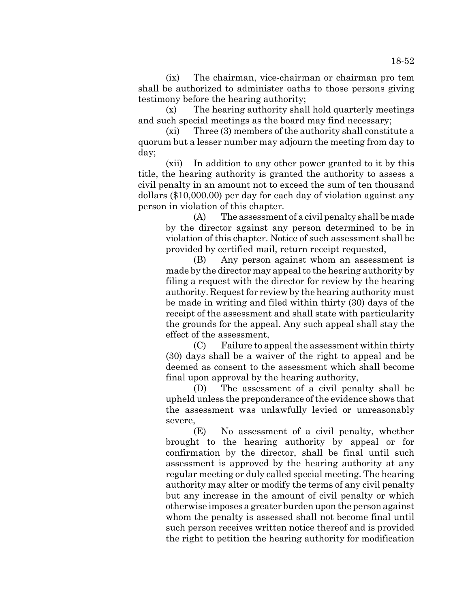(ix) The chairman, vice-chairman or chairman pro tem shall be authorized to administer oaths to those persons giving testimony before the hearing authority;

(x) The hearing authority shall hold quarterly meetings and such special meetings as the board may find necessary;

(xi) Three (3) members of the authority shall constitute a quorum but a lesser number may adjourn the meeting from day to day;

(xii) In addition to any other power granted to it by this title, the hearing authority is granted the authority to assess a civil penalty in an amount not to exceed the sum of ten thousand dollars (\$10,000.00) per day for each day of violation against any person in violation of this chapter.

(A) The assessment of a civil penalty shall be made by the director against any person determined to be in violation of this chapter. Notice of such assessment shall be provided by certified mail, return receipt requested,

(B) Any person against whom an assessment is made by the director may appeal to the hearing authority by filing a request with the director for review by the hearing authority. Request for review by the hearing authority must be made in writing and filed within thirty (30) days of the receipt of the assessment and shall state with particularity the grounds for the appeal. Any such appeal shall stay the effect of the assessment,

(C) Failure to appeal the assessment within thirty (30) days shall be a waiver of the right to appeal and be deemed as consent to the assessment which shall become final upon approval by the hearing authority,

(D) The assessment of a civil penalty shall be upheld unless the preponderance of the evidence shows that the assessment was unlawfully levied or unreasonably severe,

(E) No assessment of a civil penalty, whether brought to the hearing authority by appeal or for confirmation by the director, shall be final until such assessment is approved by the hearing authority at any regular meeting or duly called special meeting. The hearing authority may alter or modify the terms of any civil penalty but any increase in the amount of civil penalty or which otherwise imposes a greater burden upon the person against whom the penalty is assessed shall not become final until such person receives written notice thereof and is provided the right to petition the hearing authority for modification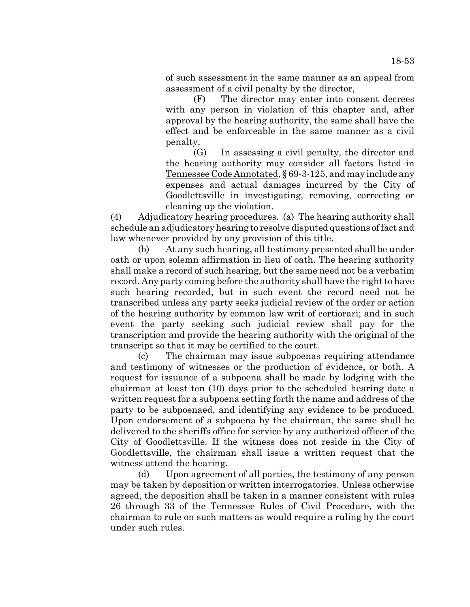of such assessment in the same manner as an appeal from assessment of a civil penalty by the director,

(F) The director may enter into consent decrees with any person in violation of this chapter and, after approval by the hearing authority, the same shall have the effect and be enforceable in the same manner as a civil penalty,

(G) In assessing a civil penalty, the director and the hearing authority may consider all factors listed in Tennessee Code Annotated, § 69-3-125, and may include any expenses and actual damages incurred by the City of Goodlettsville in investigating, removing, correcting or cleaning up the violation.

(4) Adjudicatory hearing procedures. (a) The hearing authority shall schedule an adjudicatory hearing to resolve disputed questions of fact and law whenever provided by any provision of this title.

(b) At any such hearing, all testimony presented shall be under oath or upon solemn affirmation in lieu of oath. The hearing authority shall make a record of such hearing, but the same need not be a verbatim record. Any party coming before the authority shall have the right to have such hearing recorded, but in such event the record need not be transcribed unless any party seeks judicial review of the order or action of the hearing authority by common law writ of certiorari; and in such event the party seeking such judicial review shall pay for the transcription and provide the hearing authority with the original of the transcript so that it may be certified to the court.

(c) The chairman may issue subpoenas requiring attendance and testimony of witnesses or the production of evidence, or both. A request for issuance of a subpoena shall be made by lodging with the chairman at least ten (10) days prior to the scheduled hearing date a written request for a subpoena setting forth the name and address of the party to be subpoenaed, and identifying any evidence to be produced. Upon endorsement of a subpoena by the chairman, the same shall be delivered to the sheriffs office for service by any authorized officer of the City of Goodlettsville. If the witness does not reside in the City of Goodlettsville, the chairman shall issue a written request that the witness attend the hearing.

(d) Upon agreement of all parties, the testimony of any person may be taken by deposition or written interrogatories. Unless otherwise agreed, the deposition shall be taken in a manner consistent with rules 26 through 33 of the Tennessee Rules of Civil Procedure, with the chairman to rule on such matters as would require a ruling by the court under such rules.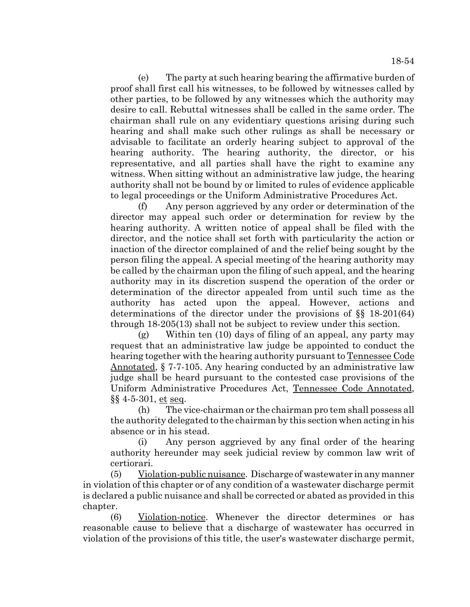(e) The party at such hearing bearing the affirmative burden of proof shall first call his witnesses, to be followed by witnesses called by other parties, to be followed by any witnesses which the authority may desire to call. Rebuttal witnesses shall be called in the same order. The chairman shall rule on any evidentiary questions arising during such hearing and shall make such other rulings as shall be necessary or advisable to facilitate an orderly hearing subject to approval of the hearing authority. The hearing authority, the director, or his representative, and all parties shall have the right to examine any witness. When sitting without an administrative law judge, the hearing authority shall not be bound by or limited to rules of evidence applicable to legal proceedings or the Uniform Administrative Procedures Act.

(f) Any person aggrieved by any order or determination of the director may appeal such order or determination for review by the hearing authority. A written notice of appeal shall be filed with the director, and the notice shall set forth with particularity the action or inaction of the director complained of and the relief being sought by the person filing the appeal. A special meeting of the hearing authority may be called by the chairman upon the filing of such appeal, and the hearing authority may in its discretion suspend the operation of the order or determination of the director appealed from until such time as the authority has acted upon the appeal. However, actions and determinations of the director under the provisions of §§ 18-201(64) through 18-205(13) shall not be subject to review under this section.

(g) Within ten (10) days of filing of an appeal, any party may request that an administrative law judge be appointed to conduct the hearing together with the hearing authority pursuant to <u>Tennessee Code</u> Annotated, § 7-7-105. Any hearing conducted by an administrative law judge shall be heard pursuant to the contested case provisions of the Uniform Administrative Procedures Act, Tennessee Code Annotated, §§ 4-5-301, et seq.

(h) The vice-chairman or the chairman pro tem shall possess all the authority delegated to the chairman by this section when acting in his absence or in his stead.

(i) Any person aggrieved by any final order of the hearing authority hereunder may seek judicial review by common law writ of certiorari.

(5) Violation-public nuisance. Discharge of wastewater in any manner in violation of this chapter or of any condition of a wastewater discharge permit is declared a public nuisance and shall be corrected or abated as provided in this chapter.

(6) Violation-notice. Whenever the director determines or has reasonable cause to believe that a discharge of wastewater has occurred in violation of the provisions of this title, the user's wastewater discharge permit,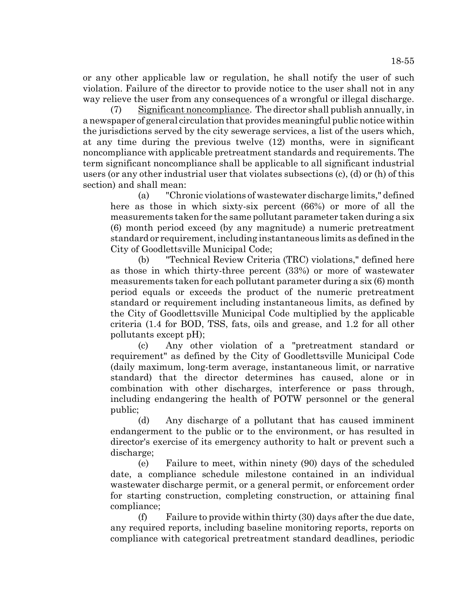or any other applicable law or regulation, he shall notify the user of such violation. Failure of the director to provide notice to the user shall not in any way relieve the user from any consequences of a wrongful or illegal discharge.

(7) Significant noncompliance. The director shall publish annually, in a newspaper of general circulation that provides meaningful public notice within the jurisdictions served by the city sewerage services, a list of the users which, at any time during the previous twelve (12) months, were in significant noncompliance with applicable pretreatment standards and requirements. The term significant noncompliance shall be applicable to all significant industrial users (or any other industrial user that violates subsections (c), (d) or (h) of this section) and shall mean:

(a) "Chronic violations of wastewater discharge limits," defined here as those in which sixty-six percent (66%) or more of all the measurements taken for the same pollutant parameter taken during a six (6) month period exceed (by any magnitude) a numeric pretreatment standard or requirement, including instantaneous limits as defined in the City of Goodlettsville Municipal Code;

(b) "Technical Review Criteria (TRC) violations," defined here as those in which thirty-three percent (33%) or more of wastewater measurements taken for each pollutant parameter during a six (6) month period equals or exceeds the product of the numeric pretreatment standard or requirement including instantaneous limits, as defined by the City of Goodlettsville Municipal Code multiplied by the applicable criteria (1.4 for BOD, TSS, fats, oils and grease, and 1.2 for all other pollutants except pH);

(c) Any other violation of a "pretreatment standard or requirement" as defined by the City of Goodlettsville Municipal Code (daily maximum, long-term average, instantaneous limit, or narrative standard) that the director determines has caused, alone or in combination with other discharges, interference or pass through, including endangering the health of POTW personnel or the general public;

(d) Any discharge of a pollutant that has caused imminent endangerment to the public or to the environment, or has resulted in director's exercise of its emergency authority to halt or prevent such a discharge;

(e) Failure to meet, within ninety (90) days of the scheduled date, a compliance schedule milestone contained in an individual wastewater discharge permit, or a general permit, or enforcement order for starting construction, completing construction, or attaining final compliance;

(f) Failure to provide within thirty (30) days after the due date, any required reports, including baseline monitoring reports, reports on compliance with categorical pretreatment standard deadlines, periodic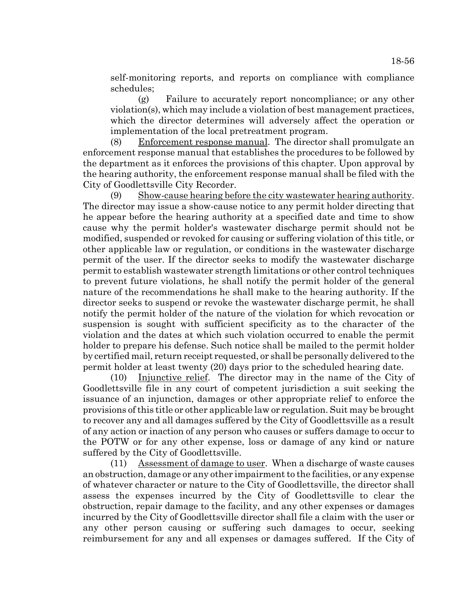self-monitoring reports, and reports on compliance with compliance schedules;

(g) Failure to accurately report noncompliance; or any other violation(s), which may include a violation of best management practices, which the director determines will adversely affect the operation or implementation of the local pretreatment program.

(8) Enforcement response manual. The director shall promulgate an enforcement response manual that establishes the procedures to be followed by the department as it enforces the provisions of this chapter. Upon approval by the hearing authority, the enforcement response manual shall be filed with the City of Goodlettsville City Recorder.

(9) Show-cause hearing before the city wastewater hearing authority. The director may issue a show-cause notice to any permit holder directing that he appear before the hearing authority at a specified date and time to show cause why the permit holder's wastewater discharge permit should not be modified, suspended or revoked for causing or suffering violation of this title, or other applicable law or regulation, or conditions in the wastewater discharge permit of the user. If the director seeks to modify the wastewater discharge permit to establish wastewater strength limitations or other control techniques to prevent future violations, he shall notify the permit holder of the general nature of the recommendations he shall make to the hearing authority. If the director seeks to suspend or revoke the wastewater discharge permit, he shall notify the permit holder of the nature of the violation for which revocation or suspension is sought with sufficient specificity as to the character of the violation and the dates at which such violation occurred to enable the permit holder to prepare his defense. Such notice shall be mailed to the permit holder by certified mail, return receipt requested, or shall be personally delivered to the permit holder at least twenty (20) days prior to the scheduled hearing date.

(10) Injunctive relief. The director may in the name of the City of Goodlettsville file in any court of competent jurisdiction a suit seeking the issuance of an injunction, damages or other appropriate relief to enforce the provisions of this title or other applicable law or regulation. Suit may be brought to recover any and all damages suffered by the City of Goodlettsville as a result of any action or inaction of any person who causes or suffers damage to occur to the POTW or for any other expense, loss or damage of any kind or nature suffered by the City of Goodlettsville.

(11) Assessment of damage to user. When a discharge of waste causes an obstruction, damage or any other impairment to the facilities, or any expense of whatever character or nature to the City of Goodlettsville, the director shall assess the expenses incurred by the City of Goodlettsville to clear the obstruction, repair damage to the facility, and any other expenses or damages incurred by the City of Goodlettsville director shall file a claim with the user or any other person causing or suffering such damages to occur, seeking reimbursement for any and all expenses or damages suffered. If the City of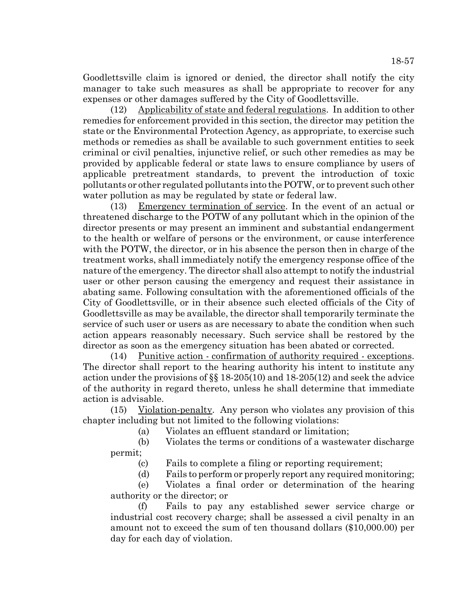Goodlettsville claim is ignored or denied, the director shall notify the city manager to take such measures as shall be appropriate to recover for any expenses or other damages suffered by the City of Goodlettsville.

(12) Applicability of state and federal regulations. In addition to other remedies for enforcement provided in this section, the director may petition the state or the Environmental Protection Agency, as appropriate, to exercise such methods or remedies as shall be available to such government entities to seek criminal or civil penalties, injunctive relief, or such other remedies as may be provided by applicable federal or state laws to ensure compliance by users of applicable pretreatment standards, to prevent the introduction of toxic pollutants or other regulated pollutants into the POTW, or to prevent such other water pollution as may be regulated by state or federal law.

(13) Emergency termination of service. In the event of an actual or threatened discharge to the POTW of any pollutant which in the opinion of the director presents or may present an imminent and substantial endangerment to the health or welfare of persons or the environment, or cause interference with the POTW, the director, or in his absence the person then in charge of the treatment works, shall immediately notify the emergency response office of the nature of the emergency. The director shall also attempt to notify the industrial user or other person causing the emergency and request their assistance in abating same. Following consultation with the aforementioned officials of the City of Goodlettsville, or in their absence such elected officials of the City of Goodlettsville as may be available, the director shall temporarily terminate the service of such user or users as are necessary to abate the condition when such action appears reasonably necessary. Such service shall be restored by the director as soon as the emergency situation has been abated or corrected.

(14) Punitive action - confirmation of authority required - exceptions. The director shall report to the hearing authority his intent to institute any action under the provisions of §§ 18-205(10) and 18-205(12) and seek the advice of the authority in regard thereto, unless he shall determine that immediate action is advisable.

(15) Violation-penalty. Any person who violates any provision of this chapter including but not limited to the following violations:

(a) Violates an effluent standard or limitation;

(b) Violates the terms or conditions of a wastewater discharge permit;

(c) Fails to complete a filing or reporting requirement;

(d) Fails to perform or properly report any required monitoring;

(e) Violates a final order or determination of the hearing authority or the director; or

(f) Fails to pay any established sewer service charge or industrial cost recovery charge; shall be assessed a civil penalty in an amount not to exceed the sum of ten thousand dollars (\$10,000.00) per day for each day of violation.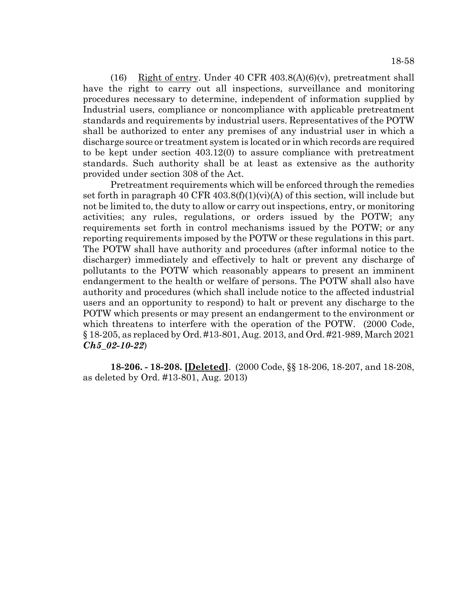18-58

(16) Right of entry. Under 40 CFR  $403.8(A)(6)(v)$ , pretreatment shall have the right to carry out all inspections, surveillance and monitoring procedures necessary to determine, independent of information supplied by Industrial users, compliance or noncompliance with applicable pretreatment standards and requirements by industrial users. Representatives of the POTW shall be authorized to enter any premises of any industrial user in which a discharge source or treatment system is located or in which records are required to be kept under section 403.12(0) to assure compliance with pretreatment standards. Such authority shall be at least as extensive as the authority provided under section 308 of the Act.

Pretreatment requirements which will be enforced through the remedies set forth in paragraph 40 CFR 403.8(f)(1)(vi)(A) of this section, will include but not be limited to, the duty to allow or carry out inspections, entry, or monitoring activities; any rules, regulations, or orders issued by the POTW; any requirements set forth in control mechanisms issued by the POTW; or any reporting requirements imposed by the POTW or these regulations in this part. The POTW shall have authority and procedures (after informal notice to the discharger) immediately and effectively to halt or prevent any discharge of pollutants to the POTW which reasonably appears to present an imminent endangerment to the health or welfare of persons. The POTW shall also have authority and procedures (which shall include notice to the affected industrial users and an opportunity to respond) to halt or prevent any discharge to the POTW which presents or may present an endangerment to the environment or which threatens to interfere with the operation of the POTW. (2000 Code, § 18-205, as replaced by Ord. #13-801, Aug. 2013, and Ord. #21-989, March 2021 *Ch5\_02-10-22*)

**18-206. - 18-208. [Deleted]**. (2000 Code, §§ 18-206, 18-207, and 18-208, as deleted by Ord. #13-801, Aug. 2013)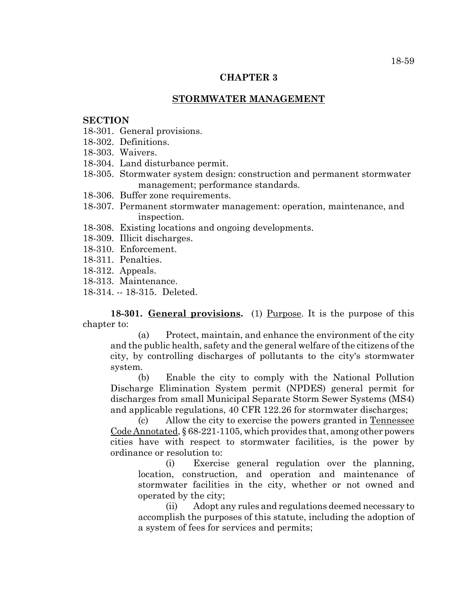## **CHAPTER 3**

## **STORMWATER MANAGEMENT**

## **SECTION**

- 18-301. General provisions.
- 18-302. Definitions.
- 18-303. Waivers.
- 18-304. Land disturbance permit.
- 18-305. Stormwater system design: construction and permanent stormwater management; performance standards.
- 18-306. Buffer zone requirements.
- 18-307. Permanent stormwater management: operation, maintenance, and inspection.
- 18-308. Existing locations and ongoing developments.
- 18-309. Illicit discharges.
- 18-310. Enforcement.
- 18-311. Penalties.
- 18-312. Appeals.
- 18-313. Maintenance.
- 18-314. -- 18-315. Deleted.

18-301. General provisions. (1) Purpose. It is the purpose of this chapter to:

(a) Protect, maintain, and enhance the environment of the city and the public health, safety and the general welfare of the citizens of the city, by controlling discharges of pollutants to the city's stormwater system.

(b) Enable the city to comply with the National Pollution Discharge Elimination System permit (NPDES) general permit for discharges from small Municipal Separate Storm Sewer Systems (MS4) and applicable regulations, 40 CFR 122.26 for stormwater discharges;

(c) Allow the city to exercise the powers granted in Tennessee Code Annotated, § 68-221-1105, which provides that, among other powers cities have with respect to stormwater facilities, is the power by ordinance or resolution to:

(i) Exercise general regulation over the planning, location, construction, and operation and maintenance of stormwater facilities in the city, whether or not owned and operated by the city;

(ii) Adopt any rules and regulations deemed necessary to accomplish the purposes of this statute, including the adoption of a system of fees for services and permits;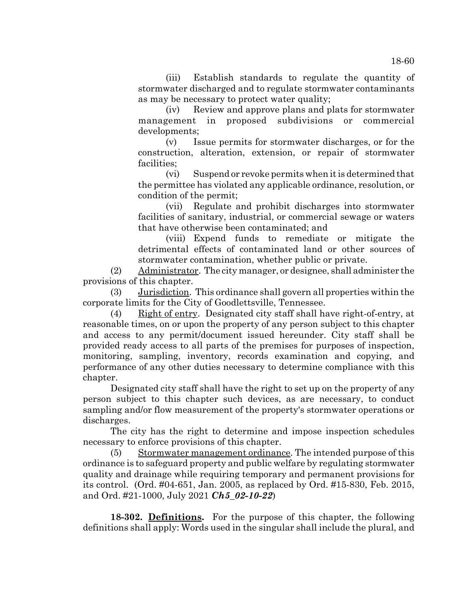(iii) Establish standards to regulate the quantity of stormwater discharged and to regulate stormwater contaminants as may be necessary to protect water quality;

(iv) Review and approve plans and plats for stormwater management in proposed subdivisions or commercial developments;

(v) Issue permits for stormwater discharges, or for the construction, alteration, extension, or repair of stormwater facilities;

(vi) Suspend or revoke permits when it is determined that the permittee has violated any applicable ordinance, resolution, or condition of the permit;

(vii) Regulate and prohibit discharges into stormwater facilities of sanitary, industrial, or commercial sewage or waters that have otherwise been contaminated; and

(viii) Expend funds to remediate or mitigate the detrimental effects of contaminated land or other sources of stormwater contamination, whether public or private.

(2) Administrator. The city manager, or designee, shall administer the provisions of this chapter.

(3) Jurisdiction. This ordinance shall govern all properties within the corporate limits for the City of Goodlettsville, Tennessee.

(4) Right of entry. Designated city staff shall have right-of-entry, at reasonable times, on or upon the property of any person subject to this chapter and access to any permit/document issued hereunder. City staff shall be provided ready access to all parts of the premises for purposes of inspection, monitoring, sampling, inventory, records examination and copying, and performance of any other duties necessary to determine compliance with this chapter.

Designated city staff shall have the right to set up on the property of any person subject to this chapter such devices, as are necessary, to conduct sampling and/or flow measurement of the property's stormwater operations or discharges.

The city has the right to determine and impose inspection schedules necessary to enforce provisions of this chapter.

(5) Stormwater management ordinance. The intended purpose of this ordinance is to safeguard property and public welfare by regulating stormwater quality and drainage while requiring temporary and permanent provisions for its control. (Ord. #04-651, Jan. 2005, as replaced by Ord. #15-830, Feb. 2015, and Ord. #21-1000, July 2021 *Ch5\_02-10-22*)

**18-302. Definitions.** For the purpose of this chapter, the following definitions shall apply: Words used in the singular shall include the plural, and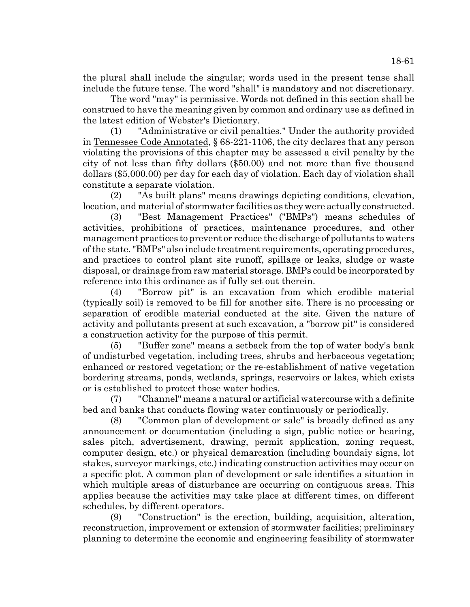the plural shall include the singular; words used in the present tense shall include the future tense. The word "shall" is mandatory and not discretionary.

The word "may" is permissive. Words not defined in this section shall be construed to have the meaning given by common and ordinary use as defined in the latest edition of Webster's Dictionary.

(1) "Administrative or civil penalties." Under the authority provided in Tennessee Code Annotated, § 68-221-1106, the city declares that any person violating the provisions of this chapter may be assessed a civil penalty by the city of not less than fifty dollars (\$50.00) and not more than five thousand dollars (\$5,000.00) per day for each day of violation. Each day of violation shall constitute a separate violation.

(2) "As built plans" means drawings depicting conditions, elevation, location, and material of stormwater facilities as they were actually constructed.

(3) "Best Management Practices" ("BMPs") means schedules of activities, prohibitions of practices, maintenance procedures, and other management practices to prevent or reduce the discharge of pollutants to waters of the state. "BMPs" also include treatment requirements, operating procedures, and practices to control plant site runoff, spillage or leaks, sludge or waste disposal, or drainage from raw material storage. BMPs could be incorporated by reference into this ordinance as if fully set out therein.

(4) "Borrow pit" is an excavation from which erodible material (typically soil) is removed to be fill for another site. There is no processing or separation of erodible material conducted at the site. Given the nature of activity and pollutants present at such excavation, a "borrow pit" is considered a construction activity for the purpose of this permit.

(5) "Buffer zone" means a setback from the top of water body's bank of undisturbed vegetation, including trees, shrubs and herbaceous vegetation; enhanced or restored vegetation; or the re-establishment of native vegetation bordering streams, ponds, wetlands, springs, reservoirs or lakes, which exists or is established to protect those water bodies.

(7) "Channel" means a natural or artificial watercourse with a definite bed and banks that conducts flowing water continuously or periodically.

(8) "Common plan of development or sale" is broadly defined as any announcement or documentation (including a sign, public notice or hearing, sales pitch, advertisement, drawing, permit application, zoning request, computer design, etc.) or physical demarcation (including boundaiy signs, lot stakes, surveyor markings, etc.) indicating construction activities may occur on a specific plot. A common plan of development or sale identifies a situation in which multiple areas of disturbance are occurring on contiguous areas. This applies because the activities may take place at different times, on different schedules, by different operators.

(9) "Construction" is the erection, building, acquisition, alteration, reconstruction, improvement or extension of stormwater facilities; preliminary planning to determine the economic and engineering feasibility of stormwater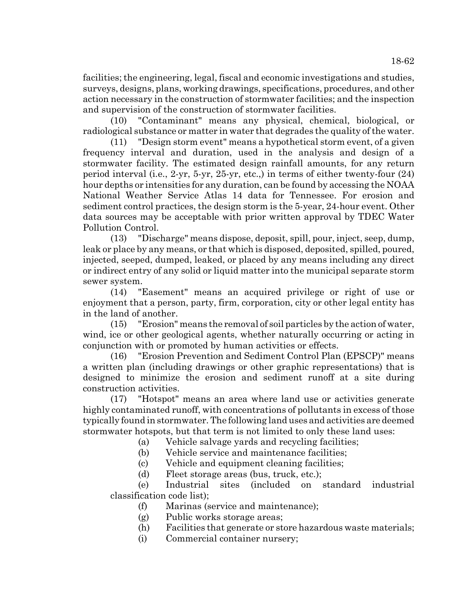facilities; the engineering, legal, fiscal and economic investigations and studies, surveys, designs, plans, working drawings, specifications, procedures, and other action necessary in the construction of stormwater facilities; and the inspection and supervision of the construction of stormwater facilities.

(10) "Contaminant" means any physical, chemical, biological, or radiological substance or matter in water that degrades the quality of the water.

(11) "Design storm event" means a hypothetical storm event, of a given frequency interval and duration, used in the analysis and design of a stormwater facility. The estimated design rainfall amounts, for any return period interval (i.e., 2-yr, 5-yr, 25-yr, etc.,) in terms of either twenty-four (24) hour depths or intensities for any duration, can be found by accessing the NOAA National Weather Service Atlas 14 data for Tennessee. For erosion and sediment control practices, the design storm is the 5-year, 24-hour event. Other data sources may be acceptable with prior written approval by TDEC Water Pollution Control.

(13) "Discharge" means dispose, deposit, spill, pour, inject, seep, dump, leak or place by any means, or that which is disposed, deposited, spilled, poured, injected, seeped, dumped, leaked, or placed by any means including any direct or indirect entry of any solid or liquid matter into the municipal separate storm sewer system.

(14) "Easement" means an acquired privilege or right of use or enjoyment that a person, party, firm, corporation, city or other legal entity has in the land of another.

(15) "Erosion" means the removal of soil particles by the action of water, wind, ice or other geological agents, whether naturally occurring or acting in conjunction with or promoted by human activities or effects.

(16) "Erosion Prevention and Sediment Control Plan (EPSCP)" means a written plan (including drawings or other graphic representations) that is designed to minimize the erosion and sediment runoff at a site during construction activities.

(17) "Hotspot" means an area where land use or activities generate highly contaminated runoff, with concentrations of pollutants in excess of those typically found in stormwater. The following land uses and activities are deemed stormwater hotspots, but that term is not limited to only these land uses:

(a) Vehicle salvage yards and recycling facilities;

(b) Vehicle service and maintenance facilities;

(c) Vehicle and equipment cleaning facilities;

(d) Fleet storage areas (bus, truck, etc.);

(e) Industrial sites (included on standard industrial classification code list);

- (f) Marinas (service and maintenance);
- (g) Public works storage areas;
- (h) Facilities that generate or store hazardous waste materials;
- (i) Commercial container nursery;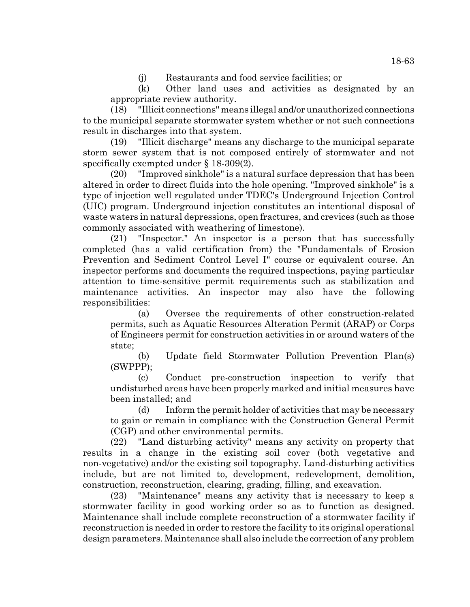(j) Restaurants and food service facilities; or

(k) Other land uses and activities as designated by an appropriate review authority.

(18) "Illicit connections" means illegal and/or unauthorized connections to the municipal separate stormwater system whether or not such connections result in discharges into that system.

(19) "Illicit discharge" means any discharge to the municipal separate storm sewer system that is not composed entirely of stormwater and not specifically exempted under § 18-309(2).

(20) "Improved sinkhole" is a natural surface depression that has been altered in order to direct fluids into the hole opening. "Improved sinkhole" is a type of injection well regulated under TDEC's Underground Injection Control (UIC) program. Underground injection constitutes an intentional disposal of waste waters in natural depressions, open fractures, and crevices (such as those commonly associated with weathering of limestone).

(21) "Inspector." An inspector is a person that has successfully completed (has a valid certification from) the "Fundamentals of Erosion Prevention and Sediment Control Level I" course or equivalent course. An inspector performs and documents the required inspections, paying particular attention to time-sensitive permit requirements such as stabilization and maintenance activities. An inspector may also have the following responsibilities:

(a) Oversee the requirements of other construction-related permits, such as Aquatic Resources Alteration Permit (ARAP) or Corps of Engineers permit for construction activities in or around waters of the state;

(b) Update field Stormwater Pollution Prevention Plan(s) (SWPPP);

(c) Conduct pre-construction inspection to verify that undisturbed areas have been properly marked and initial measures have been installed; and

(d) Inform the permit holder of activities that may be necessary to gain or remain in compliance with the Construction General Permit (CGP) and other environmental permits.

(22) "Land disturbing activity" means any activity on property that results in a change in the existing soil cover (both vegetative and non-vegetative) and/or the existing soil topography. Land-disturbing activities include, but are not limited to, development, redevelopment, demolition, construction, reconstruction, clearing, grading, filling, and excavation.

(23) "Maintenance" means any activity that is necessary to keep a stormwater facility in good working order so as to function as designed. Maintenance shall include complete reconstruction of a stormwater facility if reconstruction is needed in order to restore the facility to its original operational design parameters. Maintenance shall also include the correction of any problem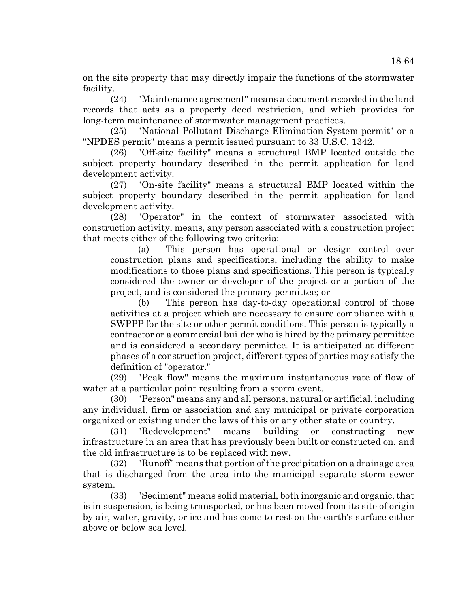on the site property that may directly impair the functions of the stormwater facility.

(24) "Maintenance agreement" means a document recorded in the land records that acts as a property deed restriction, and which provides for long-term maintenance of stormwater management practices.

(25) "National Pollutant Discharge Elimination System permit" or a "NPDES permit" means a permit issued pursuant to 33 U.S.C. 1342.

(26) "Off-site facility" means a structural BMP located outside the subject property boundary described in the permit application for land development activity.

(27) "On-site facility" means a structural BMP located within the subject property boundary described in the permit application for land development activity.

(28) "Operator" in the context of stormwater associated with construction activity, means, any person associated with a construction project that meets either of the following two criteria:

(a) This person has operational or design control over construction plans and specifications, including the ability to make modifications to those plans and specifications. This person is typically considered the owner or developer of the project or a portion of the project, and is considered the primary permittee; or

(b) This person has day-to-day operational control of those activities at a project which are necessary to ensure compliance with a SWPPP for the site or other permit conditions. This person is typically a contractor or a commercial builder who is hired by the primary permittee and is considered a secondary permittee. It is anticipated at different phases of a construction project, different types of parties may satisfy the definition of "operator."

(29) "Peak flow" means the maximum instantaneous rate of flow of water at a particular point resulting from a storm event.

(30) "Person" means any and all persons, natural or artificial, including any individual, firm or association and any municipal or private corporation organized or existing under the laws of this or any other state or country.

(31) "Redevelopment" means building or constructing new infrastructure in an area that has previously been built or constructed on, and the old infrastructure is to be replaced with new.

(32) "Runoff" means that portion of the precipitation on a drainage area that is discharged from the area into the municipal separate storm sewer system.

(33) "Sediment" means solid material, both inorganic and organic, that is in suspension, is being transported, or has been moved from its site of origin by air, water, gravity, or ice and has come to rest on the earth's surface either above or below sea level.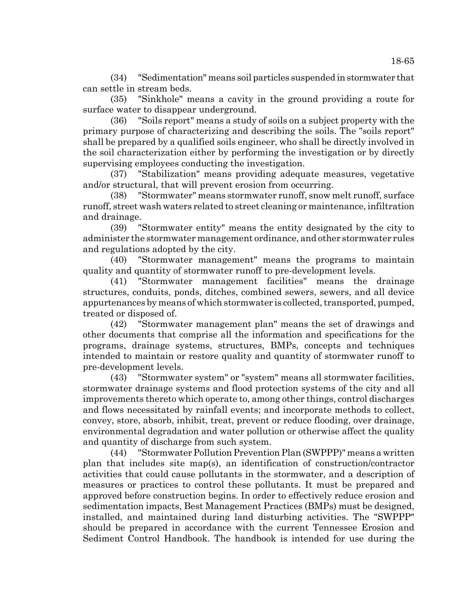(34) "Sedimentation" means soil particles suspended in stormwater that can settle in stream beds.

(35) "Sinkhole" means a cavity in the ground providing a route for surface water to disappear underground.

(36) "Soils report" means a study of soils on a subject property with the primary purpose of characterizing and describing the soils. The "soils report" shall be prepared by a qualified soils engineer, who shall be directly involved in the soil characterization either by performing the investigation or by directly supervising employees conducting the investigation.

(37) "Stabilization" means providing adequate measures, vegetative and/or structural, that will prevent erosion from occurring.

(38) "Stormwater" means stormwater runoff, snow melt runoff, surface runoff, street wash waters related to street cleaning or maintenance, infiltration and drainage.

(39) "Stormwater entity" means the entity designated by the city to administer the stormwater management ordinance, and other stormwater rules and regulations adopted by the city.

(40) "Stormwater management" means the programs to maintain quality and quantity of stormwater runoff to pre-development levels.

(41) "Stormwater management facilities" means the drainage structures, conduits, ponds, ditches, combined sewers, sewers, and all device appurtenances by means of which stormwater is collected, transported, pumped, treated or disposed of.

(42) "Stormwater management plan" means the set of drawings and other documents that comprise all the information and specifications for the programs, drainage systems, structures, BMPs, concepts and techniques intended to maintain or restore quality and quantity of stormwater runoff to pre-development levels.

(43) "Stormwater system" or "system" means all stormwater facilities, stormwater drainage systems and flood protection systems of the city and all improvements thereto which operate to, among other things, control discharges and flows necessitated by rainfall events; and incorporate methods to collect, convey, store, absorb, inhibit, treat, prevent or reduce flooding, over drainage, environmental degradation and water pollution or otherwise affect the quality and quantity of discharge from such system.

(44) "Stormwater Pollution Prevention Plan (SWPPP)" means a written plan that includes site map(s), an identification of construction/contractor activities that could cause pollutants in the stormwater, and a description of measures or practices to control these pollutants. It must be prepared and approved before construction begins. In order to effectively reduce erosion and sedimentation impacts, Best Management Practices (BMPs) must be designed, installed, and maintained during land disturbing activities. The "SWPPP" should be prepared in accordance with the current Tennessee Erosion and Sediment Control Handbook. The handbook is intended for use during the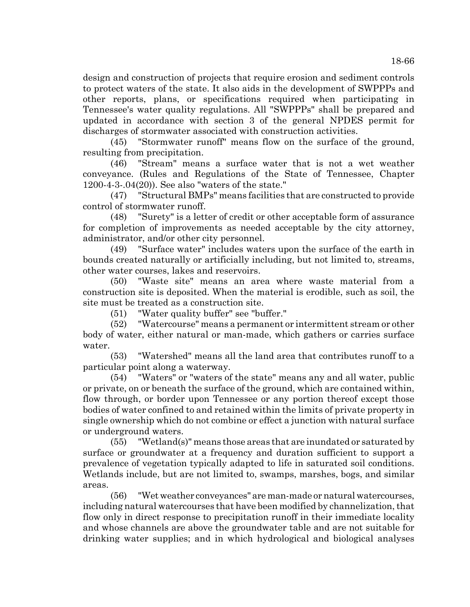design and construction of projects that require erosion and sediment controls to protect waters of the state. It also aids in the development of SWPPPs and other reports, plans, or specifications required when participating in Tennessee's water quality regulations. All "SWPPPs" shall be prepared and updated in accordance with section 3 of the general NPDES permit for discharges of stormwater associated with construction activities.

(45) "Stormwater runoff" means flow on the surface of the ground, resulting from precipitation.

(46) "Stream" means a surface water that is not a wet weather conveyance. (Rules and Regulations of the State of Tennessee, Chapter 1200-4-3-.04(20)). See also "waters of the state."

(47) "Structural BMPs" means facilities that are constructed to provide control of stormwater runoff.

(48) "Surety" is a letter of credit or other acceptable form of assurance for completion of improvements as needed acceptable by the city attorney, administrator, and/or other city personnel.

(49) "Surface water" includes waters upon the surface of the earth in bounds created naturally or artificially including, but not limited to, streams, other water courses, lakes and reservoirs.

(50) "Waste site" means an area where waste material from a construction site is deposited. When the material is erodible, such as soil, the site must be treated as a construction site.

(51) "Water quality buffer" see "buffer."

(52) "Watercourse" means a permanent or intermittent stream or other body of water, either natural or man-made, which gathers or carries surface water.

(53) "Watershed" means all the land area that contributes runoff to a particular point along a waterway.

(54) "Waters" or "waters of the state" means any and all water, public or private, on or beneath the surface of the ground, which are contained within, flow through, or border upon Tennessee or any portion thereof except those bodies of water confined to and retained within the limits of private property in single ownership which do not combine or effect a junction with natural surface or underground waters.

(55) "Wetland(s)" means those areas that are inundated or saturated by surface or groundwater at a frequency and duration sufficient to support a prevalence of vegetation typically adapted to life in saturated soil conditions. Wetlands include, but are not limited to, swamps, marshes, bogs, and similar areas.

(56) "Wet weather conveyances" are man-made or natural watercourses, including natural watercourses that have been modified by channelization, that flow only in direct response to precipitation runoff in their immediate locality and whose channels are above the groundwater table and are not suitable for drinking water supplies; and in which hydrological and biological analyses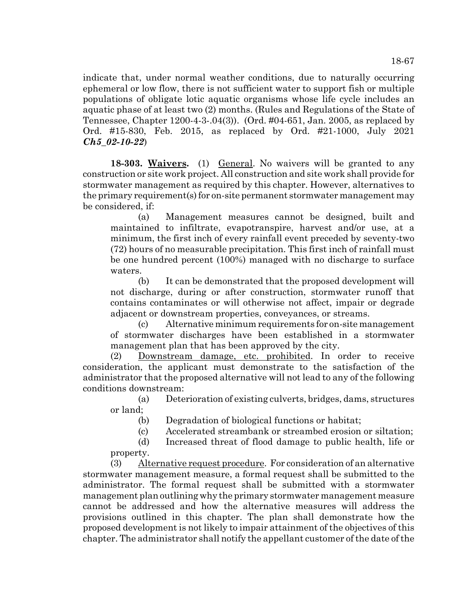indicate that, under normal weather conditions, due to naturally occurring ephemeral or low flow, there is not sufficient water to support fish or multiple populations of obligate lotic aquatic organisms whose life cycle includes an aquatic phase of at least two (2) months. (Rules and Regulations of the State of Tennessee, Chapter 1200-4-3-.04(3)). (Ord. #04-651, Jan. 2005, as replaced by Ord. #15-830, Feb. 2015, as replaced by Ord. #21-1000, July 2021 *Ch5\_02-10-22*)

**18-303. Waivers.** (1) General. No waivers will be granted to any construction or site work project. All construction and site work shall provide for stormwater management as required by this chapter. However, alternatives to the primary requirement(s) for on-site permanent stormwater management may be considered, if:

(a) Management measures cannot be designed, built and maintained to infiltrate, evapotranspire, harvest and/or use, at a minimum, the first inch of every rainfall event preceded by seventy-two (72) hours of no measurable precipitation. This first inch of rainfall must be one hundred percent (100%) managed with no discharge to surface waters.

(b) It can be demonstrated that the proposed development will not discharge, during or after construction, stormwater runoff that contains contaminates or will otherwise not affect, impair or degrade adjacent or downstream properties, conveyances, or streams.

(c) Alternative minimum requirements for on-site management of stormwater discharges have been established in a stormwater management plan that has been approved by the city.

(2) Downstream damage, etc. prohibited. In order to receive consideration, the applicant must demonstrate to the satisfaction of the administrator that the proposed alternative will not lead to any of the following conditions downstream:

(a) Deterioration of existing culverts, bridges, dams, structures or land;

(b) Degradation of biological functions or habitat;

(c) Accelerated streambank or streambed erosion or siltation;

(d) Increased threat of flood damage to public health, life or property.

(3) Alternative request procedure. For consideration of an alternative stormwater management measure, a formal request shall be submitted to the administrator. The formal request shall be submitted with a stormwater management plan outlining why the primary stormwater management measure cannot be addressed and how the alternative measures will address the provisions outlined in this chapter. The plan shall demonstrate how the proposed development is not likely to impair attainment of the objectives of this chapter. The administrator shall notify the appellant customer of the date of the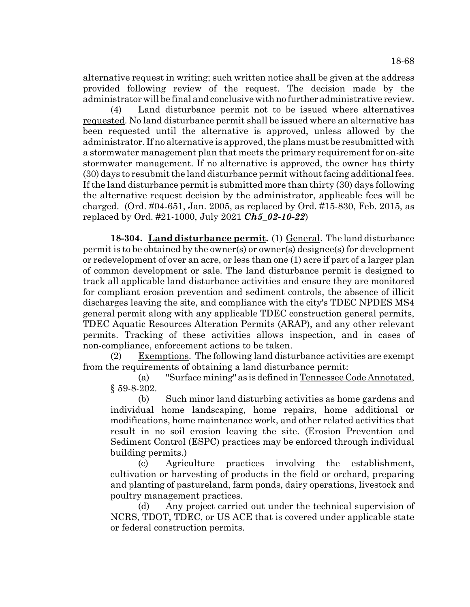alternative request in writing; such written notice shall be given at the address provided following review of the request. The decision made by the administrator will be final and conclusive with no further administrative review.

(4) Land disturbance permit not to be issued where alternatives requested. No land disturbance permit shall be issued where an alternative has been requested until the alternative is approved, unless allowed by the administrator. If no alternative is approved, the plans must be resubmitted with a stormwater management plan that meets the primary requirement for on-site stormwater management. If no alternative is approved, the owner has thirty (30) days to resubmit the land disturbance permit without facing additional fees. If the land disturbance permit is submitted more than thirty (30) days following the alternative request decision by the administrator, applicable fees will be charged. (Ord. #04-651, Jan. 2005, as replaced by Ord. #15-830, Feb. 2015, as replaced by Ord. #21-1000, July 2021 *Ch5\_02-10-22*)

**18-304.** Land disturbance permit. (1) General. The land disturbance permit is to be obtained by the owner(s) or owner(s) designee(s) for development or redevelopment of over an acre, or less than one (1) acre if part of a larger plan of common development or sale. The land disturbance permit is designed to track all applicable land disturbance activities and ensure they are monitored for compliant erosion prevention and sediment controls, the absence of illicit discharges leaving the site, and compliance with the city's TDEC NPDES MS4 general permit along with any applicable TDEC construction general permits, TDEC Aquatic Resources Alteration Permits (ARAP), and any other relevant permits. Tracking of these activities allows inspection, and in cases of non-compliance, enforcement actions to be taken.

 $(2)$  Exemptions. The following land disturbance activities are exempt from the requirements of obtaining a land disturbance permit:

(a) "Surface mining" as is defined in Tennessee Code Annotated, § 59-8-202.

(b) Such minor land disturbing activities as home gardens and individual home landscaping, home repairs, home additional or modifications, home maintenance work, and other related activities that result in no soil erosion leaving the site. (Erosion Prevention and Sediment Control (ESPC) practices may be enforced through individual building permits.)

(c) Agriculture practices involving the establishment, cultivation or harvesting of products in the field or orchard, preparing and planting of pastureland, farm ponds, dairy operations, livestock and poultry management practices.

(d) Any project carried out under the technical supervision of NCRS, TDOT, TDEC, or US ACE that is covered under applicable state or federal construction permits.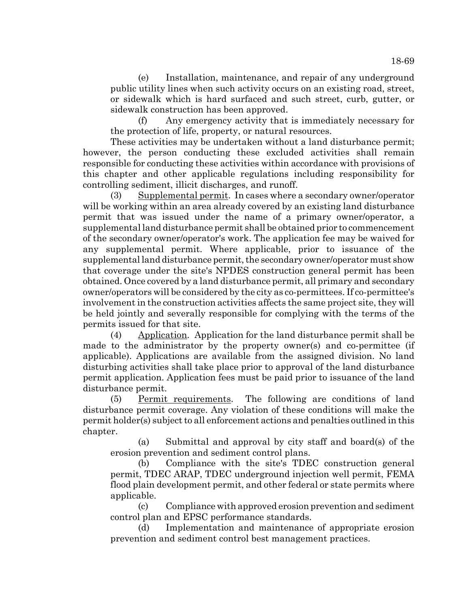(e) Installation, maintenance, and repair of any underground public utility lines when such activity occurs on an existing road, street, or sidewalk which is hard surfaced and such street, curb, gutter, or sidewalk construction has been approved.

(f) Any emergency activity that is immediately necessary for the protection of life, property, or natural resources.

These activities may be undertaken without a land disturbance permit; however, the person conducting these excluded activities shall remain responsible for conducting these activities within accordance with provisions of this chapter and other applicable regulations including responsibility for controlling sediment, illicit discharges, and runoff.

(3) Supplemental permit. In cases where a secondary owner/operator will be working within an area already covered by an existing land disturbance permit that was issued under the name of a primary owner/operator, a supplemental land disturbance permit shall be obtained prior to commencement of the secondary owner/operator's work. The application fee may be waived for any supplemental permit. Where applicable, prior to issuance of the supplemental land disturbance permit, the secondary owner/operator must show that coverage under the site's NPDES construction general permit has been obtained. Once covered by a land disturbance permit, all primary and secondary owner/operators will be considered by the city as co-permittees. If co-permittee's involvement in the construction activities affects the same project site, they will be held jointly and severally responsible for complying with the terms of the permits issued for that site.

(4) Application. Application for the land disturbance permit shall be made to the administrator by the property owner(s) and co-permittee (if applicable). Applications are available from the assigned division. No land disturbing activities shall take place prior to approval of the land disturbance permit application. Application fees must be paid prior to issuance of the land disturbance permit.

(5) Permit requirements. The following are conditions of land disturbance permit coverage. Any violation of these conditions will make the permit holder(s) subject to all enforcement actions and penalties outlined in this chapter.

(a) Submittal and approval by city staff and board(s) of the erosion prevention and sediment control plans.

(b) Compliance with the site's TDEC construction general permit, TDEC ARAP, TDEC underground injection well permit, FEMA flood plain development permit, and other federal or state permits where applicable.

(c) Compliance with approved erosion prevention and sediment control plan and EPSC performance standards.

(d) Implementation and maintenance of appropriate erosion prevention and sediment control best management practices.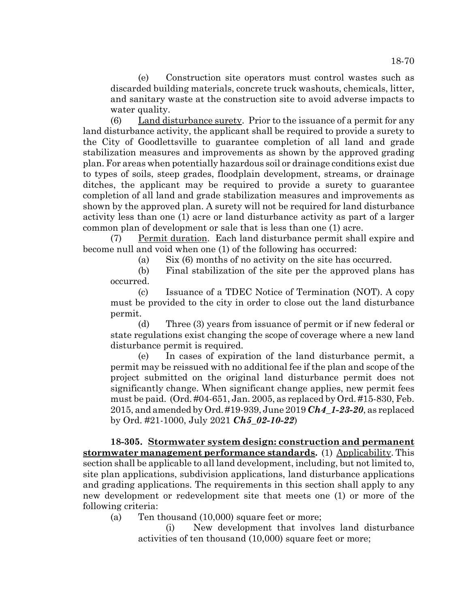(e) Construction site operators must control wastes such as discarded building materials, concrete truck washouts, chemicals, litter, and sanitary waste at the construction site to avoid adverse impacts to water quality.

(6) Land disturbance surety. Prior to the issuance of a permit for any land disturbance activity, the applicant shall be required to provide a surety to the City of Goodlettsville to guarantee completion of all land and grade stabilization measures and improvements as shown by the approved grading plan. For areas when potentially hazardous soil or drainage conditions exist due to types of soils, steep grades, floodplain development, streams, or drainage ditches, the applicant may be required to provide a surety to guarantee completion of all land and grade stabilization measures and improvements as shown by the approved plan. A surety will not be required for land disturbance activity less than one (1) acre or land disturbance activity as part of a larger common plan of development or sale that is less than one (1) acre.

(7) Permit duration. Each land disturbance permit shall expire and become null and void when one (1) of the following has occurred:

(a) Six (6) months of no activity on the site has occurred.

(b) Final stabilization of the site per the approved plans has occurred.

(c) Issuance of a TDEC Notice of Termination (NOT). A copy must be provided to the city in order to close out the land disturbance permit.

(d) Three (3) years from issuance of permit or if new federal or state regulations exist changing the scope of coverage where a new land disturbance permit is required.

(e) In cases of expiration of the land disturbance permit, a permit may be reissued with no additional fee if the plan and scope of the project submitted on the original land disturbance permit does not significantly change. When significant change applies, new permit fees must be paid. (Ord. #04-651, Jan. 2005, as replaced by Ord. #15-830, Feb. 2015, and amended by Ord. #19-939, June 2019 *Ch4\_1-23-20*, as replaced by Ord. #21-1000, July 2021 *Ch5\_02-10-22*)

**18-305. Stormwater system design: construction and permanent stormwater management performance standards.** (1) Applicability. This section shall be applicable to all land development, including, but not limited to, site plan applications, subdivision applications, land disturbance applications and grading applications. The requirements in this section shall apply to any new development or redevelopment site that meets one (1) or more of the following criteria:

(a) Ten thousand (10,000) square feet or more;

(i) New development that involves land disturbance activities of ten thousand (10,000) square feet or more;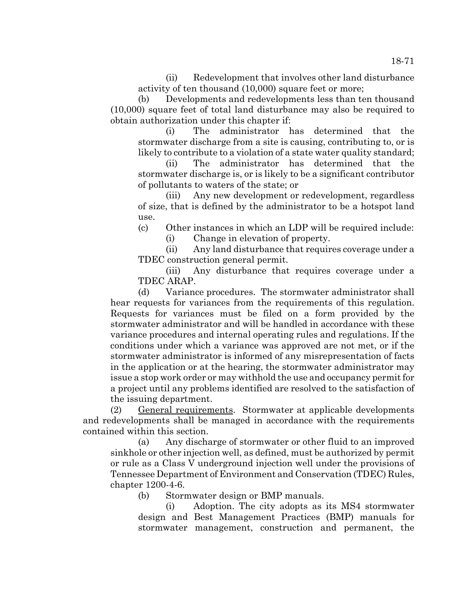(ii) Redevelopment that involves other land disturbance activity of ten thousand (10,000) square feet or more;

(b) Developments and redevelopments less than ten thousand (10,000) square feet of total land disturbance may also be required to obtain authorization under this chapter if:

(i) The administrator has determined that the stormwater discharge from a site is causing, contributing to, or is likely to contribute to a violation of a state water quality standard;

(ii) The administrator has determined that the stormwater discharge is, or is likely to be a significant contributor of pollutants to waters of the state; or

(iii) Any new development or redevelopment, regardless of size, that is defined by the administrator to be a hotspot land use.

(c) Other instances in which an LDP will be required include: (i) Change in elevation of property.

(ii) Any land disturbance that requires coverage under a TDEC construction general permit.

(iii) Any disturbance that requires coverage under a TDEC ARAP.

(d) Variance procedures. The stormwater administrator shall hear requests for variances from the requirements of this regulation. Requests for variances must be filed on a form provided by the stormwater administrator and will be handled in accordance with these variance procedures and internal operating rules and regulations. If the conditions under which a variance was approved are not met, or if the stormwater administrator is informed of any misrepresentation of facts in the application or at the hearing, the stormwater administrator may issue a stop work order or may withhold the use and occupancy permit for a project until any problems identified are resolved to the satisfaction of the issuing department.

(2) General requirements. Stormwater at applicable developments and redevelopments shall be managed in accordance with the requirements contained within this section.

(a) Any discharge of stormwater or other fluid to an improved sinkhole or other injection well, as defined, must be authorized by permit or rule as a Class V underground injection well under the provisions of Tennessee Department of Environment and Conservation (TDEC) Rules, chapter 1200-4-6.

(b) Stormwater design or BMP manuals.

(i) Adoption. The city adopts as its MS4 stormwater design and Best Management Practices (BMP) manuals for stormwater management, construction and permanent, the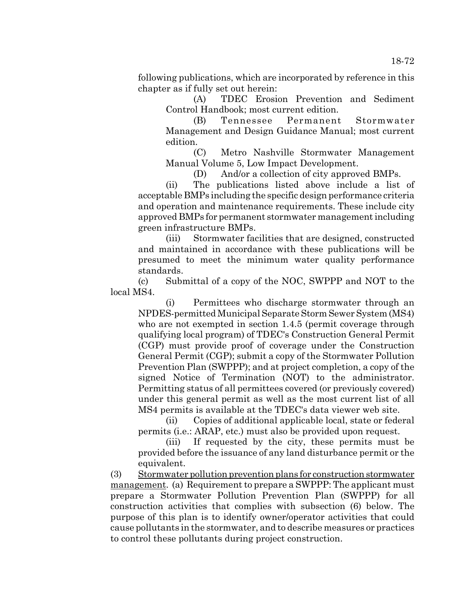following publications, which are incorporated by reference in this chapter as if fully set out herein:

(A) TDEC Erosion Prevention and Sediment Control Handbook; most current edition.

(B) Tennessee Permanent Stormwater Management and Design Guidance Manual; most current edition.

(C) Metro Nashville Stormwater Management Manual Volume 5, Low Impact Development.

(D) And/or a collection of city approved BMPs.

(ii) The publications listed above include a list of acceptable BMPs including the specific design performance criteria and operation and maintenance requirements. These include city approved BMPs for permanent stormwater management including green infrastructure BMPs.

(iii) Stormwater facilities that are designed, constructed and maintained in accordance with these publications will be presumed to meet the minimum water quality performance standards.

(c) Submittal of a copy of the NOC, SWPPP and NOT to the local MS4.

(i) Permittees who discharge stormwater through an NPDES-permitted Municipal Separate Storm Sewer System (MS4) who are not exempted in section 1.4.5 (permit coverage through qualifying local program) of TDEC's Construction General Permit (CGP) must provide proof of coverage under the Construction General Permit (CGP); submit a copy of the Stormwater Pollution Prevention Plan (SWPPP); and at project completion, a copy of the signed Notice of Termination (NOT) to the administrator. Permitting status of all permittees covered (or previously covered) under this general permit as well as the most current list of all MS4 permits is available at the TDEC's data viewer web site.

(ii) Copies of additional applicable local, state or federal permits (i.e.: ARAP, etc.) must also be provided upon request.

(iii) If requested by the city, these permits must be provided before the issuance of any land disturbance permit or the equivalent.

(3) Stormwater pollution prevention plans for construction stormwater management. (a) Requirement to prepare a SWPPP: The applicant must prepare a Stormwater Pollution Prevention Plan (SWPPP) for all construction activities that complies with subsection (6) below. The purpose of this plan is to identify owner/operator activities that could cause pollutants in the stormwater, and to describe measures or practices to control these pollutants during project construction.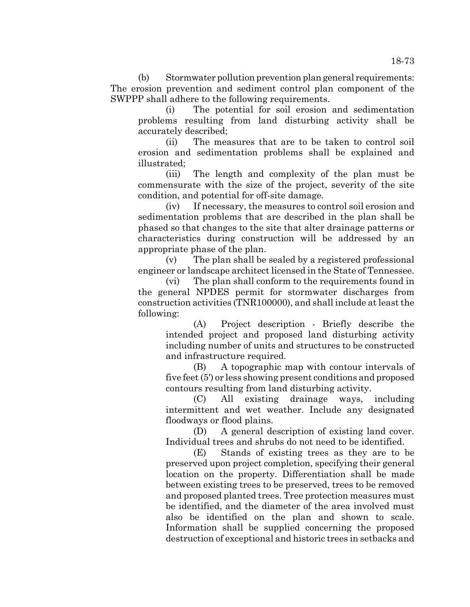(b) Stormwater pollution prevention plan general requirements: The erosion prevention and sediment control plan component of the SWPPP shall adhere to the following requirements.

(i) The potential for soil erosion and sedimentation problems resulting from land disturbing activity shall be accurately described;

(ii) The measures that are to be taken to control soil erosion and sedimentation problems shall be explained and illustrated;

(iii) The length and complexity of the plan must be commensurate with the size of the project, severity of the site condition, and potential for off-site damage.

(iv) If necessary, the measures to control soil erosion and sedimentation problems that are described in the plan shall be phased so that changes to the site that alter drainage patterns or characteristics during construction will be addressed by an appropriate phase of the plan.

(v) The plan shall be sealed by a registered professional engineer or landscape architect licensed in the State of Tennessee.

(vi) The plan shall conform to the requirements found in the general NPDES permit for stormwater discharges from construction activities (TNR100000), and shall include at least the following:

(A) Project description - Briefly describe the intended project and proposed land disturbing activity including number of units and structures to be constructed and infrastructure required.

(B) A topographic map with contour intervals of five feet (5') or less showing present conditions and proposed contours resulting from land disturbing activity.

(C) All existing drainage ways, including intermittent and wet weather. Include any designated floodways or flood plains.

(D) A general description of existing land cover. Individual trees and shrubs do not need to be identified.

(E) Stands of existing trees as they are to be preserved upon project completion, specifying their general location on the property. Differentiation shall be made between existing trees to be preserved, trees to be removed and proposed planted trees. Tree protection measures must be identified, and the diameter of the area involved must also be identified on the plan and shown to scale. Information shall be supplied concerning the proposed destruction of exceptional and historic trees in setbacks and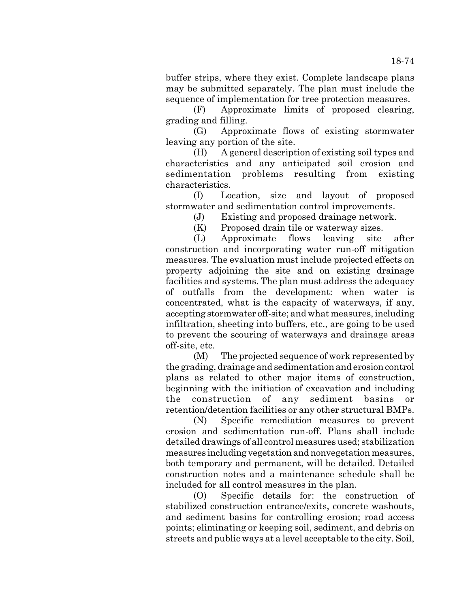buffer strips, where they exist. Complete landscape plans may be submitted separately. The plan must include the sequence of implementation for tree protection measures.

(F) Approximate limits of proposed clearing, grading and filling.

(G) Approximate flows of existing stormwater leaving any portion of the site.

(H) A general description of existing soil types and characteristics and any anticipated soil erosion and sedimentation problems resulting from existing characteristics.

(I) Location, size and layout of proposed stormwater and sedimentation control improvements.

(J) Existing and proposed drainage network.

(K) Proposed drain tile or waterway sizes.

(L) Approximate flows leaving site after construction and incorporating water run-off mitigation measures. The evaluation must include projected effects on property adjoining the site and on existing drainage facilities and systems. The plan must address the adequacy of outfalls from the development: when water is concentrated, what is the capacity of waterways, if any, accepting stormwater off-site; and what measures, including infiltration, sheeting into buffers, etc., are going to be used to prevent the scouring of waterways and drainage areas off-site, etc.

(M) The projected sequence of work represented by the grading, drainage and sedimentation and erosion control plans as related to other major items of construction, beginning with the initiation of excavation and including the construction of any sediment basins or retention/detention facilities or any other structural BMPs.

(N) Specific remediation measures to prevent erosion and sedimentation run-off. Plans shall include detailed drawings of all control measures used; stabilization measures including vegetation and nonvegetation measures, both temporary and permanent, will be detailed. Detailed construction notes and a maintenance schedule shall be included for all control measures in the plan.

(O) Specific details for: the construction of stabilized construction entrance/exits, concrete washouts, and sediment basins for controlling erosion; road access points; eliminating or keeping soil, sediment, and debris on streets and public ways at a level acceptable to the city. Soil,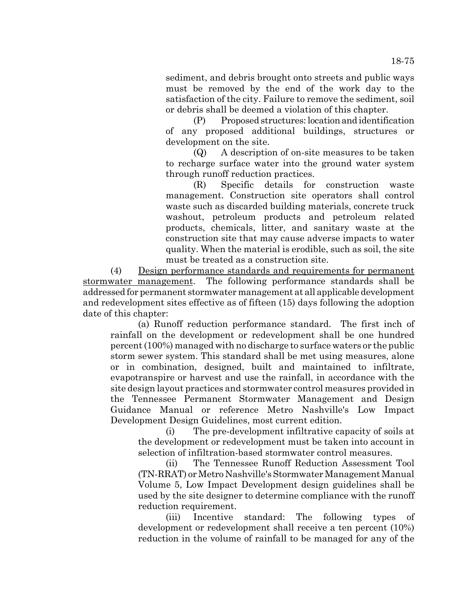sediment, and debris brought onto streets and public ways must be removed by the end of the work day to the satisfaction of the city. Failure to remove the sediment, soil or debris shall be deemed a violation of this chapter.

(P) Proposed structures: location and identification of any proposed additional buildings, structures or development on the site.

(Q) A description of on-site measures to be taken to recharge surface water into the ground water system through runoff reduction practices.

(R) Specific details for construction waste management. Construction site operators shall control waste such as discarded building materials, concrete truck washout, petroleum products and petroleum related products, chemicals, litter, and sanitary waste at the construction site that may cause adverse impacts to water quality. When the material is erodible, such as soil, the site must be treated as a construction site.

(4) Design performance standards and requirements for permanent stormwater management. The following performance standards shall be addressed for permanent stormwater management at all applicable development and redevelopment sites effective as of fifteen (15) days following the adoption date of this chapter:

(a) Runoff reduction performance standard. The first inch of rainfall on the development or redevelopment shall be one hundred percent (100%) managed with no discharge to surface waters or the public storm sewer system. This standard shall be met using measures, alone or in combination, designed, built and maintained to infiltrate, evapotranspire or harvest and use the rainfall, in accordance with the site design layout practices and stormwater control measures provided in the Tennessee Permanent Stormwater Management and Design Guidance Manual or reference Metro Nashville's Low Impact Development Design Guidelines, most current edition.

(i) The pre-development infiltrative capacity of soils at the development or redevelopment must be taken into account in selection of infiltration-based stormwater control measures.

(ii) The Tennessee Runoff Reduction Assessment Tool (TN-RRAT) or Metro Nashville's Stormwater Management Manual Volume 5, Low Impact Development design guidelines shall be used by the site designer to determine compliance with the runoff reduction requirement.

(iii) Incentive standard: The following types of development or redevelopment shall receive a ten percent (10%) reduction in the volume of rainfall to be managed for any of the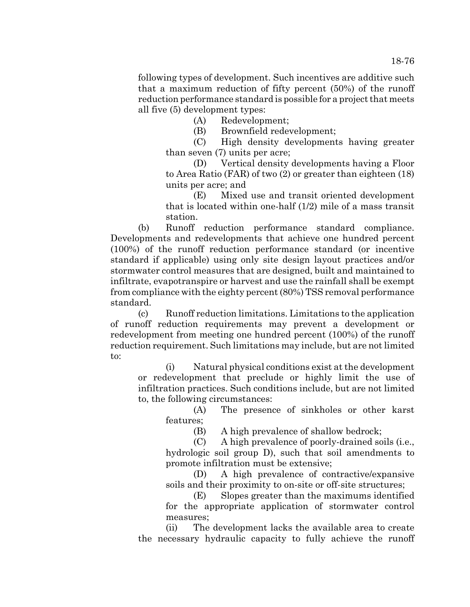following types of development. Such incentives are additive such that a maximum reduction of fifty percent (50%) of the runoff reduction performance standard is possible for a project that meets all five (5) development types:

(A) Redevelopment;

(B) Brownfield redevelopment;

(C) High density developments having greater than seven (7) units per acre;

(D) Vertical density developments having a Floor to Area Ratio (FAR) of two (2) or greater than eighteen (18) units per acre; and

(E) Mixed use and transit oriented development that is located within one-half (1/2) mile of a mass transit station.

(b) Runoff reduction performance standard compliance. Developments and redevelopments that achieve one hundred percent (100%) of the runoff reduction performance standard (or incentive standard if applicable) using only site design layout practices and/or stormwater control measures that are designed, built and maintained to infiltrate, evapotranspire or harvest and use the rainfall shall be exempt from compliance with the eighty percent (80%) TSS removal performance standard.

(c) Runoff reduction limitations. Limitations to the application of runoff reduction requirements may prevent a development or redevelopment from meeting one hundred percent (100%) of the runoff reduction requirement. Such limitations may include, but are not limited to:

(i) Natural physical conditions exist at the development or redevelopment that preclude or highly limit the use of infiltration practices. Such conditions include, but are not limited to, the following circumstances:

(A) The presence of sinkholes or other karst features;

(B) A high prevalence of shallow bedrock;

(C) A high prevalence of poorly-drained soils (i.e., hydrologic soil group D), such that soil amendments to promote infiltration must be extensive;

(D) A high prevalence of contractive/expansive soils and their proximity to on-site or off-site structures;

(E) Slopes greater than the maximums identified for the appropriate application of stormwater control measures;

(ii) The development lacks the available area to create the necessary hydraulic capacity to fully achieve the runoff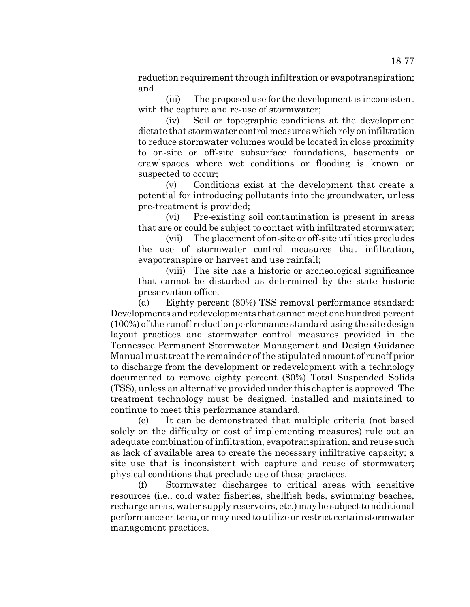reduction requirement through infiltration or evapotranspiration; and

(iii) The proposed use for the development is inconsistent with the capture and re-use of stormwater;

(iv) Soil or topographic conditions at the development dictate that stormwater control measures which rely on infiltration to reduce stormwater volumes would be located in close proximity to on-site or off-site subsurface foundations, basements or crawlspaces where wet conditions or flooding is known or suspected to occur;

(v) Conditions exist at the development that create a potential for introducing pollutants into the groundwater, unless pre-treatment is provided;

(vi) Pre-existing soil contamination is present in areas that are or could be subject to contact with infiltrated stormwater;

(vii) The placement of on-site or off-site utilities precludes the use of stormwater control measures that infiltration, evapotranspire or harvest and use rainfall;

(viii) The site has a historic or archeological significance that cannot be disturbed as determined by the state historic preservation office.

(d) Eighty percent (80%) TSS removal performance standard: Developments and redevelopments that cannot meet one hundred percent (100%) of the runoff reduction performance standard using the site design layout practices and stormwater control measures provided in the Tennessee Permanent Stormwater Management and Design Guidance Manual must treat the remainder of the stipulated amount of runoff prior to discharge from the development or redevelopment with a technology documented to remove eighty percent (80%) Total Suspended Solids (TSS), unless an alternative provided under this chapter is approved. The treatment technology must be designed, installed and maintained to continue to meet this performance standard.

(e) It can be demonstrated that multiple criteria (not based solely on the difficulty or cost of implementing measures) rule out an adequate combination of infiltration, evapotranspiration, and reuse such as lack of available area to create the necessary infiltrative capacity; a site use that is inconsistent with capture and reuse of stormwater; physical conditions that preclude use of these practices.

(f) Stormwater discharges to critical areas with sensitive resources (i.e., cold water fisheries, shellfish beds, swimming beaches, recharge areas, water supply reservoirs, etc.) may be subject to additional performance criteria, or may need to utilize or restrict certain stormwater management practices.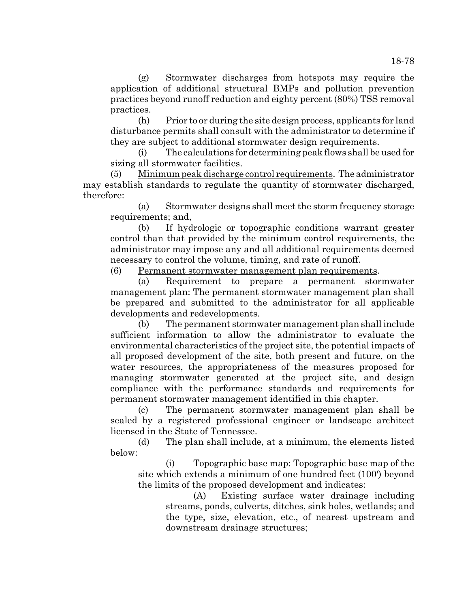(g) Stormwater discharges from hotspots may require the application of additional structural BMPs and pollution prevention practices beyond runoff reduction and eighty percent (80%) TSS removal practices.

(h) Prior to or during the site design process, applicants for land disturbance permits shall consult with the administrator to determine if they are subject to additional stormwater design requirements.

(i) The calculations for determining peak flows shall be used for sizing all stormwater facilities.

(5) Minimum peak discharge control requirements. The administrator may establish standards to regulate the quantity of stormwater discharged, therefore:

(a) Stormwater designs shall meet the storm frequency storage requirements; and,

(b) If hydrologic or topographic conditions warrant greater control than that provided by the minimum control requirements, the administrator may impose any and all additional requirements deemed necessary to control the volume, timing, and rate of runoff.

(6) Permanent stormwater management plan requirements.

(a) Requirement to prepare a permanent stormwater management plan: The permanent stormwater management plan shall be prepared and submitted to the administrator for all applicable developments and redevelopments.

(b) The permanent stormwater management plan shall include sufficient information to allow the administrator to evaluate the environmental characteristics of the project site, the potential impacts of all proposed development of the site, both present and future, on the water resources, the appropriateness of the measures proposed for managing stormwater generated at the project site, and design compliance with the performance standards and requirements for permanent stormwater management identified in this chapter.

(c) The permanent stormwater management plan shall be sealed by a registered professional engineer or landscape architect licensed in the State of Tennessee.

(d) The plan shall include, at a minimum, the elements listed below:

(i) Topographic base map: Topographic base map of the site which extends a minimum of one hundred feet (100') beyond the limits of the proposed development and indicates:

(A) Existing surface water drainage including streams, ponds, culverts, ditches, sink holes, wetlands; and the type, size, elevation, etc., of nearest upstream and downstream drainage structures;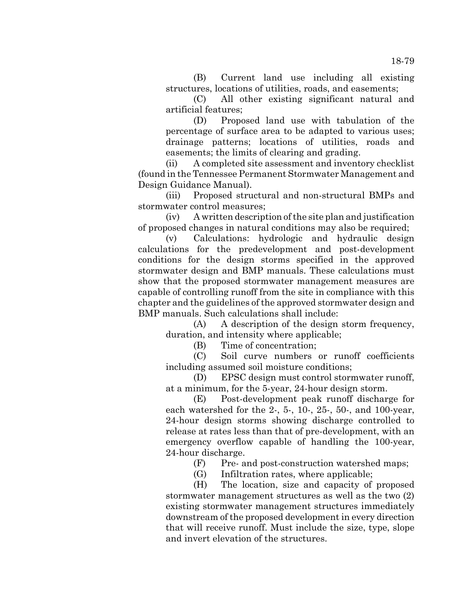(B) Current land use including all existing structures, locations of utilities, roads, and easements;

(C) All other existing significant natural and artificial features;

(D) Proposed land use with tabulation of the percentage of surface area to be adapted to various uses; drainage patterns; locations of utilities, roads and easements; the limits of clearing and grading.

(ii) A completed site assessment and inventory checklist (found in the Tennessee Permanent Stormwater Management and Design Guidance Manual).

(iii) Proposed structural and non-structural BMPs and stormwater control measures;

(iv) A written description of the site plan and justification of proposed changes in natural conditions may also be required;

(v) Calculations: hydrologic and hydraulic design calculations for the predevelopment and post-development conditions for the design storms specified in the approved stormwater design and BMP manuals. These calculations must show that the proposed stormwater management measures are capable of controlling runoff from the site in compliance with this chapter and the guidelines of the approved stormwater design and BMP manuals. Such calculations shall include:

(A) A description of the design storm frequency, duration, and intensity where applicable;

(B) Time of concentration;

(C) Soil curve numbers or runoff coefficients including assumed soil moisture conditions;

(D) EPSC design must control stormwater runoff, at a minimum, for the 5-year, 24-hour design storm.

(E) Post-development peak runoff discharge for each watershed for the 2-, 5-, 10-, 25-, 50-, and 100-year, 24-hour design storms showing discharge controlled to release at rates less than that of pre-development, with an emergency overflow capable of handling the 100-year, 24-hour discharge.

(F) Pre- and post-construction watershed maps;

(G) Infiltration rates, where applicable;

(H) The location, size and capacity of proposed stormwater management structures as well as the two (2) existing stormwater management structures immediately downstream of the proposed development in every direction that will receive runoff. Must include the size, type, slope and invert elevation of the structures.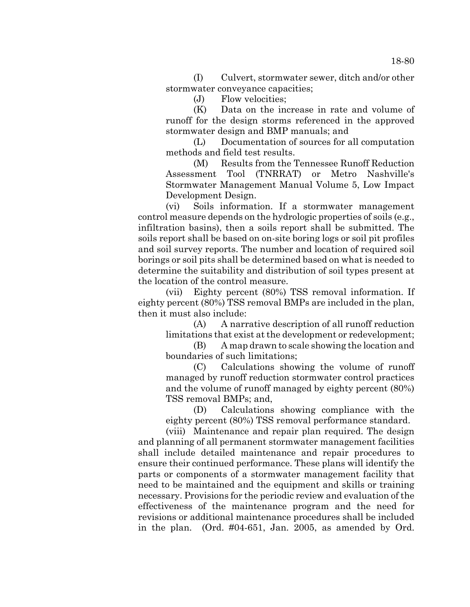(I) Culvert, stormwater sewer, ditch and/or other stormwater conveyance capacities;

(J) Flow velocities;

(K) Data on the increase in rate and volume of runoff for the design storms referenced in the approved stormwater design and BMP manuals; and

(L) Documentation of sources for all computation methods and field test results.

(M) Results from the Tennessee Runoff Reduction Assessment Tool (TNRRAT) or Metro Nashville's Stormwater Management Manual Volume 5, Low Impact Development Design.

(vi) Soils information. If a stormwater management control measure depends on the hydrologic properties of soils (e.g., infiltration basins), then a soils report shall be submitted. The soils report shall be based on on-site boring logs or soil pit profiles and soil survey reports. The number and location of required soil borings or soil pits shall be determined based on what is needed to determine the suitability and distribution of soil types present at the location of the control measure.

(vii) Eighty percent (80%) TSS removal information. If eighty percent (80%) TSS removal BMPs are included in the plan, then it must also include:

(A) A narrative description of all runoff reduction limitations that exist at the development or redevelopment;

(B) A map drawn to scale showing the location and boundaries of such limitations;

(C) Calculations showing the volume of runoff managed by runoff reduction stormwater control practices and the volume of runoff managed by eighty percent (80%) TSS removal BMPs; and,

(D) Calculations showing compliance with the eighty percent (80%) TSS removal performance standard.

(viii) Maintenance and repair plan required. The design and planning of all permanent stormwater management facilities shall include detailed maintenance and repair procedures to ensure their continued performance. These plans will identify the parts or components of a stormwater management facility that need to be maintained and the equipment and skills or training necessary. Provisions for the periodic review and evaluation of the effectiveness of the maintenance program and the need for revisions or additional maintenance procedures shall be included in the plan. (Ord. #04-651, Jan. 2005, as amended by Ord.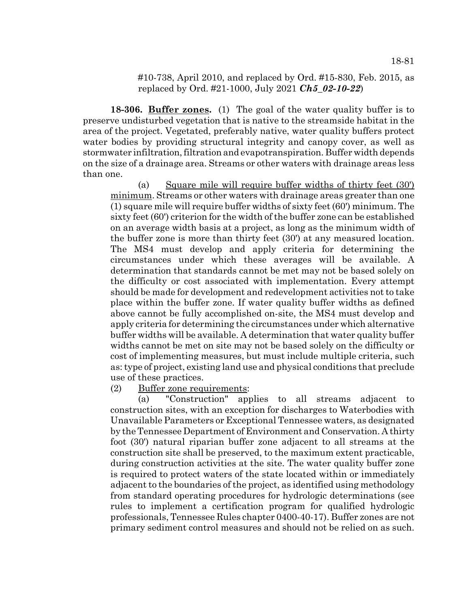#10-738, April 2010, and replaced by Ord. #15-830, Feb. 2015, as replaced by Ord. #21-1000, July 2021 *Ch5\_02-10-22*)

**18-306. Buffer zones.** (1) The goal of the water quality buffer is to preserve undisturbed vegetation that is native to the streamside habitat in the area of the project. Vegetated, preferably native, water quality buffers protect water bodies by providing structural integrity and canopy cover, as well as stormwater infiltration, filtration and evapotranspiration. Buffer width depends on the size of a drainage area. Streams or other waters with drainage areas less than one.

(a) Square mile will require buffer widths of thirty feet (30') minimum. Streams or other waters with drainage areas greater than one (1) square mile will require buffer widths of sixty feet (60') minimum. The sixty feet (60') criterion for the width of the buffer zone can be established on an average width basis at a project, as long as the minimum width of the buffer zone is more than thirty feet (30') at any measured location. The MS4 must develop and apply criteria for determining the circumstances under which these averages will be available. A determination that standards cannot be met may not be based solely on the difficulty or cost associated with implementation. Every attempt should be made for development and redevelopment activities not to take place within the buffer zone. If water quality buffer widths as defined above cannot be fully accomplished on-site, the MS4 must develop and apply criteria for determining the circumstances under which alternative buffer widths will be available. A determination that water quality buffer widths cannot be met on site may not be based solely on the difficulty or cost of implementing measures, but must include multiple criteria, such as: type of project, existing land use and physical conditions that preclude use of these practices.

(2) Buffer zone requirements:

(a) "Construction" applies to all streams adjacent to construction sites, with an exception for discharges to Waterbodies with Unavailable Parameters or Exceptional Tennessee waters, as designated by the Tennessee Department of Environment and Conservation. A thirty foot (30') natural riparian buffer zone adjacent to all streams at the construction site shall be preserved, to the maximum extent practicable, during construction activities at the site. The water quality buffer zone is required to protect waters of the state located within or immediately adjacent to the boundaries of the project, as identified using methodology from standard operating procedures for hydrologic determinations (see rules to implement a certification program for qualified hydrologic professionals, Tennessee Rules chapter 0400-40-17). Buffer zones are not primary sediment control measures and should not be relied on as such.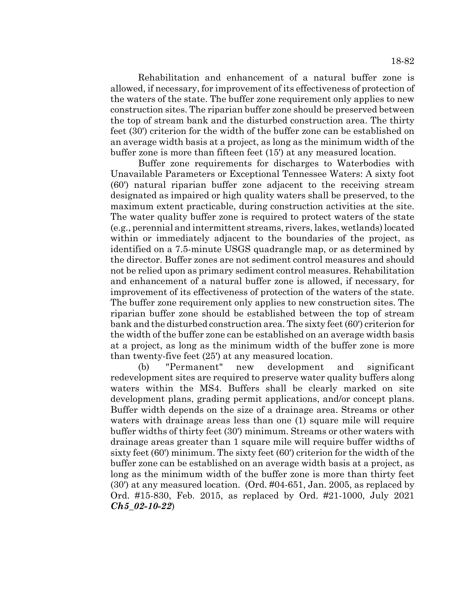Rehabilitation and enhancement of a natural buffer zone is allowed, if necessary, for improvement of its effectiveness of protection of the waters of the state. The buffer zone requirement only applies to new construction sites. The riparian buffer zone should be preserved between the top of stream bank and the disturbed construction area. The thirty feet (30') criterion for the width of the buffer zone can be established on an average width basis at a project, as long as the minimum width of the buffer zone is more than fifteen feet (15') at any measured location.

Buffer zone requirements for discharges to Waterbodies with Unavailable Parameters or Exceptional Tennessee Waters: A sixty foot (60') natural riparian buffer zone adjacent to the receiving stream designated as impaired or high quality waters shall be preserved, to the maximum extent practicable, during construction activities at the site. The water quality buffer zone is required to protect waters of the state (e.g., perennial and intermittent streams, rivers, lakes, wetlands) located within or immediately adjacent to the boundaries of the project, as identified on a 7.5-minute USGS quadrangle map, or as determined by the director. Buffer zones are not sediment control measures and should not be relied upon as primary sediment control measures. Rehabilitation and enhancement of a natural buffer zone is allowed, if necessary, for improvement of its effectiveness of protection of the waters of the state. The buffer zone requirement only applies to new construction sites. The riparian buffer zone should be established between the top of stream bank and the disturbed construction area. The sixty feet (60') criterion for the width of the buffer zone can be established on an average width basis at a project, as long as the minimum width of the buffer zone is more than twenty-five feet (25') at any measured location.

(b) "Permanent" new development and significant redevelopment sites are required to preserve water quality buffers along waters within the MS4. Buffers shall be clearly marked on site development plans, grading permit applications, and/or concept plans. Buffer width depends on the size of a drainage area. Streams or other waters with drainage areas less than one (1) square mile will require buffer widths of thirty feet (30') minimum. Streams or other waters with drainage areas greater than 1 square mile will require buffer widths of sixty feet (60') minimum. The sixty feet (60') criterion for the width of the buffer zone can be established on an average width basis at a project, as long as the minimum width of the buffer zone is more than thirty feet (30') at any measured location. (Ord. #04-651, Jan. 2005, as replaced by Ord. #15-830, Feb. 2015, as replaced by Ord. #21-1000, July 2021 *Ch5\_02-10-22*)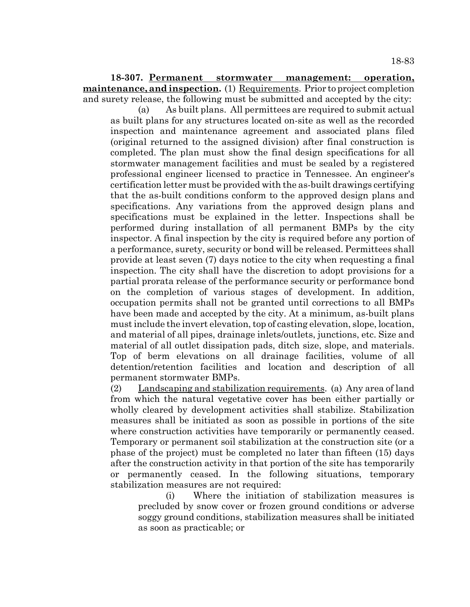**18-307. Permanent stormwater management: operation, maintenance, and inspection.** (1) Requirements. Prior to project completion and surety release, the following must be submitted and accepted by the city:

(a) As built plans. All permittees are required to submit actual as built plans for any structures located on-site as well as the recorded inspection and maintenance agreement and associated plans filed (original returned to the assigned division) after final construction is completed. The plan must show the final design specifications for all stormwater management facilities and must be sealed by a registered professional engineer licensed to practice in Tennessee. An engineer's certification letter must be provided with the as-built drawings certifying that the as-built conditions conform to the approved design plans and specifications. Any variations from the approved design plans and specifications must be explained in the letter. Inspections shall be performed during installation of all permanent BMPs by the city inspector. A final inspection by the city is required before any portion of a performance, surety, security or bond will be released. Permittees shall provide at least seven (7) days notice to the city when requesting a final inspection. The city shall have the discretion to adopt provisions for a partial prorata release of the performance security or performance bond on the completion of various stages of development. In addition, occupation permits shall not be granted until corrections to all BMPs have been made and accepted by the city. At a minimum, as-built plans must include the invert elevation, top of casting elevation, slope, location, and material of all pipes, drainage inlets/outlets, junctions, etc. Size and material of all outlet dissipation pads, ditch size, slope, and materials. Top of berm elevations on all drainage facilities, volume of all detention/retention facilities and location and description of all permanent stormwater BMPs.

(2) Landscaping and stabilization requirements. (a) Any area of land from which the natural vegetative cover has been either partially or wholly cleared by development activities shall stabilize. Stabilization measures shall be initiated as soon as possible in portions of the site where construction activities have temporarily or permanently ceased. Temporary or permanent soil stabilization at the construction site (or a phase of the project) must be completed no later than fifteen (15) days after the construction activity in that portion of the site has temporarily or permanently ceased. In the following situations, temporary stabilization measures are not required:

(i) Where the initiation of stabilization measures is precluded by snow cover or frozen ground conditions or adverse soggy ground conditions, stabilization measures shall be initiated as soon as practicable; or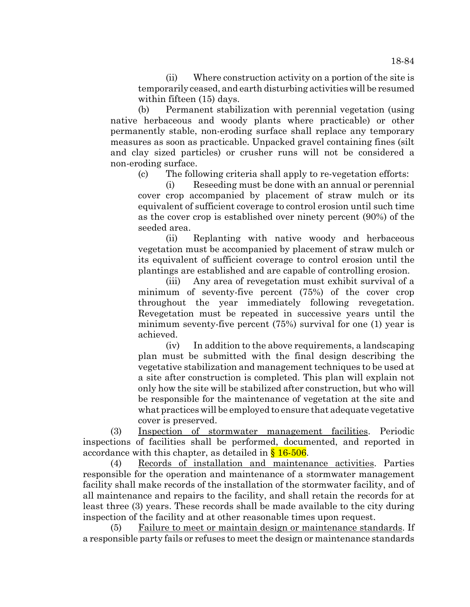(ii) Where construction activity on a portion of the site is temporarily ceased, and earth disturbing activities will be resumed within fifteen (15) days.

(b) Permanent stabilization with perennial vegetation (using native herbaceous and woody plants where practicable) or other permanently stable, non-eroding surface shall replace any temporary measures as soon as practicable. Unpacked gravel containing fines (silt and clay sized particles) or crusher runs will not be considered a non-eroding surface.

(c) The following criteria shall apply to re-vegetation efforts:

(i) Reseeding must be done with an annual or perennial cover crop accompanied by placement of straw mulch or its equivalent of sufficient coverage to control erosion until such time as the cover crop is established over ninety percent (90%) of the seeded area.

(ii) Replanting with native woody and herbaceous vegetation must be accompanied by placement of straw mulch or its equivalent of sufficient coverage to control erosion until the plantings are established and are capable of controlling erosion.

(iii) Any area of revegetation must exhibit survival of a minimum of seventy-five percent (75%) of the cover crop throughout the year immediately following revegetation. Revegetation must be repeated in successive years until the minimum seventy-five percent (75%) survival for one (1) year is achieved.

(iv) In addition to the above requirements, a landscaping plan must be submitted with the final design describing the vegetative stabilization and management techniques to be used at a site after construction is completed. This plan will explain not only how the site will be stabilized after construction, but who will be responsible for the maintenance of vegetation at the site and what practices will be employed to ensure that adequate vegetative cover is preserved.

(3) Inspection of stormwater management facilities. Periodic inspections of facilities shall be performed, documented, and reported in accordance with this chapter, as detailed in  $§ 16-506$ .

(4) Records of installation and maintenance activities. Parties responsible for the operation and maintenance of a stormwater management facility shall make records of the installation of the stormwater facility, and of all maintenance and repairs to the facility, and shall retain the records for at least three (3) years. These records shall be made available to the city during inspection of the facility and at other reasonable times upon request.

(5) Failure to meet or maintain design or maintenance standards. If a responsible party fails or refuses to meet the design or maintenance standards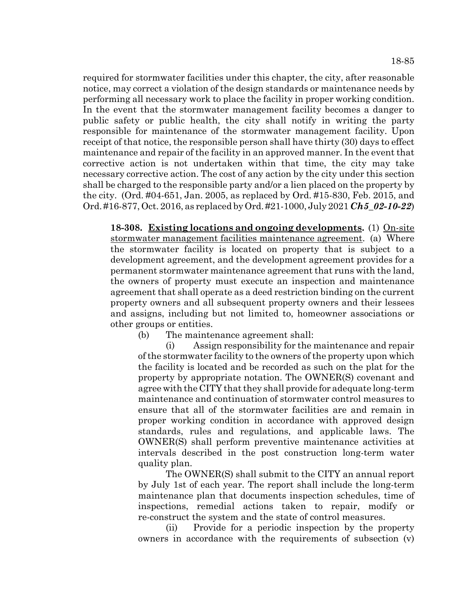required for stormwater facilities under this chapter, the city, after reasonable notice, may correct a violation of the design standards or maintenance needs by performing all necessary work to place the facility in proper working condition. In the event that the stormwater management facility becomes a danger to public safety or public health, the city shall notify in writing the party responsible for maintenance of the stormwater management facility. Upon receipt of that notice, the responsible person shall have thirty (30) days to effect maintenance and repair of the facility in an approved manner. In the event that corrective action is not undertaken within that time, the city may take necessary corrective action. The cost of any action by the city under this section shall be charged to the responsible party and/or a lien placed on the property by the city. (Ord. #04-651, Jan. 2005, as replaced by Ord. #15-830, Feb. 2015, and Ord. #16-877, Oct. 2016, as replaced by Ord. #21-1000, July 2021 *Ch5\_02-10-22*)

**18-308. Existing locations and ongoing developments.** (1) On-site stormwater management facilities maintenance agreement. (a) Where the stormwater facility is located on property that is subject to a development agreement, and the development agreement provides for a permanent stormwater maintenance agreement that runs with the land, the owners of property must execute an inspection and maintenance agreement that shall operate as a deed restriction binding on the current property owners and all subsequent property owners and their lessees and assigns, including but not limited to, homeowner associations or other groups or entities.

(b) The maintenance agreement shall:

(i) Assign responsibility for the maintenance and repair of the stormwater facility to the owners of the property upon which the facility is located and be recorded as such on the plat for the property by appropriate notation. The OWNER(S) covenant and agree with the CITY that they shall provide for adequate long-term maintenance and continuation of stormwater control measures to ensure that all of the stormwater facilities are and remain in proper working condition in accordance with approved design standards, rules and regulations, and applicable laws. The OWNER(S) shall perform preventive maintenance activities at intervals described in the post construction long-term water quality plan.

The OWNER(S) shall submit to the CITY an annual report by July 1st of each year. The report shall include the long-term maintenance plan that documents inspection schedules, time of inspections, remedial actions taken to repair, modify or re-construct the system and the state of control measures.

(ii) Provide for a periodic inspection by the property owners in accordance with the requirements of subsection (v)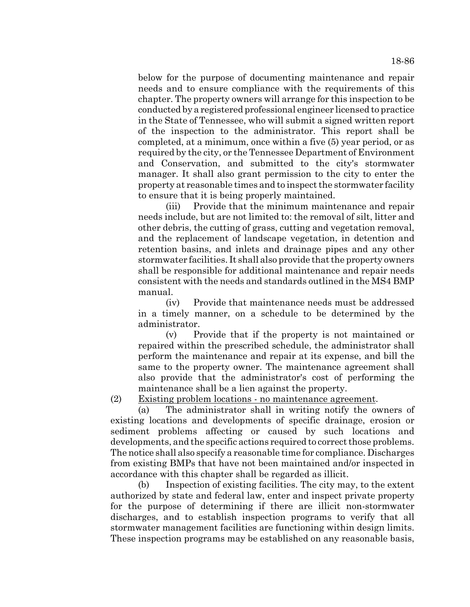below for the purpose of documenting maintenance and repair needs and to ensure compliance with the requirements of this chapter. The property owners will arrange for this inspection to be conducted by a registered professional engineer licensed to practice in the State of Tennessee, who will submit a signed written report of the inspection to the administrator. This report shall be completed, at a minimum, once within a five (5) year period, or as required by the city, or the Tennessee Department of Environment and Conservation, and submitted to the city's stormwater manager. It shall also grant permission to the city to enter the property at reasonable times and to inspect the stormwater facility to ensure that it is being properly maintained.

(iii) Provide that the minimum maintenance and repair needs include, but are not limited to: the removal of silt, litter and other debris, the cutting of grass, cutting and vegetation removal, and the replacement of landscape vegetation, in detention and retention basins, and inlets and drainage pipes and any other stormwater facilities. It shall also provide that the property owners shall be responsible for additional maintenance and repair needs consistent with the needs and standards outlined in the MS4 BMP manual.

(iv) Provide that maintenance needs must be addressed in a timely manner, on a schedule to be determined by the administrator.

(v) Provide that if the property is not maintained or repaired within the prescribed schedule, the administrator shall perform the maintenance and repair at its expense, and bill the same to the property owner. The maintenance agreement shall also provide that the administrator's cost of performing the maintenance shall be a lien against the property.

(2) Existing problem locations - no maintenance agreement.

(a) The administrator shall in writing notify the owners of existing locations and developments of specific drainage, erosion or sediment problems affecting or caused by such locations and developments, and the specific actions required to correct those problems. The notice shall also specify a reasonable time for compliance. Discharges from existing BMPs that have not been maintained and/or inspected in accordance with this chapter shall be regarded as illicit.

(b) Inspection of existing facilities. The city may, to the extent authorized by state and federal law, enter and inspect private property for the purpose of determining if there are illicit non-stormwater discharges, and to establish inspection programs to verify that all stormwater management facilities are functioning within design limits. These inspection programs may be established on any reasonable basis,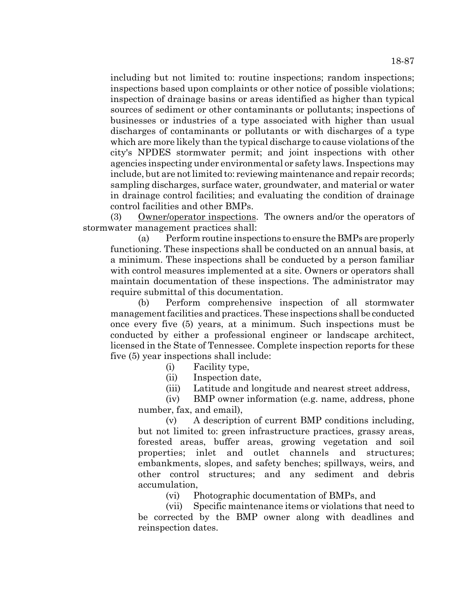including but not limited to: routine inspections; random inspections; inspections based upon complaints or other notice of possible violations; inspection of drainage basins or areas identified as higher than typical sources of sediment or other contaminants or pollutants; inspections of businesses or industries of a type associated with higher than usual discharges of contaminants or pollutants or with discharges of a type which are more likely than the typical discharge to cause violations of the city's NPDES stormwater permit; and joint inspections with other agencies inspecting under environmental or safety laws. Inspections may include, but are not limited to: reviewing maintenance and repair records; sampling discharges, surface water, groundwater, and material or water in drainage control facilities; and evaluating the condition of drainage control facilities and other BMPs.

(3) Owner/operator inspections. The owners and/or the operators of stormwater management practices shall:

(a) Perform routine inspections to ensure the BMPs are properly functioning. These inspections shall be conducted on an annual basis, at a minimum. These inspections shall be conducted by a person familiar with control measures implemented at a site. Owners or operators shall maintain documentation of these inspections. The administrator may require submittal of this documentation.

(b) Perform comprehensive inspection of all stormwater management facilities and practices. These inspections shall be conducted once every five (5) years, at a minimum. Such inspections must be conducted by either a professional engineer or landscape architect, licensed in the State of Tennessee. Complete inspection reports for these five (5) year inspections shall include:

(i) Facility type,

(ii) Inspection date,

(iii) Latitude and longitude and nearest street address,

(iv) BMP owner information (e.g. name, address, phone number, fax, and email),

(v) A description of current BMP conditions including, but not limited to: green infrastructure practices, grassy areas, forested areas, buffer areas, growing vegetation and soil properties; inlet and outlet channels and structures; embankments, slopes, and safety benches; spillways, weirs, and other control structures; and any sediment and debris accumulation,

(vi) Photographic documentation of BMPs, and

(vii) Specific maintenance items or violations that need to be corrected by the BMP owner along with deadlines and reinspection dates.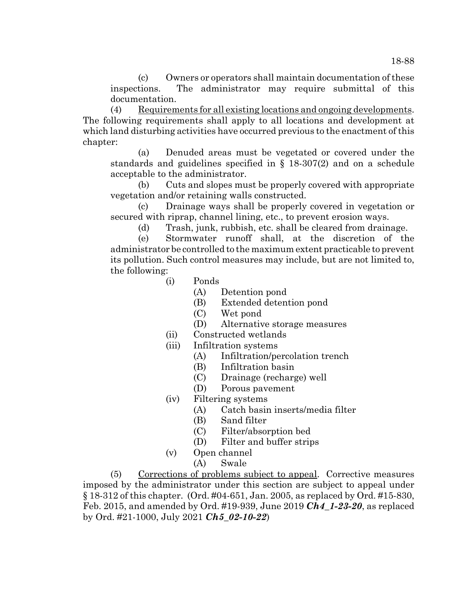(c) Owners or operators shall maintain documentation of these inspections. The administrator may require submittal of this documentation.

(4) Requirements for all existing locations and ongoing developments. The following requirements shall apply to all locations and development at which land disturbing activities have occurred previous to the enactment of this chapter:

(a) Denuded areas must be vegetated or covered under the standards and guidelines specified in § 18-307(2) and on a schedule acceptable to the administrator.

(b) Cuts and slopes must be properly covered with appropriate vegetation and/or retaining walls constructed.

(c) Drainage ways shall be properly covered in vegetation or secured with riprap, channel lining, etc., to prevent erosion ways.

(d) Trash, junk, rubbish, etc. shall be cleared from drainage.

(e) Stormwater runoff shall, at the discretion of the administrator be controlled to the maximum extent practicable to prevent its pollution. Such control measures may include, but are not limited to, the following:

- (i) Ponds
	- (A) Detention pond
	- (B) Extended detention pond
	- (C) Wet pond
	- (D) Alternative storage measures
- (ii) Constructed wetlands
- (iii) Infiltration systems
	- (A) Infiltration/percolation trench
	- (B) Infiltration basin
	- (C) Drainage (recharge) well
	- (D) Porous pavement
- (iv) Filtering systems
	- (A) Catch basin inserts/media filter
	- (B) Sand filter
	- (C) Filter/absorption bed
	- (D) Filter and buffer strips
- (v) Open channel
	- (A) Swale

(5) Corrections of problems subject to appeal. Corrective measures imposed by the administrator under this section are subject to appeal under § 18-312 of this chapter. (Ord. #04-651, Jan. 2005, as replaced by Ord. #15-830, Feb. 2015, and amended by Ord. #19-939, June 2019 *Ch4\_1-23-20*, as replaced by Ord. #21-1000, July 2021 *Ch5\_02-10-22*)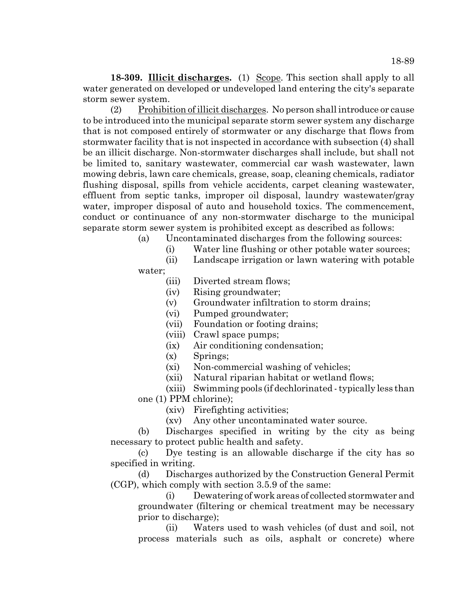**18-309. Illicit discharges.** (1) Scope. This section shall apply to all water generated on developed or undeveloped land entering the city's separate storm sewer system.

(2) Prohibition of illicit discharges. No person shall introduce or cause to be introduced into the municipal separate storm sewer system any discharge that is not composed entirely of stormwater or any discharge that flows from stormwater facility that is not inspected in accordance with subsection (4) shall be an illicit discharge. Non-stormwater discharges shall include, but shall not be limited to, sanitary wastewater, commercial car wash wastewater, lawn mowing debris, lawn care chemicals, grease, soap, cleaning chemicals, radiator flushing disposal, spills from vehicle accidents, carpet cleaning wastewater, effluent from septic tanks, improper oil disposal, laundry wastewater/gray water, improper disposal of auto and household toxics. The commencement, conduct or continuance of any non-stormwater discharge to the municipal separate storm sewer system is prohibited except as described as follows:

(a) Uncontaminated discharges from the following sources:

- (i) Water line flushing or other potable water sources;
- (ii) Landscape irrigation or lawn watering with potable

water;

- (iii) Diverted stream flows;
- (iv) Rising groundwater;
- (v) Groundwater infiltration to storm drains;
- (vi) Pumped groundwater;
- (vii) Foundation or footing drains;
- (viii) Crawl space pumps;
- (ix) Air conditioning condensation;
- (x) Springs;
- (xi) Non-commercial washing of vehicles;
- (xii) Natural riparian habitat or wetland flows;
- (xiii) Swimming pools (if dechlorinated typically less than one (1) PPM chlorine);
	- - (xiv) Firefighting activities;
		- (xv) Any other uncontaminated water source.

(b) Discharges specified in writing by the city as being necessary to protect public health and safety.

(c) Dye testing is an allowable discharge if the city has so specified in writing.

(d) Discharges authorized by the Construction General Permit (CGP), which comply with section 3.5.9 of the same:

(i) Dewatering of work areas of collected stormwater and groundwater (filtering or chemical treatment may be necessary prior to discharge);

(ii) Waters used to wash vehicles (of dust and soil, not process materials such as oils, asphalt or concrete) where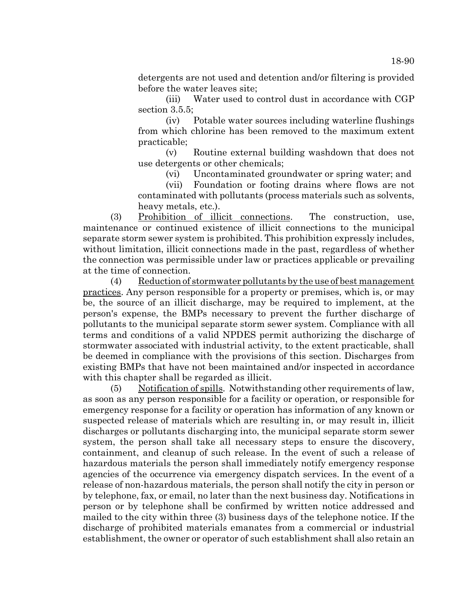detergents are not used and detention and/or filtering is provided before the water leaves site;

(iii) Water used to control dust in accordance with CGP section 3.5.5;

(iv) Potable water sources including waterline flushings from which chlorine has been removed to the maximum extent practicable;

(v) Routine external building washdown that does not use detergents or other chemicals;

(vi) Uncontaminated groundwater or spring water; and

(vii) Foundation or footing drains where flows are not contaminated with pollutants (process materials such as solvents, heavy metals, etc.).

(3) Prohibition of illicit connections. The construction, use, maintenance or continued existence of illicit connections to the municipal separate storm sewer system is prohibited. This prohibition expressly includes, without limitation, illicit connections made in the past, regardless of whether the connection was permissible under law or practices applicable or prevailing at the time of connection.

(4) Reduction of stormwater pollutants by the use of best management practices. Any person responsible for a property or premises, which is, or may be, the source of an illicit discharge, may be required to implement, at the person's expense, the BMPs necessary to prevent the further discharge of pollutants to the municipal separate storm sewer system. Compliance with all terms and conditions of a valid NPDES permit authorizing the discharge of stormwater associated with industrial activity, to the extent practicable, shall be deemed in compliance with the provisions of this section. Discharges from existing BMPs that have not been maintained and/or inspected in accordance with this chapter shall be regarded as illicit.

(5) Notification of spills. Notwithstanding other requirements of law, as soon as any person responsible for a facility or operation, or responsible for emergency response for a facility or operation has information of any known or suspected release of materials which are resulting in, or may result in, illicit discharges or pollutants discharging into, the municipal separate storm sewer system, the person shall take all necessary steps to ensure the discovery, containment, and cleanup of such release. In the event of such a release of hazardous materials the person shall immediately notify emergency response agencies of the occurrence via emergency dispatch services. In the event of a release of non-hazardous materials, the person shall notify the city in person or by telephone, fax, or email, no later than the next business day. Notifications in person or by telephone shall be confirmed by written notice addressed and mailed to the city within three (3) business days of the telephone notice. If the discharge of prohibited materials emanates from a commercial or industrial establishment, the owner or operator of such establishment shall also retain an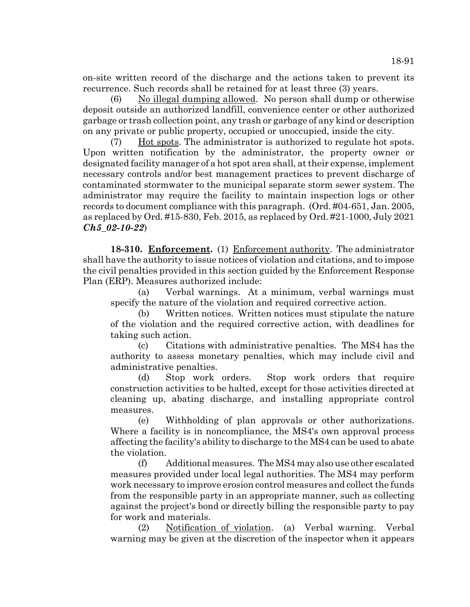on-site written record of the discharge and the actions taken to prevent its recurrence. Such records shall be retained for at least three (3) years.

(6) No illegal dumping allowed. No person shall dump or otherwise deposit outside an authorized landfill, convenience center or other authorized garbage or trash collection point, any trash or garbage of any kind or description on any private or public property, occupied or unoccupied, inside the city.

(7) Hot spots. The administrator is authorized to regulate hot spots. Upon written notification by the administrator, the property owner or designated facility manager of a hot spot area shall, at their expense, implement necessary controls and/or best management practices to prevent discharge of contaminated stormwater to the municipal separate storm sewer system. The administrator may require the facility to maintain inspection logs or other records to document compliance with this paragraph. (Ord. #04-651, Jan. 2005, as replaced by Ord. #15-830, Feb. 2015, as replaced by Ord. #21-1000, July 2021 *Ch5\_02-10-22*)

**18-310. Enforcement.** (1) Enforcement authority. The administrator shall have the authority to issue notices of violation and citations, and to impose the civil penalties provided in this section guided by the Enforcement Response Plan (ERP). Measures authorized include:

(a) Verbal warnings. At a minimum, verbal warnings must specify the nature of the violation and required corrective action.

(b) Written notices. Written notices must stipulate the nature of the violation and the required corrective action, with deadlines for taking such action.

(c) Citations with administrative penalties. The MS4 has the authority to assess monetary penalties, which may include civil and administrative penalties.

(d) Stop work orders. Stop work orders that require construction activities to be halted, except for those activities directed at cleaning up, abating discharge, and installing appropriate control measures.

(e) Withholding of plan approvals or other authorizations. Where a facility is in noncompliance, the MS4's own approval process affecting the facility's ability to discharge to the MS4 can be used to abate the violation.

(f) Additional measures. The MS4 may also use other escalated measures provided under local legal authorities. The MS4 may perform work necessary to improve erosion control measures and collect the funds from the responsible party in an appropriate manner, such as collecting against the project's bond or directly billing the responsible party to pay for work and materials.

(2) Notification of violation. (a) Verbal warning. Verbal warning may be given at the discretion of the inspector when it appears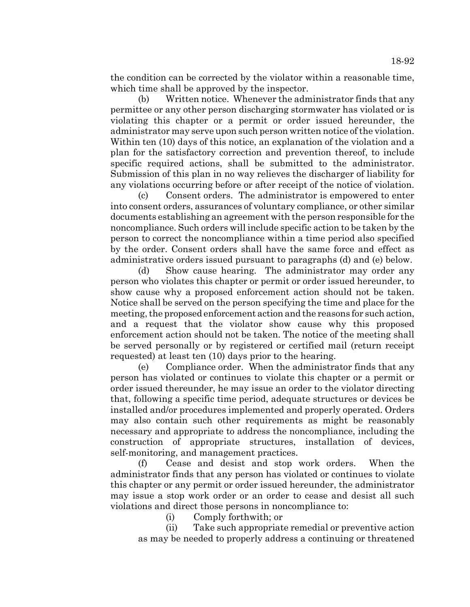18-92

the condition can be corrected by the violator within a reasonable time, which time shall be approved by the inspector.

(b) Written notice. Whenever the administrator finds that any permittee or any other person discharging stormwater has violated or is violating this chapter or a permit or order issued hereunder, the administrator may serve upon such person written notice of the violation. Within ten (10) days of this notice, an explanation of the violation and a plan for the satisfactory correction and prevention thereof, to include specific required actions, shall be submitted to the administrator. Submission of this plan in no way relieves the discharger of liability for any violations occurring before or after receipt of the notice of violation.

(c) Consent orders. The administrator is empowered to enter into consent orders, assurances of voluntary compliance, or other similar documents establishing an agreement with the person responsible for the noncompliance. Such orders will include specific action to be taken by the person to correct the noncompliance within a time period also specified by the order. Consent orders shall have the same force and effect as administrative orders issued pursuant to paragraphs (d) and (e) below.

(d) Show cause hearing. The administrator may order any person who violates this chapter or permit or order issued hereunder, to show cause why a proposed enforcement action should not be taken. Notice shall be served on the person specifying the time and place for the meeting, the proposed enforcement action and the reasons for such action, and a request that the violator show cause why this proposed enforcement action should not be taken. The notice of the meeting shall be served personally or by registered or certified mail (return receipt requested) at least ten (10) days prior to the hearing.

(e) Compliance order. When the administrator finds that any person has violated or continues to violate this chapter or a permit or order issued thereunder, he may issue an order to the violator directing that, following a specific time period, adequate structures or devices be installed and/or procedures implemented and properly operated. Orders may also contain such other requirements as might be reasonably necessary and appropriate to address the noncompliance, including the construction of appropriate structures, installation of devices, self-monitoring, and management practices.

(f) Cease and desist and stop work orders. When the administrator finds that any person has violated or continues to violate this chapter or any permit or order issued hereunder, the administrator may issue a stop work order or an order to cease and desist all such violations and direct those persons in noncompliance to:

(i) Comply forthwith; or

(ii) Take such appropriate remedial or preventive action as may be needed to properly address a continuing or threatened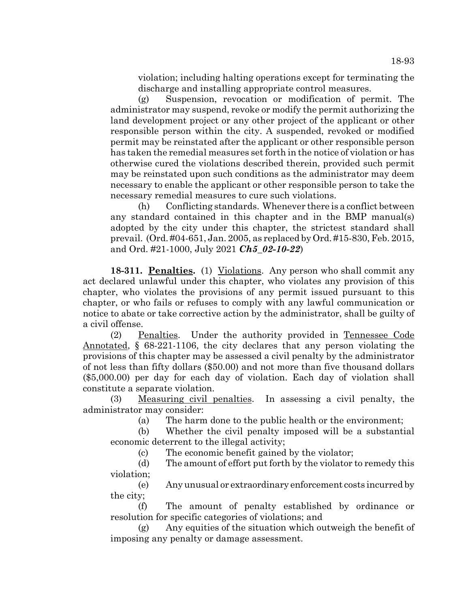violation; including halting operations except for terminating the discharge and installing appropriate control measures.

(g) Suspension, revocation or modification of permit. The administrator may suspend, revoke or modify the permit authorizing the land development project or any other project of the applicant or other responsible person within the city. A suspended, revoked or modified permit may be reinstated after the applicant or other responsible person has taken the remedial measures set forth in the notice of violation or has otherwise cured the violations described therein, provided such permit may be reinstated upon such conditions as the administrator may deem necessary to enable the applicant or other responsible person to take the necessary remedial measures to cure such violations.

(h) Conflicting standards. Whenever there is a conflict between any standard contained in this chapter and in the BMP manual(s) adopted by the city under this chapter, the strictest standard shall prevail. (Ord. #04-651, Jan. 2005, as replaced by Ord. #15-830, Feb. 2015, and Ord. #21-1000, July 2021 *Ch5\_02-10-22*)

**18-311. Penalties.** (1) Violations. Any person who shall commit any act declared unlawful under this chapter, who violates any provision of this chapter, who violates the provisions of any permit issued pursuant to this chapter, or who fails or refuses to comply with any lawful communication or notice to abate or take corrective action by the administrator, shall be guilty of a civil offense.

(2) Penalties. Under the authority provided in Tennessee Code Annotated, § 68-221-1106, the city declares that any person violating the provisions of this chapter may be assessed a civil penalty by the administrator of not less than fifty dollars (\$50.00) and not more than five thousand dollars (\$5,000.00) per day for each day of violation. Each day of violation shall constitute a separate violation.

(3) Measuring civil penalties. In assessing a civil penalty, the administrator may consider:

(a) The harm done to the public health or the environment;

(b) Whether the civil penalty imposed will be a substantial economic deterrent to the illegal activity;

(c) The economic benefit gained by the violator;

(d) The amount of effort put forth by the violator to remedy this violation;

(e) Any unusual or extraordinary enforcement costs incurred by the city;

(f) The amount of penalty established by ordinance or resolution for specific categories of violations; and

(g) Any equities of the situation which outweigh the benefit of imposing any penalty or damage assessment.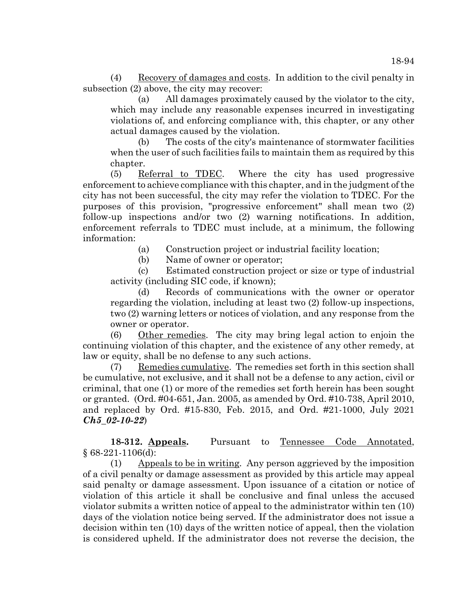(4) Recovery of damages and costs. In addition to the civil penalty in subsection (2) above, the city may recover:

(a) All damages proximately caused by the violator to the city, which may include any reasonable expenses incurred in investigating violations of, and enforcing compliance with, this chapter, or any other actual damages caused by the violation.

(b) The costs of the city's maintenance of stormwater facilities when the user of such facilities fails to maintain them as required by this chapter.

(5) Referral to TDEC. Where the city has used progressive enforcement to achieve compliance with this chapter, and in the judgment of the city has not been successful, the city may refer the violation to TDEC. For the purposes of this provision, "progressive enforcement" shall mean two (2) follow-up inspections and/or two (2) warning notifications. In addition, enforcement referrals to TDEC must include, at a minimum, the following information:

(a) Construction project or industrial facility location;

(b) Name of owner or operator;

(c) Estimated construction project or size or type of industrial activity (including SIC code, if known);

(d) Records of communications with the owner or operator regarding the violation, including at least two (2) follow-up inspections, two (2) warning letters or notices of violation, and any response from the owner or operator.

(6) Other remedies. The city may bring legal action to enjoin the continuing violation of this chapter, and the existence of any other remedy, at law or equity, shall be no defense to any such actions.

(7) Remedies cumulative. The remedies set forth in this section shall be cumulative, not exclusive, and it shall not be a defense to any action, civil or criminal, that one (1) or more of the remedies set forth herein has been sought or granted. (Ord. #04-651, Jan. 2005, as amended by Ord. #10-738, April 2010, and replaced by Ord. #15-830, Feb. 2015, and Ord. #21-1000, July 2021 *Ch5\_02-10-22*)

18-312. Appeals. Pursuant to Tennessee Code Annotated, § 68-221-1106(d):

(1) Appeals to be in writing. Any person aggrieved by the imposition of a civil penalty or damage assessment as provided by this article may appeal said penalty or damage assessment. Upon issuance of a citation or notice of violation of this article it shall be conclusive and final unless the accused violator submits a written notice of appeal to the administrator within ten (10) days of the violation notice being served. If the administrator does not issue a decision within ten (10) days of the written notice of appeal, then the violation is considered upheld. If the administrator does not reverse the decision, the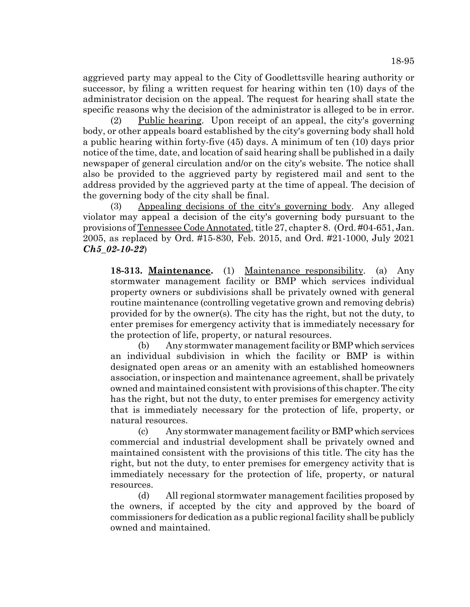aggrieved party may appeal to the City of Goodlettsville hearing authority or successor, by filing a written request for hearing within ten (10) days of the administrator decision on the appeal. The request for hearing shall state the specific reasons why the decision of the administrator is alleged to be in error.

(2) Public hearing. Upon receipt of an appeal, the city's governing body, or other appeals board established by the city's governing body shall hold a public hearing within forty-five (45) days. A minimum of ten (10) days prior notice of the time, date, and location of said hearing shall be published in a daily newspaper of general circulation and/or on the city's website. The notice shall also be provided to the aggrieved party by registered mail and sent to the address provided by the aggrieved party at the time of appeal. The decision of the governing body of the city shall be final.

(3) Appealing decisions of the city's governing body. Any alleged violator may appeal a decision of the city's governing body pursuant to the provisions of Tennessee Code Annotated, title 27, chapter 8. (Ord. #04-651, Jan. 2005, as replaced by Ord. #15-830, Feb. 2015, and Ord. #21-1000, July 2021 *Ch5\_02-10-22*)

**18-313. Maintenance.** (1) Maintenance responsibility. (a) Any stormwater management facility or BMP which services individual property owners or subdivisions shall be privately owned with general routine maintenance (controlling vegetative grown and removing debris) provided for by the owner(s). The city has the right, but not the duty, to enter premises for emergency activity that is immediately necessary for the protection of life, property, or natural resources.

(b) Any stormwater management facility or BMP which services an individual subdivision in which the facility or BMP is within designated open areas or an amenity with an established homeowners association, or inspection and maintenance agreement, shall be privately owned and maintained consistent with provisions of this chapter. The city has the right, but not the duty, to enter premises for emergency activity that is immediately necessary for the protection of life, property, or natural resources.

(c) Any stormwater management facility or BMP which services commercial and industrial development shall be privately owned and maintained consistent with the provisions of this title. The city has the right, but not the duty, to enter premises for emergency activity that is immediately necessary for the protection of life, property, or natural resources.

(d) All regional stormwater management facilities proposed by the owners, if accepted by the city and approved by the board of commissioners for dedication as a public regional facility shall be publicly owned and maintained.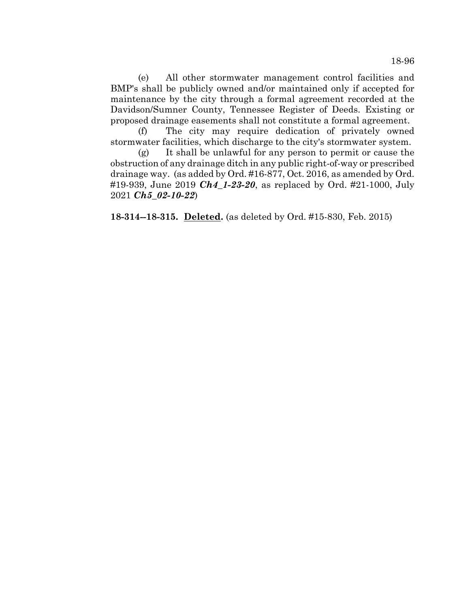(e) All other stormwater management control facilities and BMP's shall be publicly owned and/or maintained only if accepted for maintenance by the city through a formal agreement recorded at the Davidson/Sumner County, Tennessee Register of Deeds. Existing or proposed drainage easements shall not constitute a formal agreement.

(f) The city may require dedication of privately owned stormwater facilities, which discharge to the city's stormwater system.

(g) It shall be unlawful for any person to permit or cause the obstruction of any drainage ditch in any public right-of-way or prescribed drainage way. (as added by Ord. #16-877, Oct. 2016, as amended by Ord. #19-939, June 2019 *Ch4\_1-23-20*, as replaced by Ord. #21-1000, July 2021 *Ch5\_02-10-22*)

**18-314--18-315. Deleted.** (as deleted by Ord. #15-830, Feb. 2015)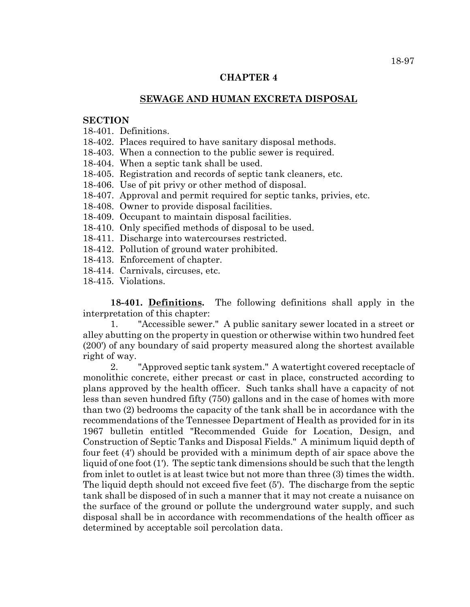#### **CHAPTER 4**

#### **SEWAGE AND HUMAN EXCRETA DISPOSAL**

#### **SECTION**

18-401. Definitions.

18-402. Places required to have sanitary disposal methods.

18-403. When a connection to the public sewer is required.

18-404. When a septic tank shall be used.

18-405. Registration and records of septic tank cleaners, etc.

18-406. Use of pit privy or other method of disposal.

18-407. Approval and permit required for septic tanks, privies, etc.

18-408. Owner to provide disposal facilities.

18-409. Occupant to maintain disposal facilities.

18-410. Only specified methods of disposal to be used.

18-411. Discharge into watercourses restricted.

18-412. Pollution of ground water prohibited.

18-413. Enforcement of chapter.

18-414. Carnivals, circuses, etc.

18-415. Violations.

**18-401. Definitions.** The following definitions shall apply in the interpretation of this chapter:

1. "Accessible sewer." A public sanitary sewer located in a street or alley abutting on the property in question or otherwise within two hundred feet (200') of any boundary of said property measured along the shortest available right of way.

2. "Approved septic tank system." A watertight covered receptacle of monolithic concrete, either precast or cast in place, constructed according to plans approved by the health officer. Such tanks shall have a capacity of not less than seven hundred fifty (750) gallons and in the case of homes with more than two (2) bedrooms the capacity of the tank shall be in accordance with the recommendations of the Tennessee Department of Health as provided for in its 1967 bulletin entitled "Recommended Guide for Location, Design, and Construction of Septic Tanks and Disposal Fields." A minimum liquid depth of four feet (4') should be provided with a minimum depth of air space above the liquid of one foot (1'). The septic tank dimensions should be such that the length from inlet to outlet is at least twice but not more than three (3) times the width. The liquid depth should not exceed five feet (5'). The discharge from the septic tank shall be disposed of in such a manner that it may not create a nuisance on the surface of the ground or pollute the underground water supply, and such disposal shall be in accordance with recommendations of the health officer as determined by acceptable soil percolation data.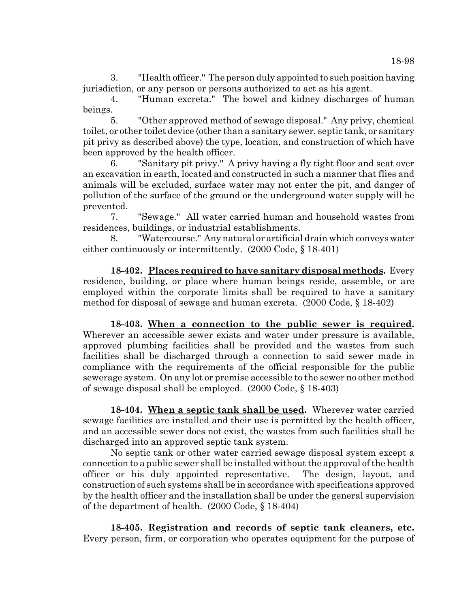18-98

3. "Health officer." The person duly appointed to such position having jurisdiction, or any person or persons authorized to act as his agent.

4. "Human excreta." The bowel and kidney discharges of human beings.

5. "Other approved method of sewage disposal." Any privy, chemical toilet, or other toilet device (other than a sanitary sewer, septic tank, or sanitary pit privy as described above) the type, location, and construction of which have been approved by the health officer.

6. "Sanitary pit privy." A privy having a fly tight floor and seat over an excavation in earth, located and constructed in such a manner that flies and animals will be excluded, surface water may not enter the pit, and danger of pollution of the surface of the ground or the underground water supply will be prevented.

7. "Sewage." All water carried human and household wastes from residences, buildings, or industrial establishments.

"Watercourse." Any natural or artificial drain which conveys water either continuously or intermittently. (2000 Code, § 18-401)

**18-402. Places required to have sanitary disposal methods.** Every residence, building, or place where human beings reside, assemble, or are employed within the corporate limits shall be required to have a sanitary method for disposal of sewage and human excreta. (2000 Code, § 18-402)

**18-403. When a connection to the public sewer is required.** Wherever an accessible sewer exists and water under pressure is available, approved plumbing facilities shall be provided and the wastes from such facilities shall be discharged through a connection to said sewer made in compliance with the requirements of the official responsible for the public sewerage system. On any lot or premise accessible to the sewer no other method of sewage disposal shall be employed. (2000 Code, § 18-403)

**18-404. When a septic tank shall be used.** Wherever water carried sewage facilities are installed and their use is permitted by the health officer, and an accessible sewer does not exist, the wastes from such facilities shall be discharged into an approved septic tank system.

No septic tank or other water carried sewage disposal system except a connection to a public sewer shall be installed without the approval of the health officer or his duly appointed representative. The design, layout, and construction of such systems shall be in accordance with specifications approved by the health officer and the installation shall be under the general supervision of the department of health. (2000 Code, § 18-404)

**18-405. Registration and records of septic tank cleaners, etc.** Every person, firm, or corporation who operates equipment for the purpose of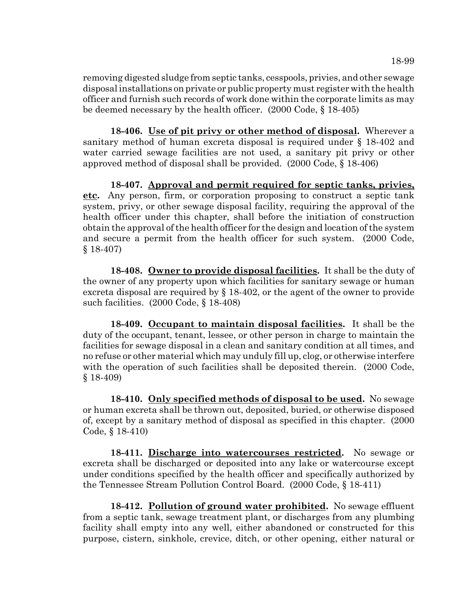removing digested sludge from septic tanks, cesspools, privies, and other sewage disposal installations on private or public property must register with the health officer and furnish such records of work done within the corporate limits as may be deemed necessary by the health officer. (2000 Code, § 18-405)

**18-406. Use of pit privy or other method of disposal.** Wherever a sanitary method of human excreta disposal is required under § 18-402 and water carried sewage facilities are not used, a sanitary pit privy or other approved method of disposal shall be provided. (2000 Code, § 18-406)

**18-407. Approval and permit required for septic tanks, privies, etc.** Any person, firm, or corporation proposing to construct a septic tank system, privy, or other sewage disposal facility, requiring the approval of the health officer under this chapter, shall before the initiation of construction obtain the approval of the health officer for the design and location of the system and secure a permit from the health officer for such system. (2000 Code, § 18-407)

**18-408. Owner to provide disposal facilities.** It shall be the duty of the owner of any property upon which facilities for sanitary sewage or human excreta disposal are required by § 18-402, or the agent of the owner to provide such facilities. (2000 Code, § 18-408)

**18-409. Occupant to maintain disposal facilities.** It shall be the duty of the occupant, tenant, lessee, or other person in charge to maintain the facilities for sewage disposal in a clean and sanitary condition at all times, and no refuse or other material which may unduly fill up, clog, or otherwise interfere with the operation of such facilities shall be deposited therein. (2000 Code, § 18-409)

**18-410. Only specified methods of disposal to be used.** No sewage or human excreta shall be thrown out, deposited, buried, or otherwise disposed of, except by a sanitary method of disposal as specified in this chapter. (2000 Code, § 18-410)

**18-411. Discharge into watercourses restricted.** No sewage or excreta shall be discharged or deposited into any lake or watercourse except under conditions specified by the health officer and specifically authorized by the Tennessee Stream Pollution Control Board. (2000 Code, § 18-411)

**18-412. Pollution of ground water prohibited.** No sewage effluent from a septic tank, sewage treatment plant, or discharges from any plumbing facility shall empty into any well, either abandoned or constructed for this purpose, cistern, sinkhole, crevice, ditch, or other opening, either natural or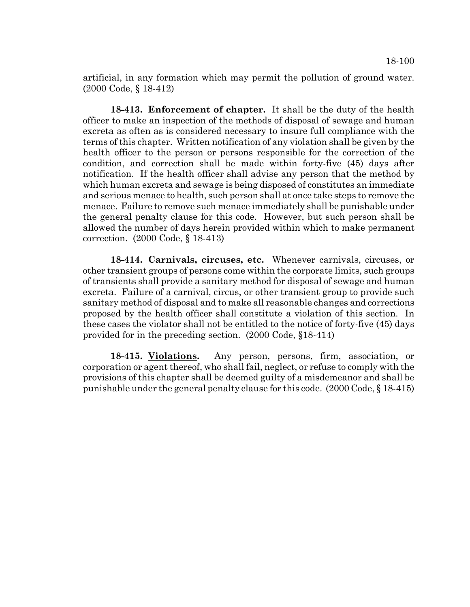artificial, in any formation which may permit the pollution of ground water. (2000 Code, § 18-412)

**18-413. Enforcement of chapter.** It shall be the duty of the health officer to make an inspection of the methods of disposal of sewage and human excreta as often as is considered necessary to insure full compliance with the terms of this chapter. Written notification of any violation shall be given by the health officer to the person or persons responsible for the correction of the condition, and correction shall be made within forty-five (45) days after notification. If the health officer shall advise any person that the method by which human excreta and sewage is being disposed of constitutes an immediate and serious menace to health, such person shall at once take steps to remove the menace. Failure to remove such menace immediately shall be punishable under the general penalty clause for this code. However, but such person shall be allowed the number of days herein provided within which to make permanent correction. (2000 Code, § 18-413)

**18-414. Carnivals, circuses, etc.** Whenever carnivals, circuses, or other transient groups of persons come within the corporate limits, such groups of transients shall provide a sanitary method for disposal of sewage and human excreta. Failure of a carnival, circus, or other transient group to provide such sanitary method of disposal and to make all reasonable changes and corrections proposed by the health officer shall constitute a violation of this section. In these cases the violator shall not be entitled to the notice of forty-five (45) days provided for in the preceding section. (2000 Code, §18-414)

**18-415. Violations.** Any person, persons, firm, association, or corporation or agent thereof, who shall fail, neglect, or refuse to comply with the provisions of this chapter shall be deemed guilty of a misdemeanor and shall be punishable under the general penalty clause for this code. (2000 Code, § 18-415)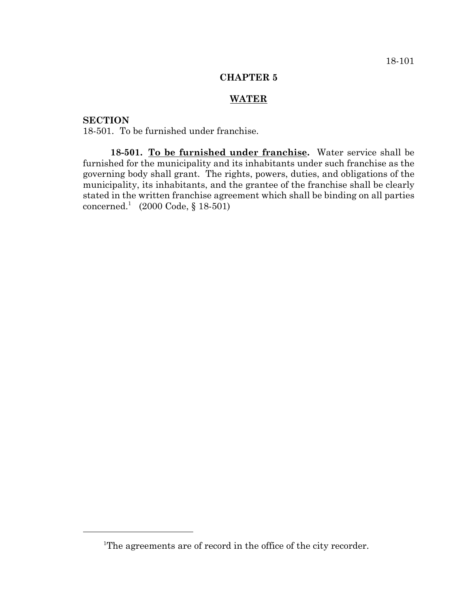### **CHAPTER 5**

## **WATER**

### **SECTION**

18-501. To be furnished under franchise.

**18-501. To be furnished under franchise.** Water service shall be furnished for the municipality and its inhabitants under such franchise as the governing body shall grant. The rights, powers, duties, and obligations of the municipality, its inhabitants, and the grantee of the franchise shall be clearly stated in the written franchise agreement which shall be binding on all parties concerned.<sup>1</sup> (2000 Code, § 18-501)

<sup>&</sup>lt;sup>1</sup>The agreements are of record in the office of the city recorder.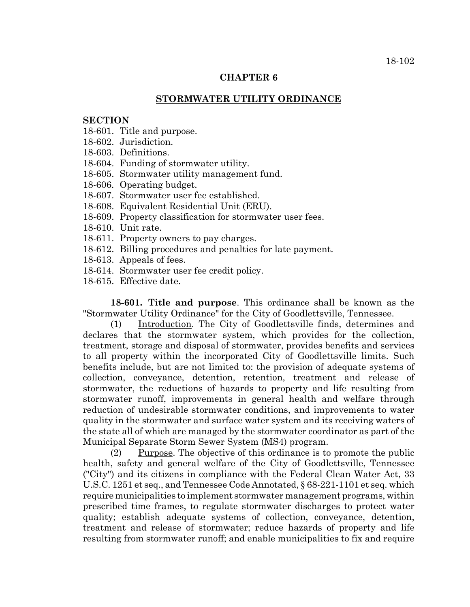### **CHAPTER 6**

### **STORMWATER UTILITY ORDINANCE**

#### **SECTION**

- 18-601. Title and purpose.
- 18-602. Jurisdiction.
- 18-603. Definitions.
- 18-604. Funding of stormwater utility.
- 18-605. Stormwater utility management fund.
- 18-606. Operating budget.
- 18-607. Stormwater user fee established.
- 18-608. Equivalent Residential Unit (ERU).
- 18-609. Property classification for stormwater user fees.
- 18-610. Unit rate.
- 18-611. Property owners to pay charges.
- 18-612. Billing procedures and penalties for late payment.
- 18-613. Appeals of fees.
- 18-614. Stormwater user fee credit policy.
- 18-615. Effective date.

**18-601. Title and purpose**. This ordinance shall be known as the "Stormwater Utility Ordinance" for the City of Goodlettsville, Tennessee.

(1) Introduction. The City of Goodlettsville finds, determines and declares that the stormwater system, which provides for the collection, treatment, storage and disposal of stormwater, provides benefits and services to all property within the incorporated City of Goodlettsville limits. Such benefits include, but are not limited to: the provision of adequate systems of collection, conveyance, detention, retention, treatment and release of stormwater, the reductions of hazards to property and life resulting from stormwater runoff, improvements in general health and welfare through reduction of undesirable stormwater conditions, and improvements to water quality in the stormwater and surface water system and its receiving waters of the state all of which are managed by the stormwater coordinator as part of the Municipal Separate Storm Sewer System (MS4) program.

(2) Purpose. The objective of this ordinance is to promote the public health, safety and general welfare of the City of Goodlettsville, Tennessee ("City") and its citizens in compliance with the Federal Clean Water Act, 33 U.S.C. 1251 et seq., and Tennessee Code Annotated, § 68-221-1101 et seq. which require municipalities to implement stormwater management programs, within prescribed time frames, to regulate stormwater discharges to protect water quality; establish adequate systems of collection, conveyance, detention, treatment and release of stormwater; reduce hazards of property and life resulting from stormwater runoff; and enable municipalities to fix and require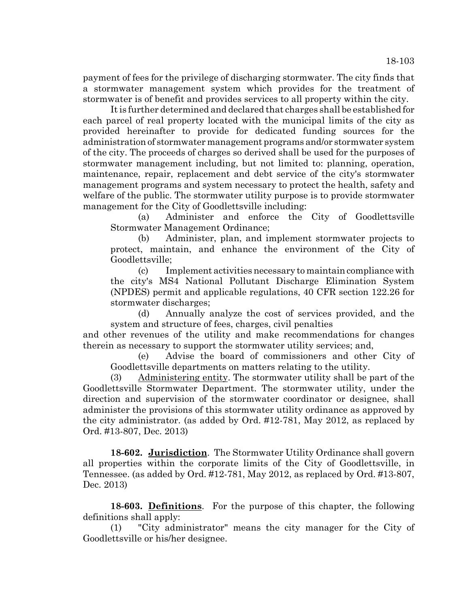payment of fees for the privilege of discharging stormwater. The city finds that a stormwater management system which provides for the treatment of stormwater is of benefit and provides services to all property within the city.

It is further determined and declared that charges shall be established for each parcel of real property located with the municipal limits of the city as provided hereinafter to provide for dedicated funding sources for the administration of stormwater management programs and/or stormwater system of the city. The proceeds of charges so derived shall be used for the purposes of stormwater management including, but not limited to: planning, operation, maintenance, repair, replacement and debt service of the city's stormwater management programs and system necessary to protect the health, safety and welfare of the public. The stormwater utility purpose is to provide stormwater management for the City of Goodlettsville including:

(a) Administer and enforce the City of Goodlettsville Stormwater Management Ordinance;

(b) Administer, plan, and implement stormwater projects to protect, maintain, and enhance the environment of the City of Goodlettsville;

(c) Implement activities necessary to maintain compliance with the city's MS4 National Pollutant Discharge Elimination System (NPDES) permit and applicable regulations, 40 CFR section 122.26 for stormwater discharges;

(d) Annually analyze the cost of services provided, and the system and structure of fees, charges, civil penalties

and other revenues of the utility and make recommendations for changes therein as necessary to support the stormwater utility services; and,

(e) Advise the board of commissioners and other City of Goodlettsville departments on matters relating to the utility.

(3) Administering entity. The stormwater utility shall be part of the Goodlettsville Stormwater Department. The stormwater utility, under the direction and supervision of the stormwater coordinator or designee, shall administer the provisions of this stormwater utility ordinance as approved by the city administrator. (as added by Ord. #12-781, May 2012, as replaced by Ord. #13-807, Dec. 2013)

**18-602. Jurisdiction**. The Stormwater Utility Ordinance shall govern all properties within the corporate limits of the City of Goodlettsville, in Tennessee. (as added by Ord. #12-781, May 2012, as replaced by Ord. #13-807, Dec. 2013)

**18-603. Definitions**. For the purpose of this chapter, the following definitions shall apply:

(1) "City administrator" means the city manager for the City of Goodlettsville or his/her designee.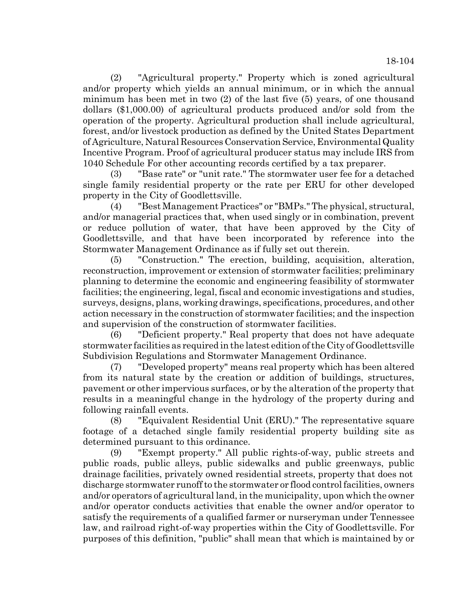(2) "Agricultural property." Property which is zoned agricultural and/or property which yields an annual minimum, or in which the annual minimum has been met in two (2) of the last five (5) years, of one thousand dollars (\$1,000.00) of agricultural products produced and/or sold from the operation of the property. Agricultural production shall include agricultural, forest, and/or livestock production as defined by the United States Department of Agriculture, Natural Resources Conservation Service, Environmental Quality Incentive Program. Proof of agricultural producer status may include IRS from 1040 Schedule For other accounting records certified by a tax preparer.

(3) "Base rate" or "unit rate." The stormwater user fee for a detached single family residential property or the rate per ERU for other developed property in the City of Goodlettsville.

(4) "Best Management Practices" or "BMPs." The physical, structural, and/or managerial practices that, when used singly or in combination, prevent or reduce pollution of water, that have been approved by the City of Goodlettsville, and that have been incorporated by reference into the Stormwater Management Ordinance as if fully set out therein.

(5) "Construction." The erection, building, acquisition, alteration, reconstruction, improvement or extension of stormwater facilities; preliminary planning to determine the economic and engineering feasibility of stormwater facilities; the engineering, legal, fiscal and economic investigations and studies, surveys, designs, plans, working drawings, specifications, procedures, and other action necessary in the construction of stormwater facilities; and the inspection and supervision of the construction of stormwater facilities.

(6) "Deficient property." Real property that does not have adequate stormwater facilities as required in the latest edition of the City of Goodlettsville Subdivision Regulations and Stormwater Management Ordinance.

(7) "Developed property" means real property which has been altered from its natural state by the creation or addition of buildings, structures, pavement or other impervious surfaces, or by the alteration of the property that results in a meaningful change in the hydrology of the property during and following rainfall events.

(8) "Equivalent Residential Unit (ERU)." The representative square footage of a detached single family residential property building site as determined pursuant to this ordinance.

(9) "Exempt property." All public rights-of-way, public streets and public roads, public alleys, public sidewalks and public greenways, public drainage facilities, privately owned residential streets, property that does not discharge stormwater runoff to the stormwater or flood control facilities, owners and/or operators of agricultural land, in the municipality, upon which the owner and/or operator conducts activities that enable the owner and/or operator to satisfy the requirements of a qualified farmer or nurseryman under Tennessee law, and railroad right-of-way properties within the City of Goodlettsville. For purposes of this definition, "public" shall mean that which is maintained by or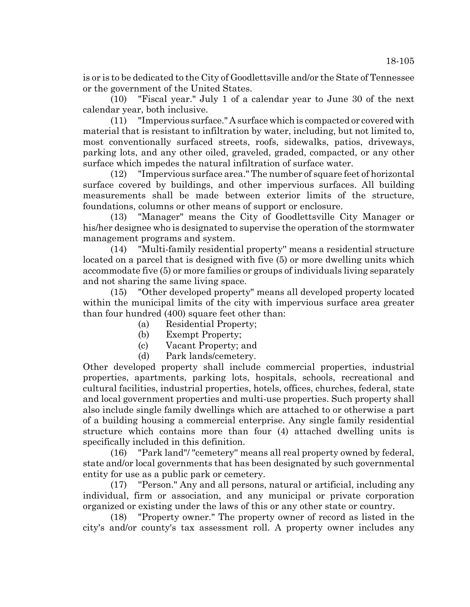is or is to be dedicated to the City of Goodlettsville and/or the State of Tennessee or the government of the United States.

(10) "Fiscal year." July 1 of a calendar year to June 30 of the next calendar year, both inclusive.

(11) "Impervious surface." A surface which is compacted or covered with material that is resistant to infiltration by water, including, but not limited to, most conventionally surfaced streets, roofs, sidewalks, patios, driveways, parking lots, and any other oiled, graveled, graded, compacted, or any other surface which impedes the natural infiltration of surface water.

(12) "Impervious surface area." The number of square feet of horizontal surface covered by buildings, and other impervious surfaces. All building measurements shall be made between exterior limits of the structure, foundations, columns or other means of support or enclosure.

(13) "Manager" means the City of Goodlettsville City Manager or his/her designee who is designated to supervise the operation of the stormwater management programs and system.

(14) "Multi-family residential property'' means a residential structure located on a parcel that is designed with five (5) or more dwelling units which accommodate five (5) or more families or groups of individuals living separately and not sharing the same living space.

(15) "Other developed property" means all developed property located within the municipal limits of the city with impervious surface area greater than four hundred (400) square feet other than:

- (a) Residential Property;
- (b) Exempt Property;
- (c) Vacant Property; and
- (d) Park lands/cemetery.

Other developed property shall include commercial properties, industrial properties, apartments, parking lots, hospitals, schools, recreational and cultural facilities, industrial properties, hotels, offices, churches, federal, state and local government properties and multi-use properties. Such property shall also include single family dwellings which are attached to or otherwise a part of a building housing a commercial enterprise. Any single family residential structure which contains more than four (4) attached dwelling units is specifically included in this definition.

(16) "Park land"/ "cemetery'' means all real property owned by federal, state and/or local governments that has been designated by such governmental entity for use as a public park or cemetery.

(17) ''Person." Any and all persons, natural or artificial, including any individual, firm or association, and any municipal or private corporation organized or existing under the laws of this or any other state or country.

(18) "Property owner." The property owner of record as listed in the city's and/or county's tax assessment roll. A property owner includes any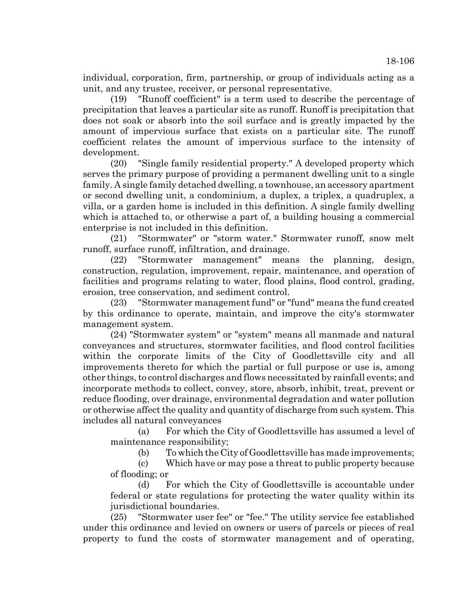individual, corporation, firm, partnership, or group of individuals acting as a unit, and any trustee, receiver, or personal representative.

(19) "Runoff coefficient" is a term used to describe the percentage of precipitation that leaves a particular site as runoff. Runoff is precipitation that does not soak or absorb into the soil surface and is greatly impacted by the amount of impervious surface that exists on a particular site. The runoff coefficient relates the amount of impervious surface to the intensity of development.

(20) "Single family residential property." A developed property which serves the primary purpose of providing a permanent dwelling unit to a single family. A single family detached dwelling, a townhouse, an accessory apartment or second dwelling unit, a condominium, a duplex, a triplex, a quadruplex, a villa, or a garden home is included in this definition. A single family dwelling which is attached to, or otherwise a part of, a building housing a commercial enterprise is not included in this definition.

(21) "Stormwater" or "storm water." Stormwater runoff, snow melt runoff, surface runoff, infiltration, and drainage.

(22) "Stormwater management" means the planning, design, construction, regulation, improvement, repair, maintenance, and operation of facilities and programs relating to water, flood plains, flood control, grading, erosion, tree conservation, and sediment control.

(23) "Stormwater management fund" or "fund" means the fund created by this ordinance to operate, maintain, and improve the city's stormwater management system.

(24) "Stormwater system" or "system" means all manmade and natural conveyances and structures, stormwater facilities, and flood control facilities within the corporate limits of the City of Goodlettsville city and all improvements thereto for which the partial or full purpose or use is, among other things, to control discharges and flows necessitated by rainfall events; and incorporate methods to collect, convey, store, absorb, inhibit, treat, prevent or reduce flooding, over drainage, environmental degradation and water pollution or otherwise affect the quality and quantity of discharge from such system. This includes all natural conveyances

(a) For which the City of Goodlettsville has assumed a level of maintenance responsibility;

(b) To which the City of Goodlettsville has made improvements;

(c) Which have or may pose a threat to public property because of flooding; or

(d) For which the City of Goodlettsville is accountable under federal or state regulations for protecting the water quality within its jurisdictional boundaries.

(25) "Stormwater user fee" or "fee." The utility service fee established under this ordinance and levied on owners or users of parcels or pieces of real property to fund the costs of stormwater management and of operating,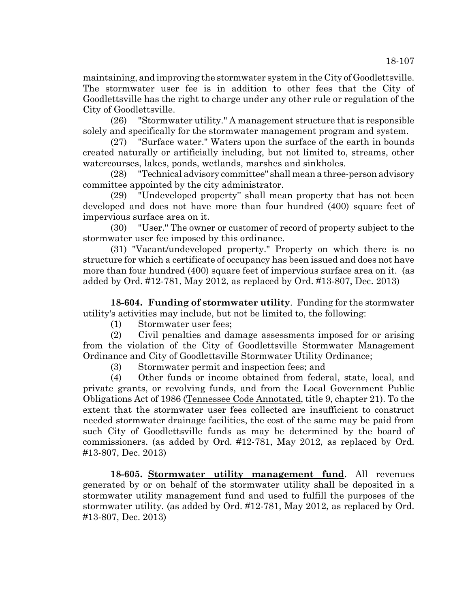maintaining, and improving the stormwater system in the City of Goodlettsville. The stormwater user fee is in addition to other fees that the City of Goodlettsville has the right to charge under any other rule or regulation of the City of Goodlettsville.

(26) "Stormwater utility." A management structure that is responsible solely and specifically for the stormwater management program and system.

(27) "Surface water." Waters upon the surface of the earth in bounds created naturally or artificially including, but not limited to, streams, other watercourses, lakes, ponds, wetlands, marshes and sinkholes.

(28) "Technical advisory committee" shall mean a three-person advisory committee appointed by the city administrator.

(29) "Undeveloped property'' shall mean property that has not been developed and does not have more than four hundred (400) square feet of impervious surface area on it.

(30) "User." The owner or customer of record of property subject to the stormwater user fee imposed by this ordinance.

(31) "Vacant/undeveloped property." Property on which there is no structure for which a certificate of occupancy has been issued and does not have more than four hundred (400) square feet of impervious surface area on it. (as added by Ord. #12-781, May 2012, as replaced by Ord. #13-807, Dec. 2013)

**18-604. Funding of stormwater utility**. Funding for the stormwater utility's activities may include, but not be limited to, the following:

(1) Stormwater user fees;

(2) Civil penalties and damage assessments imposed for or arising from the violation of the City of Goodlettsville Stormwater Management Ordinance and City of Goodlettsville Stormwater Utility Ordinance;

(3) Stormwater permit and inspection fees; and

(4) Other funds or income obtained from federal, state, local, and private grants, or revolving funds, and from the Local Government Public Obligations Act of 1986 (Tennessee Code Annotated, title 9, chapter 21). To the extent that the stormwater user fees collected are insufficient to construct needed stormwater drainage facilities, the cost of the same may be paid from such City of Goodlettsville funds as may be determined by the board of commissioners. (as added by Ord. #12-781, May 2012, as replaced by Ord. #13-807, Dec. 2013)

**18-605. Stormwater utility management fund**. All revenues generated by or on behalf of the stormwater utility shall be deposited in a stormwater utility management fund and used to fulfill the purposes of the stormwater utility. (as added by Ord. #12-781, May 2012, as replaced by Ord. #13-807, Dec. 2013)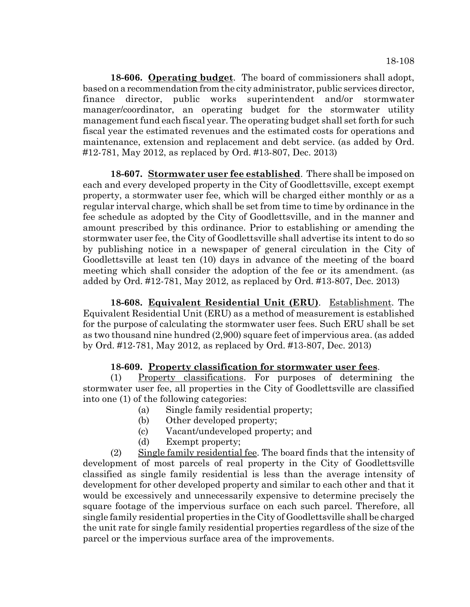**18-606. Operating budget**. The board of commissioners shall adopt, based on a recommendation from the city administrator, public services director, finance director, public works superintendent and/or stormwater manager/coordinator, an operating budget for the stormwater utility management fund each fiscal year. The operating budget shall set forth for such fiscal year the estimated revenues and the estimated costs for operations and maintenance, extension and replacement and debt service. (as added by Ord. #12-781, May 2012, as replaced by Ord. #13-807, Dec. 2013)

**18-607. Stormwater user fee established**. There shall be imposed on each and every developed property in the City of Goodlettsville, except exempt property, a stormwater user fee, which will be charged either monthly or as a regular interval charge, which shall be set from time to time by ordinance in the fee schedule as adopted by the City of Goodlettsville, and in the manner and amount prescribed by this ordinance. Prior to establishing or amending the stormwater user fee, the City of Goodlettsville shall advertise its intent to do so by publishing notice in a newspaper of general circulation in the City of Goodlettsville at least ten (10) days in advance of the meeting of the board meeting which shall consider the adoption of the fee or its amendment. (as added by Ord. #12-781, May 2012, as replaced by Ord. #13-807, Dec. 2013)

**18-608. Equivalent Residential Unit (ERU)**. Establishment. The Equivalent Residential Unit (ERU) as a method of measurement is established for the purpose of calculating the stormwater user fees. Such ERU shall be set as two thousand nine hundred (2,900) square feet of impervious area. (as added by Ord. #12-781, May 2012, as replaced by Ord. #13-807, Dec. 2013)

# **18-609. Property classification for stormwater user fees**.

(1) Property classifications. For purposes of determining the stormwater user fee, all properties in the City of Goodlettsville are classified into one (1) of the following categories:

- (a) Single family residential property;
- (b) Other developed property;
- (c) Vacant/undeveloped property; and
- (d) Exempt property;

(2) Single family residential fee. The board finds that the intensity of development of most parcels of real property in the City of Goodlettsville classified as single family residential is less than the average intensity of development for other developed property and similar to each other and that it would be excessively and unnecessarily expensive to determine precisely the square footage of the impervious surface on each such parcel. Therefore, all single family residential properties in the City of Goodlettsville shall be charged the unit rate for single family residential properties regardless of the size of the parcel or the impervious surface area of the improvements.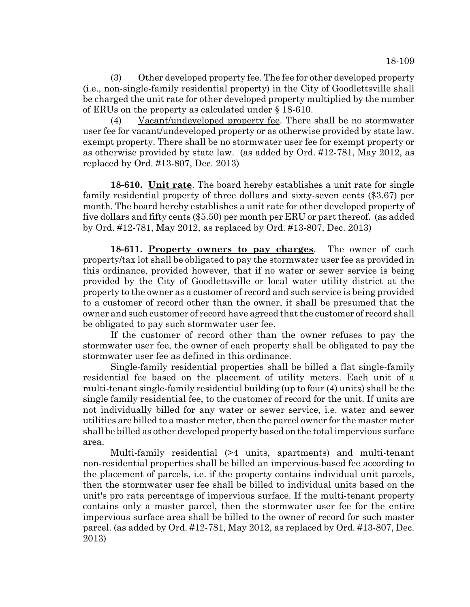(3) Other developed property fee. The fee for other developed property (i.e., non-single-family residential property) in the City of Goodlettsville shall be charged the unit rate for other developed property multiplied by the number of ERUs on the property as calculated under § 18-610.

(4) Vacant/undeveloped property fee. There shall be no stormwater user fee for vacant/undeveloped property or as otherwise provided by state law. exempt property. There shall be no stormwater user fee for exempt property or as otherwise provided by state law. (as added by Ord. #12-781, May 2012, as replaced by Ord. #13-807, Dec. 2013)

**18-610. Unit rate**. The board hereby establishes a unit rate for single family residential property of three dollars and sixty-seven cents (\$3.67) per month. The board hereby establishes a unit rate for other developed property of five dollars and fifty cents (\$5.50) per month per ERU or part thereof. (as added by Ord. #12-781, May 2012, as replaced by Ord. #13-807, Dec. 2013)

**18-611. Property owners to pay charges**. The owner of each property/tax lot shall be obligated to pay the stormwater user fee as provided in this ordinance, provided however, that if no water or sewer service is being provided by the City of Goodlettsville or local water utility district at the property to the owner as a customer of record and such service is being provided to a customer of record other than the owner, it shall be presumed that the owner and such customer of record have agreed that the customer of record shall be obligated to pay such stormwater user fee.

If the customer of record other than the owner refuses to pay the stormwater user fee, the owner of each property shall be obligated to pay the stormwater user fee as defined in this ordinance.

Single-family residential properties shall be billed a flat single-family residential fee based on the placement of utility meters. Each unit of a multi-tenant single-family residential building (up to four (4) units) shall be the single family residential fee, to the customer of record for the unit. If units are not individually billed for any water or sewer service, i.e. water and sewer utilities are billed to a master meter, then the parcel owner for the master meter shall be billed as other developed property based on the total impervious surface area.

Multi-family residential (>4 units, apartments) and multi-tenant non-residential properties shall be billed an impervious-based fee according to the placement of parcels, i.e. if the property contains individual unit parcels, then the stormwater user fee shall be billed to individual units based on the unit's pro rata percentage of impervious surface. If the multi-tenant property contains only a master parcel, then the stormwater user fee for the entire impervious surface area shall be billed to the owner of record for such master parcel. (as added by Ord. #12-781, May 2012, as replaced by Ord. #13-807, Dec. 2013)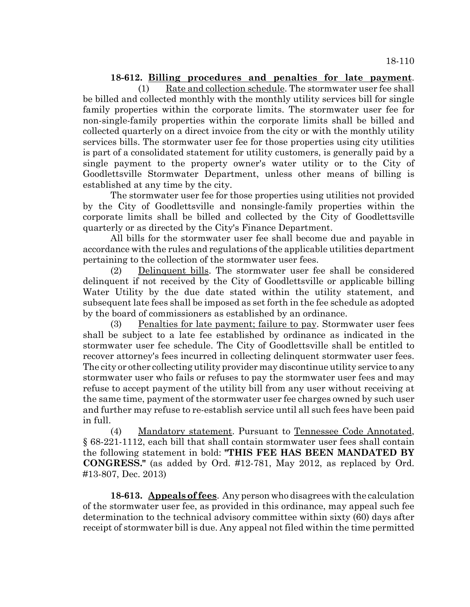## **18-612. Billing procedures and penalties for late payment**.

(1) Rate and collection schedule. The stormwater user fee shall be billed and collected monthly with the monthly utility services bill for single family properties within the corporate limits. The stormwater user fee for non-single-family properties within the corporate limits shall be billed and collected quarterly on a direct invoice from the city or with the monthly utility services bills. The stormwater user fee for those properties using city utilities is part of a consolidated statement for utility customers, is generally paid by a single payment to the property owner's water utility or to the City of Goodlettsville Stormwater Department, unless other means of billing is established at any time by the city.

The stormwater user fee for those properties using utilities not provided by the City of Goodlettsville and nonsingle-family properties within the corporate limits shall be billed and collected by the City of Goodlettsville quarterly or as directed by the City's Finance Department.

All bills for the stormwater user fee shall become due and payable in accordance with the rules and regulations of the applicable utilities department pertaining to the collection of the stormwater user fees.

(2) Delinquent bills. The stormwater user fee shall be considered delinquent if not received by the City of Goodlettsville or applicable billing Water Utility by the due date stated within the utility statement, and subsequent late fees shall be imposed as set forth in the fee schedule as adopted by the board of commissioners as established by an ordinance.

(3) Penalties for late payment; failure to pay. Stormwater user fees shall be subject to a late fee established by ordinance as indicated in the stormwater user fee schedule. The City of Goodlettsville shall be entitled to recover attorney's fees incurred in collecting delinquent stormwater user fees. The city or other collecting utility provider may discontinue utility service to any stormwater user who fails or refuses to pay the stormwater user fees and may refuse to accept payment of the utility bill from any user without receiving at the same time, payment of the stormwater user fee charges owned by such user and further may refuse to re-establish service until all such fees have been paid in full.

(4) Mandatory statement. Pursuant to Tennessee Code Annotated, § 68-221-1112, each bill that shall contain stormwater user fees shall contain the following statement in bold: **"THIS FEE HAS BEEN MANDATED BY CONGRESS."** (as added by Ord. #12-781, May 2012, as replaced by Ord. #13-807, Dec. 2013)

**18-613. Appeals of fees**. Any person who disagrees with the calculation of the stormwater user fee, as provided in this ordinance, may appeal such fee determination to the technical advisory committee within sixty (60) days after receipt of stormwater bill is due. Any appeal not filed within the time permitted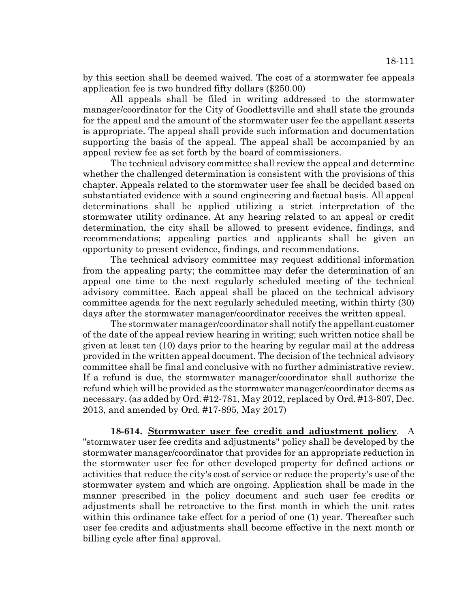by this section shall be deemed waived. The cost of a stormwater fee appeals application fee is two hundred fifty dollars (\$250.00)

All appeals shall be filed in writing addressed to the stormwater manager/coordinator for the City of Goodlettsville and shall state the grounds for the appeal and the amount of the stormwater user fee the appellant asserts is appropriate. The appeal shall provide such information and documentation supporting the basis of the appeal. The appeal shall be accompanied by an appeal review fee as set forth by the board of commissioners.

The technical advisory committee shall review the appeal and determine whether the challenged determination is consistent with the provisions of this chapter. Appeals related to the stormwater user fee shall be decided based on substantiated evidence with a sound engineering and factual basis. All appeal determinations shall be applied utilizing a strict interpretation of the stormwater utility ordinance. At any hearing related to an appeal or credit determination, the city shall be allowed to present evidence, findings, and recommendations; appealing parties and applicants shall be given an opportunity to present evidence, findings, and recommendations.

The technical advisory committee may request additional information from the appealing party; the committee may defer the determination of an appeal one time to the next regularly scheduled meeting of the technical advisory committee. Each appeal shall be placed on the technical advisory committee agenda for the next regularly scheduled meeting, within thirty (30) days after the stormwater manager/coordinator receives the written appeal.

The stormwater manager/coordinator shall notify the appellant customer of the date of the appeal review hearing in writing; such written notice shall be given at least ten (10) days prior to the hearing by regular mail at the address provided in the written appeal document. The decision of the technical advisory committee shall be final and conclusive with no further administrative review. If a refund is due, the stormwater manager/coordinator shall authorize the refund which will be provided as the stormwater manager/coordinator deems as necessary. (as added by Ord. #12-781, May 2012, replaced by Ord. #13-807, Dec. 2013, and amended by Ord. #17-895, May 2017)

**18-614. Stormwater user fee credit and adjustment policy**. A "stormwater user fee credits and adjustments" policy shall be developed by the stormwater manager/coordinator that provides for an appropriate reduction in the stormwater user fee for other developed property for defined actions or activities that reduce the city's cost of service or reduce the property's use of the stormwater system and which are ongoing. Application shall be made in the manner prescribed in the policy document and such user fee credits or adjustments shall be retroactive to the first month in which the unit rates within this ordinance take effect for a period of one (1) year. Thereafter such user fee credits and adjustments shall become effective in the next month or billing cycle after final approval.